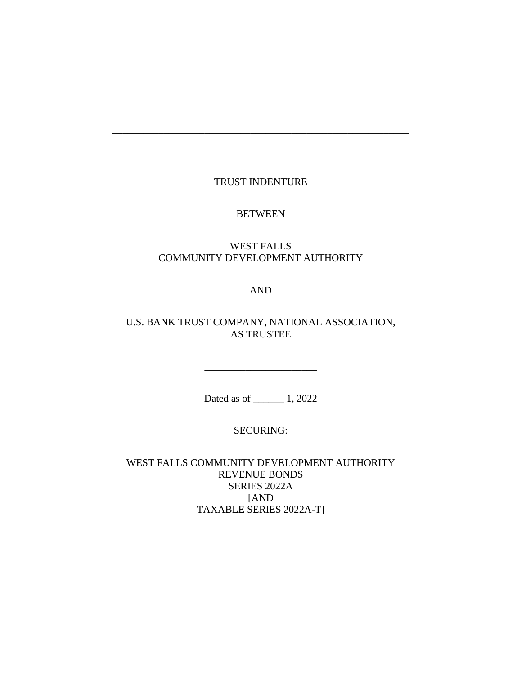# TRUST INDENTURE

\_\_\_\_\_\_\_\_\_\_\_\_\_\_\_\_\_\_\_\_\_\_\_\_\_\_\_\_\_\_\_\_\_\_\_\_\_\_\_\_\_\_\_\_\_\_\_\_\_\_\_\_\_\_\_\_\_\_

#### BETWEEN

# WEST FALLS COMMUNITY DEVELOPMENT AUTHORITY

# AND

# U.S. BANK TRUST COMPANY, NATIONAL ASSOCIATION, AS TRUSTEE

Dated as of \_\_\_\_\_\_ 1, 2022

\_\_\_\_\_\_\_\_\_\_\_\_\_\_\_\_\_\_\_\_\_\_

# SECURING:

WEST FALLS COMMUNITY DEVELOPMENT AUTHORITY REVENUE BONDS SERIES 2022A [AND TAXABLE SERIES 2022A-T]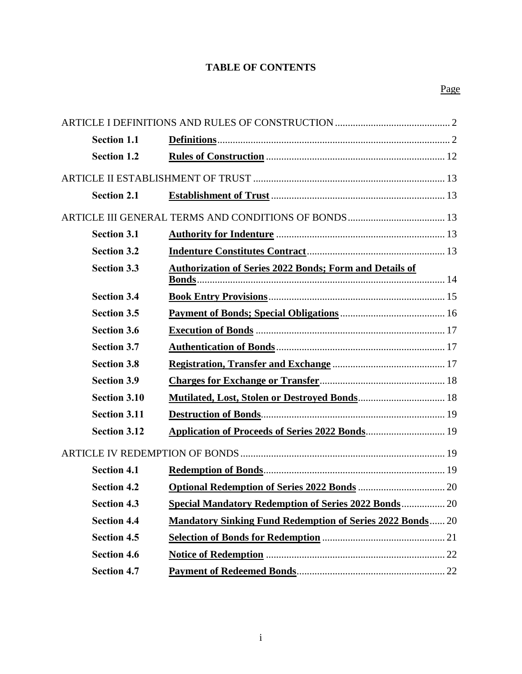# **TABLE OF CONTENTS**

| <b>Section 1.1</b>  |                                                                  |  |  |
|---------------------|------------------------------------------------------------------|--|--|
| <b>Section 1.2</b>  |                                                                  |  |  |
|                     |                                                                  |  |  |
| <b>Section 2.1</b>  |                                                                  |  |  |
|                     |                                                                  |  |  |
| <b>Section 3.1</b>  |                                                                  |  |  |
| <b>Section 3.2</b>  |                                                                  |  |  |
| <b>Section 3.3</b>  | <b>Authorization of Series 2022 Bonds; Form and Details of</b>   |  |  |
| <b>Section 3.4</b>  |                                                                  |  |  |
| <b>Section 3.5</b>  |                                                                  |  |  |
| <b>Section 3.6</b>  |                                                                  |  |  |
| <b>Section 3.7</b>  |                                                                  |  |  |
| <b>Section 3.8</b>  |                                                                  |  |  |
| <b>Section 3.9</b>  |                                                                  |  |  |
| <b>Section 3.10</b> |                                                                  |  |  |
| <b>Section 3.11</b> |                                                                  |  |  |
| <b>Section 3.12</b> |                                                                  |  |  |
|                     |                                                                  |  |  |
| <b>Section 4.1</b>  |                                                                  |  |  |
| <b>Section 4.2</b>  |                                                                  |  |  |
| <b>Section 4.3</b>  | <b>Special Mandatory Redemption of Series 2022 Bonds 20</b>      |  |  |
| <b>Section 4.4</b>  | <b>Mandatory Sinking Fund Redemption of Series 2022 Bonds 20</b> |  |  |
| <b>Section 4.5</b>  |                                                                  |  |  |
| <b>Section 4.6</b>  |                                                                  |  |  |
| <b>Section 4.7</b>  |                                                                  |  |  |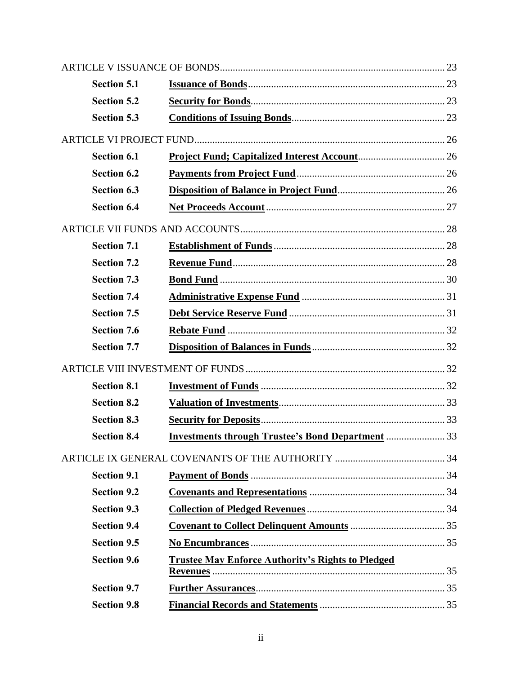|  | <b>Section 5.1</b> |                                                          |  |  |
|--|--------------------|----------------------------------------------------------|--|--|
|  | <b>Section 5.2</b> |                                                          |  |  |
|  | <b>Section 5.3</b> |                                                          |  |  |
|  |                    |                                                          |  |  |
|  | <b>Section 6.1</b> |                                                          |  |  |
|  | <b>Section 6.2</b> |                                                          |  |  |
|  | <b>Section 6.3</b> |                                                          |  |  |
|  | <b>Section 6.4</b> |                                                          |  |  |
|  |                    |                                                          |  |  |
|  | <b>Section 7.1</b> |                                                          |  |  |
|  | <b>Section 7.2</b> |                                                          |  |  |
|  | <b>Section 7.3</b> |                                                          |  |  |
|  | <b>Section 7.4</b> |                                                          |  |  |
|  | <b>Section 7.5</b> |                                                          |  |  |
|  | <b>Section 7.6</b> |                                                          |  |  |
|  | <b>Section 7.7</b> |                                                          |  |  |
|  |                    |                                                          |  |  |
|  | <b>Section 8.1</b> |                                                          |  |  |
|  | <b>Section 8.2</b> |                                                          |  |  |
|  | <b>Section 8.3</b> |                                                          |  |  |
|  | <b>Section 8.4</b> | <b>Investments through Trustee's Bond Department  33</b> |  |  |
|  |                    |                                                          |  |  |
|  | <b>Section 9.1</b> |                                                          |  |  |
|  | <b>Section 9.2</b> |                                                          |  |  |
|  | <b>Section 9.3</b> |                                                          |  |  |
|  | <b>Section 9.4</b> |                                                          |  |  |
|  | <b>Section 9.5</b> |                                                          |  |  |
|  | <b>Section 9.6</b> | <b>Trustee May Enforce Authority's Rights to Pledged</b> |  |  |
|  | <b>Section 9.7</b> |                                                          |  |  |
|  | <b>Section 9.8</b> |                                                          |  |  |
|  |                    |                                                          |  |  |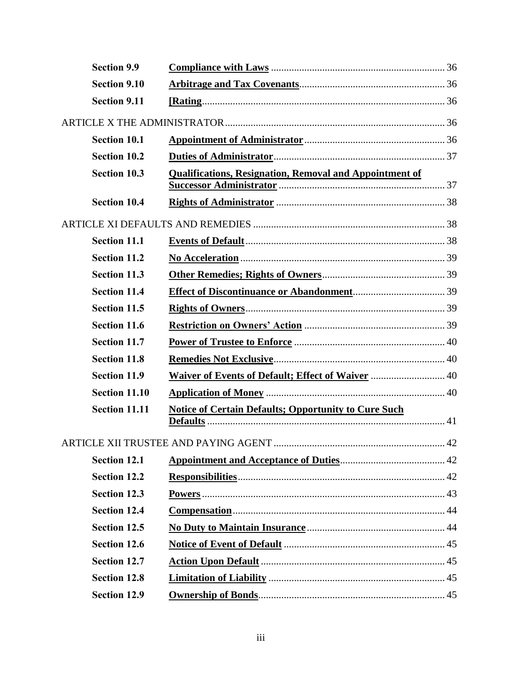| <b>Section 9.9</b>   |                                                                |  |
|----------------------|----------------------------------------------------------------|--|
| <b>Section 9.10</b>  |                                                                |  |
| <b>Section 9.11</b>  |                                                                |  |
|                      |                                                                |  |
| <b>Section 10.1</b>  |                                                                |  |
| <b>Section 10.2</b>  |                                                                |  |
| <b>Section 10.3</b>  | <b>Qualifications, Resignation, Removal and Appointment of</b> |  |
| <b>Section 10.4</b>  |                                                                |  |
|                      |                                                                |  |
| <b>Section 11.1</b>  |                                                                |  |
| <b>Section 11.2</b>  |                                                                |  |
| <b>Section 11.3</b>  |                                                                |  |
| <b>Section 11.4</b>  |                                                                |  |
| <b>Section 11.5</b>  |                                                                |  |
| <b>Section 11.6</b>  |                                                                |  |
| <b>Section 11.7</b>  |                                                                |  |
| <b>Section 11.8</b>  |                                                                |  |
| <b>Section 11.9</b>  | Waiver of Events of Default; Effect of Waiver  40              |  |
| Section 11.10        |                                                                |  |
| <b>Section 11.11</b> | <b>Notice of Certain Defaults; Opportunity to Cure Such</b>    |  |
|                      |                                                                |  |
| <b>Section 12.1</b>  |                                                                |  |
| <b>Section 12.2</b>  |                                                                |  |
| <b>Section 12.3</b>  |                                                                |  |
| <b>Section 12.4</b>  |                                                                |  |
| <b>Section 12.5</b>  |                                                                |  |
| <b>Section 12.6</b>  |                                                                |  |
| <b>Section 12.7</b>  |                                                                |  |
| <b>Section 12.8</b>  |                                                                |  |
| <b>Section 12.9</b>  |                                                                |  |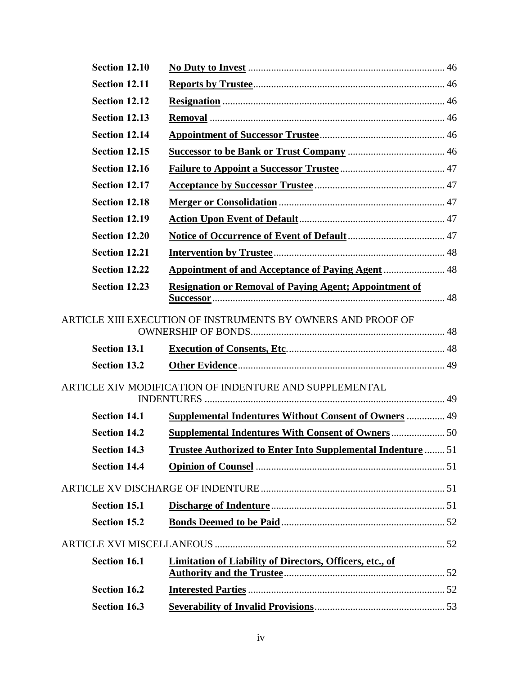| Section 12.10        |                                                                    |  |
|----------------------|--------------------------------------------------------------------|--|
| Section 12.11        |                                                                    |  |
| Section 12.12        |                                                                    |  |
| Section 12.13        |                                                                    |  |
| <b>Section 12.14</b> |                                                                    |  |
| Section 12.15        |                                                                    |  |
| Section 12.16        |                                                                    |  |
| Section 12.17        |                                                                    |  |
| Section 12.18        |                                                                    |  |
| Section 12.19        |                                                                    |  |
| Section 12.20        |                                                                    |  |
| Section 12.21        |                                                                    |  |
| Section 12.22        |                                                                    |  |
| Section 12.23        | <b>Resignation or Removal of Paying Agent; Appointment of</b>      |  |
|                      | ARTICLE XIII EXECUTION OF INSTRUMENTS BY OWNERS AND PROOF OF       |  |
| <b>Section 13.1</b>  |                                                                    |  |
| <b>Section 13.2</b>  |                                                                    |  |
|                      | ARTICLE XIV MODIFICATION OF INDENTURE AND SUPPLEMENTAL             |  |
| <b>Section 14.1</b>  | <b>Supplemental Indentures Without Consent of Owners  49</b>       |  |
| <b>Section 14.2</b>  |                                                                    |  |
| <b>Section 14.3</b>  | <b>Trustee Authorized to Enter Into Supplemental Indenture  51</b> |  |
| <b>Section 14.4</b>  |                                                                    |  |
|                      |                                                                    |  |
| <b>Section 15.1</b>  |                                                                    |  |
| <b>Section 15.2</b>  |                                                                    |  |
|                      |                                                                    |  |
| <b>Section 16.1</b>  | <b>Limitation of Liability of Directors, Officers, etc., of</b>    |  |
| <b>Section 16.2</b>  |                                                                    |  |
| <b>Section 16.3</b>  |                                                                    |  |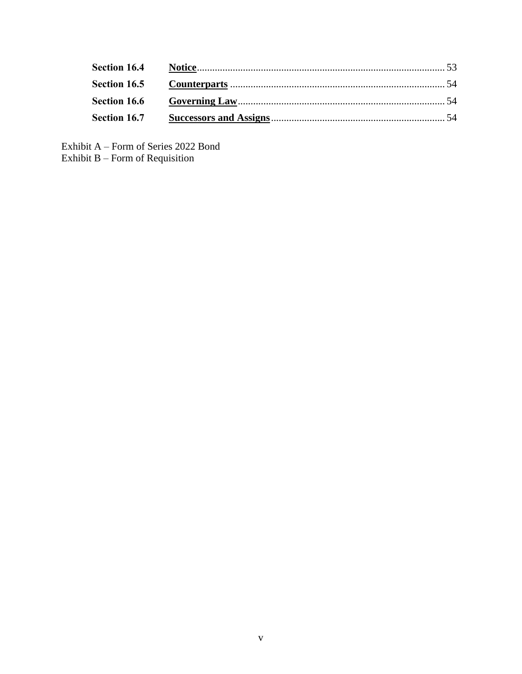Exhibit A – Form of Series 2022 Bond Exhibit B – Form of Requisition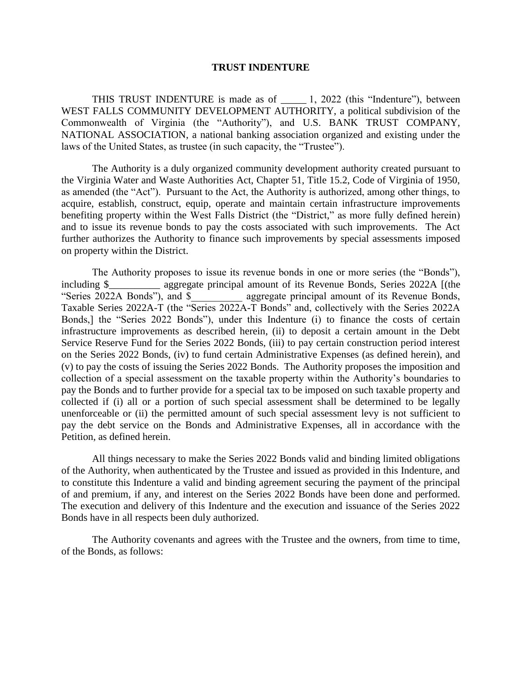#### **TRUST INDENTURE**

THIS TRUST INDENTURE is made as of 1, 2022 (this "Indenture"), between WEST FALLS COMMUNITY DEVELOPMENT AUTHORITY, a political subdivision of the Commonwealth of Virginia (the "Authority"), and U.S. BANK TRUST COMPANY, NATIONAL ASSOCIATION, a national banking association organized and existing under the laws of the United States, as trustee (in such capacity, the "Trustee").

The Authority is a duly organized community development authority created pursuant to the Virginia Water and Waste Authorities Act, Chapter 51, Title 15.2, Code of Virginia of 1950, as amended (the "Act"). Pursuant to the Act, the Authority is authorized, among other things, to acquire, establish, construct, equip, operate and maintain certain infrastructure improvements benefiting property within the West Falls District (the "District," as more fully defined herein) and to issue its revenue bonds to pay the costs associated with such improvements. The Act further authorizes the Authority to finance such improvements by special assessments imposed on property within the District.

The Authority proposes to issue its revenue bonds in one or more series (the "Bonds"), including \$\_\_\_\_\_\_\_\_\_\_ aggregate principal amount of its Revenue Bonds, Series 2022A [(the "Series 2022A Bonds"), and \$ \_\_\_\_\_\_\_\_\_\_\_\_ aggregate principal amount of its Revenue Bonds, Taxable Series 2022A-T (the "Series 2022A-T Bonds" and, collectively with the Series 2022A Bonds,] the "Series 2022 Bonds"), under this Indenture (i) to finance the costs of certain infrastructure improvements as described herein, (ii) to deposit a certain amount in the Debt Service Reserve Fund for the Series 2022 Bonds, (iii) to pay certain construction period interest on the Series 2022 Bonds, (iv) to fund certain Administrative Expenses (as defined herein), and (v) to pay the costs of issuing the Series 2022 Bonds. The Authority proposes the imposition and collection of a special assessment on the taxable property within the Authority's boundaries to pay the Bonds and to further provide for a special tax to be imposed on such taxable property and collected if (i) all or a portion of such special assessment shall be determined to be legally unenforceable or (ii) the permitted amount of such special assessment levy is not sufficient to pay the debt service on the Bonds and Administrative Expenses, all in accordance with the Petition, as defined herein.

All things necessary to make the Series 2022 Bonds valid and binding limited obligations of the Authority, when authenticated by the Trustee and issued as provided in this Indenture, and to constitute this Indenture a valid and binding agreement securing the payment of the principal of and premium, if any, and interest on the Series 2022 Bonds have been done and performed. The execution and delivery of this Indenture and the execution and issuance of the Series 2022 Bonds have in all respects been duly authorized.

The Authority covenants and agrees with the Trustee and the owners, from time to time, of the Bonds, as follows: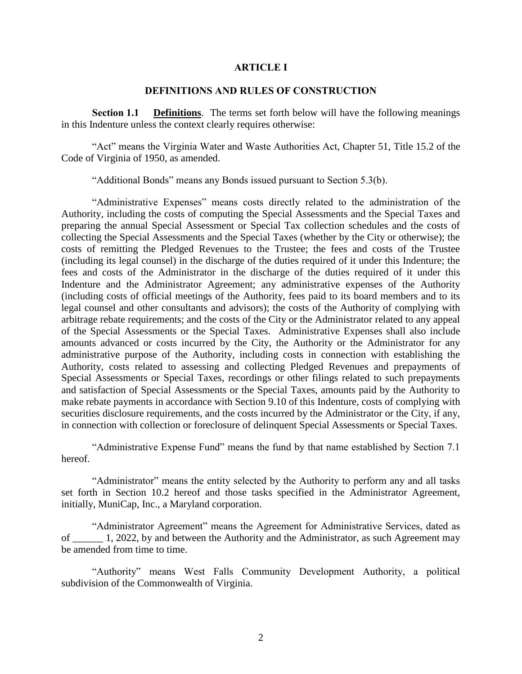#### **ARTICLE I**

### **DEFINITIONS AND RULES OF CONSTRUCTION**

**Section 1.1 Definitions**. The terms set forth below will have the following meanings in this Indenture unless the context clearly requires otherwise:

"Act" means the Virginia Water and Waste Authorities Act, Chapter 51, Title 15.2 of the Code of Virginia of 1950, as amended.

"Additional Bonds" means any Bonds issued pursuant to Section 5.3(b).

"Administrative Expenses" means costs directly related to the administration of the Authority, including the costs of computing the Special Assessments and the Special Taxes and preparing the annual Special Assessment or Special Tax collection schedules and the costs of collecting the Special Assessments and the Special Taxes (whether by the City or otherwise); the costs of remitting the Pledged Revenues to the Trustee; the fees and costs of the Trustee (including its legal counsel) in the discharge of the duties required of it under this Indenture; the fees and costs of the Administrator in the discharge of the duties required of it under this Indenture and the Administrator Agreement; any administrative expenses of the Authority (including costs of official meetings of the Authority, fees paid to its board members and to its legal counsel and other consultants and advisors); the costs of the Authority of complying with arbitrage rebate requirements; and the costs of the City or the Administrator related to any appeal of the Special Assessments or the Special Taxes. Administrative Expenses shall also include amounts advanced or costs incurred by the City, the Authority or the Administrator for any administrative purpose of the Authority, including costs in connection with establishing the Authority, costs related to assessing and collecting Pledged Revenues and prepayments of Special Assessments or Special Taxes, recordings or other filings related to such prepayments and satisfaction of Special Assessments or the Special Taxes, amounts paid by the Authority to make rebate payments in accordance with Section 9.10 of this Indenture, costs of complying with securities disclosure requirements, and the costs incurred by the Administrator or the City, if any, in connection with collection or foreclosure of delinquent Special Assessments or Special Taxes.

"Administrative Expense Fund" means the fund by that name established by Section 7.1 hereof.

"Administrator" means the entity selected by the Authority to perform any and all tasks set forth in Section 10.2 hereof and those tasks specified in the Administrator Agreement, initially, MuniCap, Inc., a Maryland corporation.

"Administrator Agreement" means the Agreement for Administrative Services, dated as of \_\_\_\_\_\_ 1, 2022, by and between the Authority and the Administrator, as such Agreement may be amended from time to time.

"Authority" means West Falls Community Development Authority, a political subdivision of the Commonwealth of Virginia.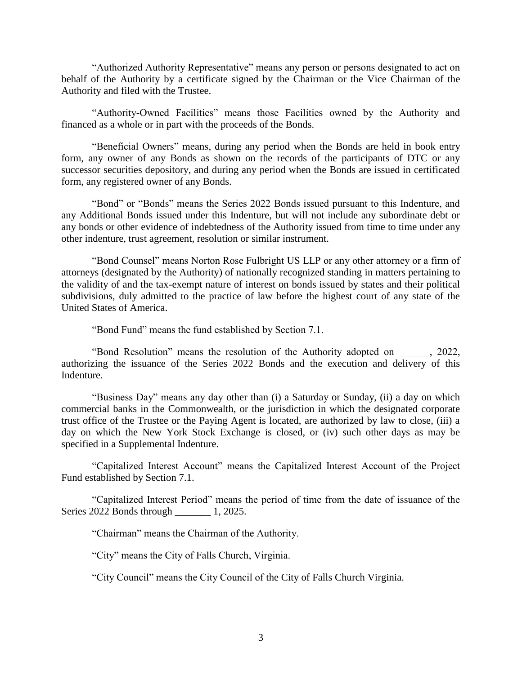"Authorized Authority Representative" means any person or persons designated to act on behalf of the Authority by a certificate signed by the Chairman or the Vice Chairman of the Authority and filed with the Trustee.

"Authority-Owned Facilities" means those Facilities owned by the Authority and financed as a whole or in part with the proceeds of the Bonds.

"Beneficial Owners" means, during any period when the Bonds are held in book entry form, any owner of any Bonds as shown on the records of the participants of DTC or any successor securities depository, and during any period when the Bonds are issued in certificated form, any registered owner of any Bonds.

"Bond" or "Bonds" means the Series 2022 Bonds issued pursuant to this Indenture, and any Additional Bonds issued under this Indenture, but will not include any subordinate debt or any bonds or other evidence of indebtedness of the Authority issued from time to time under any other indenture, trust agreement, resolution or similar instrument.

"Bond Counsel" means Norton Rose Fulbright US LLP or any other attorney or a firm of attorneys (designated by the Authority) of nationally recognized standing in matters pertaining to the validity of and the tax-exempt nature of interest on bonds issued by states and their political subdivisions, duly admitted to the practice of law before the highest court of any state of the United States of America.

"Bond Fund" means the fund established by Section 7.1.

"Bond Resolution" means the resolution of the Authority adopted on \_\_\_\_\_\_, 2022, authorizing the issuance of the Series 2022 Bonds and the execution and delivery of this Indenture.

"Business Day" means any day other than (i) a Saturday or Sunday, (ii) a day on which commercial banks in the Commonwealth, or the jurisdiction in which the designated corporate trust office of the Trustee or the Paying Agent is located, are authorized by law to close, (iii) a day on which the New York Stock Exchange is closed, or (iv) such other days as may be specified in a Supplemental Indenture.

"Capitalized Interest Account" means the Capitalized Interest Account of the Project Fund established by Section 7.1.

"Capitalized Interest Period" means the period of time from the date of issuance of the Series 2022 Bonds through 1, 2025.

"Chairman" means the Chairman of the Authority.

"City" means the City of Falls Church, Virginia.

"City Council" means the City Council of the City of Falls Church Virginia.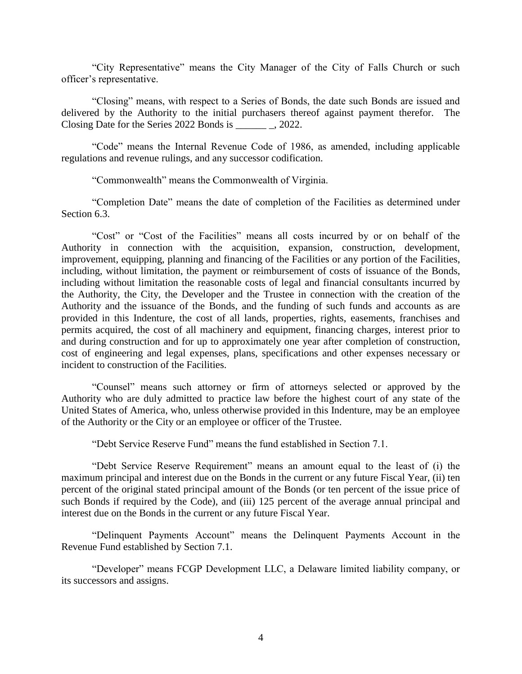"City Representative" means the City Manager of the City of Falls Church or such officer's representative.

"Closing" means, with respect to a Series of Bonds, the date such Bonds are issued and delivered by the Authority to the initial purchasers thereof against payment therefor. The Closing Date for the Series 2022 Bonds is \_\_\_\_\_\_ \_, 2022.

"Code" means the Internal Revenue Code of 1986, as amended, including applicable regulations and revenue rulings, and any successor codification.

"Commonwealth" means the Commonwealth of Virginia.

"Completion Date" means the date of completion of the Facilities as determined under Section 6.3.

"Cost" or "Cost of the Facilities" means all costs incurred by or on behalf of the Authority in connection with the acquisition, expansion, construction, development, improvement, equipping, planning and financing of the Facilities or any portion of the Facilities, including, without limitation, the payment or reimbursement of costs of issuance of the Bonds, including without limitation the reasonable costs of legal and financial consultants incurred by the Authority, the City, the Developer and the Trustee in connection with the creation of the Authority and the issuance of the Bonds, and the funding of such funds and accounts as are provided in this Indenture, the cost of all lands, properties, rights, easements, franchises and permits acquired, the cost of all machinery and equipment, financing charges, interest prior to and during construction and for up to approximately one year after completion of construction, cost of engineering and legal expenses, plans, specifications and other expenses necessary or incident to construction of the Facilities.

"Counsel" means such attorney or firm of attorneys selected or approved by the Authority who are duly admitted to practice law before the highest court of any state of the United States of America, who, unless otherwise provided in this Indenture, may be an employee of the Authority or the City or an employee or officer of the Trustee.

"Debt Service Reserve Fund" means the fund established in Section 7.1.

"Debt Service Reserve Requirement" means an amount equal to the least of (i) the maximum principal and interest due on the Bonds in the current or any future Fiscal Year, (ii) ten percent of the original stated principal amount of the Bonds (or ten percent of the issue price of such Bonds if required by the Code), and (iii) 125 percent of the average annual principal and interest due on the Bonds in the current or any future Fiscal Year.

"Delinquent Payments Account" means the Delinquent Payments Account in the Revenue Fund established by Section 7.1.

"Developer" means FCGP Development LLC, a Delaware limited liability company, or its successors and assigns.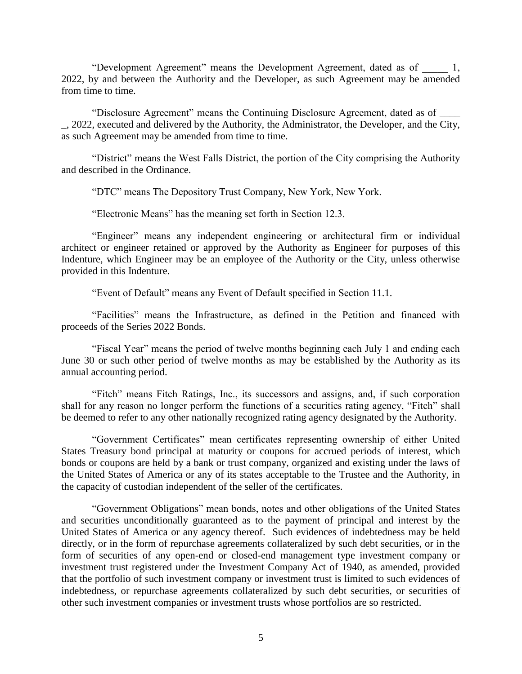"Development Agreement" means the Development Agreement, dated as of \_\_\_\_\_ 1, 2022, by and between the Authority and the Developer, as such Agreement may be  $\overline{a$ mended from time to time.

"Disclosure Agreement" means the Continuing Disclosure Agreement, dated as of \_\_\_\_ \_, 2022, executed and delivered by the Authority, the Administrator, the Developer, and the City, as such Agreement may be amended from time to time.

"District" means the West Falls District, the portion of the City comprising the Authority and described in the Ordinance.

"DTC" means The Depository Trust Company, New York, New York.

"Electronic Means" has the meaning set forth in Section 12.3.

"Engineer" means any independent engineering or architectural firm or individual architect or engineer retained or approved by the Authority as Engineer for purposes of this Indenture, which Engineer may be an employee of the Authority or the City, unless otherwise provided in this Indenture.

"Event of Default" means any Event of Default specified in Section 11.1.

"Facilities" means the Infrastructure, as defined in the Petition and financed with proceeds of the Series 2022 Bonds.

"Fiscal Year" means the period of twelve months beginning each July 1 and ending each June 30 or such other period of twelve months as may be established by the Authority as its annual accounting period.

"Fitch" means Fitch Ratings, Inc., its successors and assigns, and, if such corporation shall for any reason no longer perform the functions of a securities rating agency, "Fitch" shall be deemed to refer to any other nationally recognized rating agency designated by the Authority.

"Government Certificates" mean certificates representing ownership of either United States Treasury bond principal at maturity or coupons for accrued periods of interest, which bonds or coupons are held by a bank or trust company, organized and existing under the laws of the United States of America or any of its states acceptable to the Trustee and the Authority, in the capacity of custodian independent of the seller of the certificates.

"Government Obligations" mean bonds, notes and other obligations of the United States and securities unconditionally guaranteed as to the payment of principal and interest by the United States of America or any agency thereof. Such evidences of indebtedness may be held directly, or in the form of repurchase agreements collateralized by such debt securities, or in the form of securities of any open-end or closed-end management type investment company or investment trust registered under the Investment Company Act of 1940, as amended, provided that the portfolio of such investment company or investment trust is limited to such evidences of indebtedness, or repurchase agreements collateralized by such debt securities, or securities of other such investment companies or investment trusts whose portfolios are so restricted.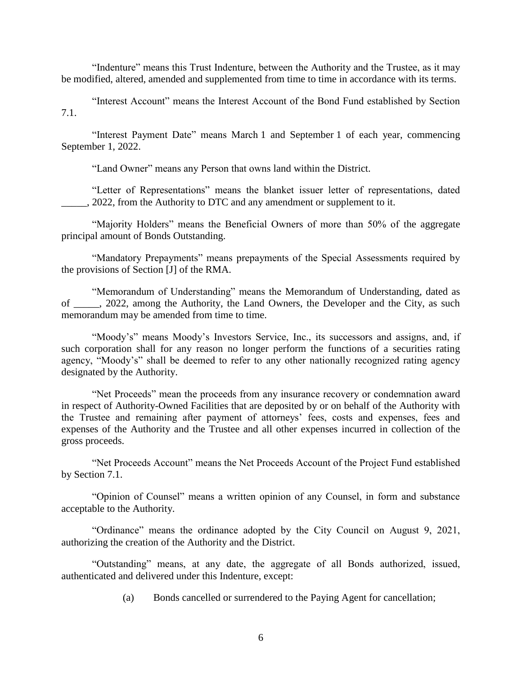"Indenture" means this Trust Indenture, between the Authority and the Trustee, as it may be modified, altered, amended and supplemented from time to time in accordance with its terms.

"Interest Account" means the Interest Account of the Bond Fund established by Section 7.1.

"Interest Payment Date" means March 1 and September 1 of each year, commencing September 1, 2022.

"Land Owner" means any Person that owns land within the District.

"Letter of Representations" means the blanket issuer letter of representations, dated . 2022, from the Authority to DTC and any amendment or supplement to it.

"Majority Holders" means the Beneficial Owners of more than 50% of the aggregate principal amount of Bonds Outstanding.

"Mandatory Prepayments" means prepayments of the Special Assessments required by the provisions of Section [J] of the RMA.

"Memorandum of Understanding" means the Memorandum of Understanding, dated as of \_\_\_\_\_, 2022, among the Authority, the Land Owners, the Developer and the City, as such memorandum may be amended from time to time.

"Moody's" means Moody's Investors Service, Inc., its successors and assigns, and, if such corporation shall for any reason no longer perform the functions of a securities rating agency, "Moody's" shall be deemed to refer to any other nationally recognized rating agency designated by the Authority.

"Net Proceeds" mean the proceeds from any insurance recovery or condemnation award in respect of Authority-Owned Facilities that are deposited by or on behalf of the Authority with the Trustee and remaining after payment of attorneys' fees, costs and expenses, fees and expenses of the Authority and the Trustee and all other expenses incurred in collection of the gross proceeds.

"Net Proceeds Account" means the Net Proceeds Account of the Project Fund established by Section 7.1.

"Opinion of Counsel" means a written opinion of any Counsel, in form and substance acceptable to the Authority.

"Ordinance" means the ordinance adopted by the City Council on August 9, 2021, authorizing the creation of the Authority and the District.

"Outstanding" means, at any date, the aggregate of all Bonds authorized, issued, authenticated and delivered under this Indenture, except:

(a) Bonds cancelled or surrendered to the Paying Agent for cancellation;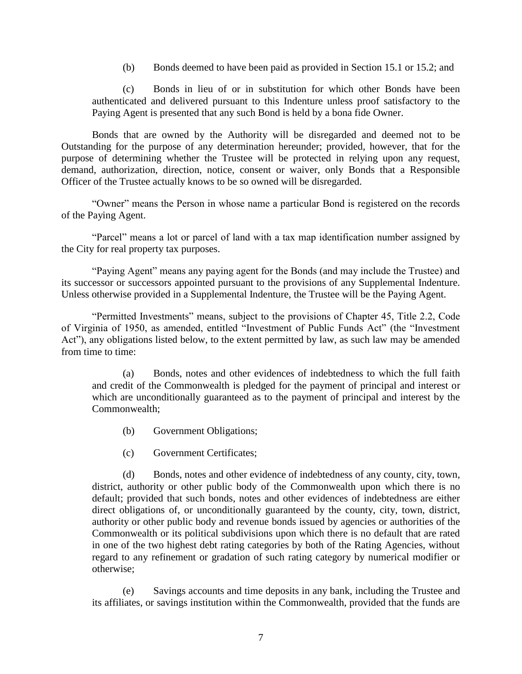(b) Bonds deemed to have been paid as provided in Section 15.1 or 15.2; and

(c) Bonds in lieu of or in substitution for which other Bonds have been authenticated and delivered pursuant to this Indenture unless proof satisfactory to the Paying Agent is presented that any such Bond is held by a bona fide Owner.

Bonds that are owned by the Authority will be disregarded and deemed not to be Outstanding for the purpose of any determination hereunder; provided, however, that for the purpose of determining whether the Trustee will be protected in relying upon any request, demand, authorization, direction, notice, consent or waiver, only Bonds that a Responsible Officer of the Trustee actually knows to be so owned will be disregarded.

"Owner" means the Person in whose name a particular Bond is registered on the records of the Paying Agent.

"Parcel" means a lot or parcel of land with a tax map identification number assigned by the City for real property tax purposes.

"Paying Agent" means any paying agent for the Bonds (and may include the Trustee) and its successor or successors appointed pursuant to the provisions of any Supplemental Indenture. Unless otherwise provided in a Supplemental Indenture, the Trustee will be the Paying Agent.

"Permitted Investments" means, subject to the provisions of Chapter 45, Title 2.2, Code of Virginia of 1950, as amended, entitled "Investment of Public Funds Act" (the "Investment Act"), any obligations listed below, to the extent permitted by law, as such law may be amended from time to time:

(a) Bonds, notes and other evidences of indebtedness to which the full faith and credit of the Commonwealth is pledged for the payment of principal and interest or which are unconditionally guaranteed as to the payment of principal and interest by the Commonwealth;

- (b) Government Obligations;
- (c) Government Certificates;

(d) Bonds, notes and other evidence of indebtedness of any county, city, town, district, authority or other public body of the Commonwealth upon which there is no default; provided that such bonds, notes and other evidences of indebtedness are either direct obligations of, or unconditionally guaranteed by the county, city, town, district, authority or other public body and revenue bonds issued by agencies or authorities of the Commonwealth or its political subdivisions upon which there is no default that are rated in one of the two highest debt rating categories by both of the Rating Agencies, without regard to any refinement or gradation of such rating category by numerical modifier or otherwise;

(e) Savings accounts and time deposits in any bank, including the Trustee and its affiliates, or savings institution within the Commonwealth, provided that the funds are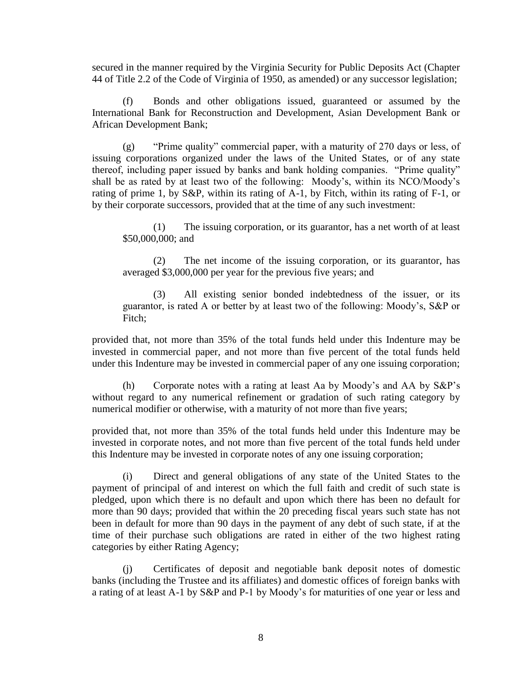secured in the manner required by the Virginia Security for Public Deposits Act (Chapter 44 of Title 2.2 of the Code of Virginia of 1950, as amended) or any successor legislation;

(f) Bonds and other obligations issued, guaranteed or assumed by the International Bank for Reconstruction and Development, Asian Development Bank or African Development Bank;

(g) "Prime quality" commercial paper, with a maturity of 270 days or less, of issuing corporations organized under the laws of the United States, or of any state thereof, including paper issued by banks and bank holding companies. "Prime quality" shall be as rated by at least two of the following: Moody's, within its NCO/Moody's rating of prime 1, by S&P, within its rating of A-1, by Fitch, within its rating of F-1, or by their corporate successors, provided that at the time of any such investment:

(1) The issuing corporation, or its guarantor, has a net worth of at least \$50,000,000; and

(2) The net income of the issuing corporation, or its guarantor, has averaged \$3,000,000 per year for the previous five years; and

(3) All existing senior bonded indebtedness of the issuer, or its guarantor, is rated A or better by at least two of the following: Moody's, S&P or Fitch;

provided that, not more than 35% of the total funds held under this Indenture may be invested in commercial paper, and not more than five percent of the total funds held under this Indenture may be invested in commercial paper of any one issuing corporation;

(h) Corporate notes with a rating at least Aa by Moody's and AA by S&P's without regard to any numerical refinement or gradation of such rating category by numerical modifier or otherwise, with a maturity of not more than five years;

provided that, not more than 35% of the total funds held under this Indenture may be invested in corporate notes, and not more than five percent of the total funds held under this Indenture may be invested in corporate notes of any one issuing corporation;

(i) Direct and general obligations of any state of the United States to the payment of principal of and interest on which the full faith and credit of such state is pledged, upon which there is no default and upon which there has been no default for more than 90 days; provided that within the 20 preceding fiscal years such state has not been in default for more than 90 days in the payment of any debt of such state, if at the time of their purchase such obligations are rated in either of the two highest rating categories by either Rating Agency;

(j) Certificates of deposit and negotiable bank deposit notes of domestic banks (including the Trustee and its affiliates) and domestic offices of foreign banks with a rating of at least A-1 by S&P and P-1 by Moody's for maturities of one year or less and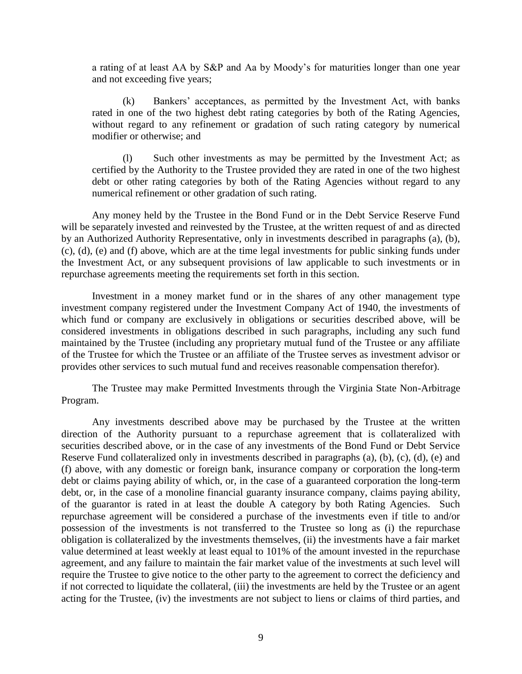a rating of at least AA by S&P and Aa by Moody's for maturities longer than one year and not exceeding five years;

(k) Bankers' acceptances, as permitted by the Investment Act, with banks rated in one of the two highest debt rating categories by both of the Rating Agencies, without regard to any refinement or gradation of such rating category by numerical modifier or otherwise; and

Such other investments as may be permitted by the Investment Act; as certified by the Authority to the Trustee provided they are rated in one of the two highest debt or other rating categories by both of the Rating Agencies without regard to any numerical refinement or other gradation of such rating.

Any money held by the Trustee in the Bond Fund or in the Debt Service Reserve Fund will be separately invested and reinvested by the Trustee, at the written request of and as directed by an Authorized Authority Representative, only in investments described in paragraphs (a), (b), (c), (d), (e) and (f) above, which are at the time legal investments for public sinking funds under the Investment Act, or any subsequent provisions of law applicable to such investments or in repurchase agreements meeting the requirements set forth in this section.

Investment in a money market fund or in the shares of any other management type investment company registered under the Investment Company Act of 1940, the investments of which fund or company are exclusively in obligations or securities described above, will be considered investments in obligations described in such paragraphs, including any such fund maintained by the Trustee (including any proprietary mutual fund of the Trustee or any affiliate of the Trustee for which the Trustee or an affiliate of the Trustee serves as investment advisor or provides other services to such mutual fund and receives reasonable compensation therefor).

The Trustee may make Permitted Investments through the Virginia State Non-Arbitrage Program.

Any investments described above may be purchased by the Trustee at the written direction of the Authority pursuant to a repurchase agreement that is collateralized with securities described above, or in the case of any investments of the Bond Fund or Debt Service Reserve Fund collateralized only in investments described in paragraphs (a), (b), (c), (d), (e) and (f) above, with any domestic or foreign bank, insurance company or corporation the long-term debt or claims paying ability of which, or, in the case of a guaranteed corporation the long-term debt, or, in the case of a monoline financial guaranty insurance company, claims paying ability, of the guarantor is rated in at least the double A category by both Rating Agencies. Such repurchase agreement will be considered a purchase of the investments even if title to and/or possession of the investments is not transferred to the Trustee so long as (i) the repurchase obligation is collateralized by the investments themselves, (ii) the investments have a fair market value determined at least weekly at least equal to 101% of the amount invested in the repurchase agreement, and any failure to maintain the fair market value of the investments at such level will require the Trustee to give notice to the other party to the agreement to correct the deficiency and if not corrected to liquidate the collateral, (iii) the investments are held by the Trustee or an agent acting for the Trustee, (iv) the investments are not subject to liens or claims of third parties, and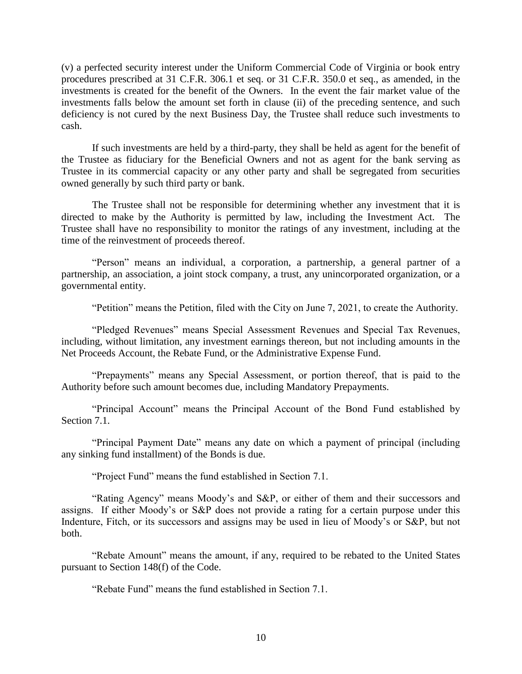(v) a perfected security interest under the Uniform Commercial Code of Virginia or book entry procedures prescribed at 31 C.F.R. 306.1 et seq. or 31 C.F.R. 350.0 et seq., as amended, in the investments is created for the benefit of the Owners. In the event the fair market value of the investments falls below the amount set forth in clause (ii) of the preceding sentence, and such deficiency is not cured by the next Business Day, the Trustee shall reduce such investments to cash.

If such investments are held by a third-party, they shall be held as agent for the benefit of the Trustee as fiduciary for the Beneficial Owners and not as agent for the bank serving as Trustee in its commercial capacity or any other party and shall be segregated from securities owned generally by such third party or bank.

The Trustee shall not be responsible for determining whether any investment that it is directed to make by the Authority is permitted by law, including the Investment Act. The Trustee shall have no responsibility to monitor the ratings of any investment, including at the time of the reinvestment of proceeds thereof.

"Person" means an individual, a corporation, a partnership, a general partner of a partnership, an association, a joint stock company, a trust, any unincorporated organization, or a governmental entity.

"Petition" means the Petition, filed with the City on June 7, 2021, to create the Authority.

"Pledged Revenues" means Special Assessment Revenues and Special Tax Revenues, including, without limitation, any investment earnings thereon, but not including amounts in the Net Proceeds Account, the Rebate Fund, or the Administrative Expense Fund.

"Prepayments" means any Special Assessment, or portion thereof, that is paid to the Authority before such amount becomes due, including Mandatory Prepayments.

"Principal Account" means the Principal Account of the Bond Fund established by Section 7.1.

"Principal Payment Date" means any date on which a payment of principal (including any sinking fund installment) of the Bonds is due.

"Project Fund" means the fund established in Section 7.1.

"Rating Agency" means Moody's and S&P, or either of them and their successors and assigns. If either Moody's or S&P does not provide a rating for a certain purpose under this Indenture, Fitch, or its successors and assigns may be used in lieu of Moody's or S&P, but not both.

"Rebate Amount" means the amount, if any, required to be rebated to the United States pursuant to Section 148(f) of the Code.

"Rebate Fund" means the fund established in Section 7.1.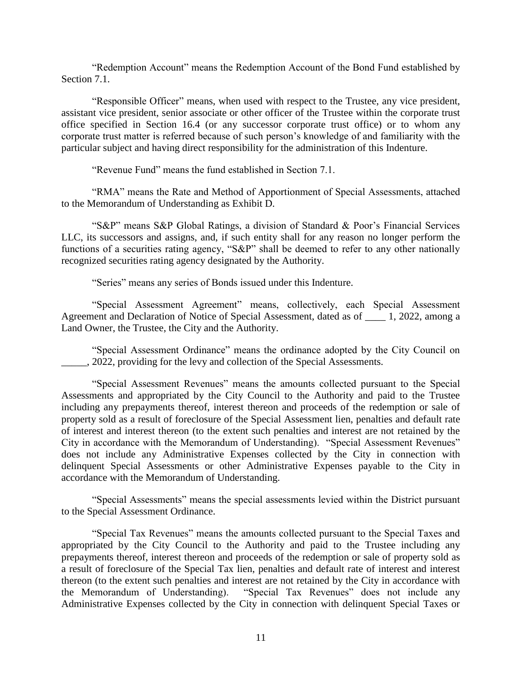"Redemption Account" means the Redemption Account of the Bond Fund established by Section 7.1.

"Responsible Officer" means, when used with respect to the Trustee, any vice president, assistant vice president, senior associate or other officer of the Trustee within the corporate trust office specified in Section 16.4 (or any successor corporate trust office) or to whom any corporate trust matter is referred because of such person's knowledge of and familiarity with the particular subject and having direct responsibility for the administration of this Indenture.

"Revenue Fund" means the fund established in Section 7.1.

"RMA" means the Rate and Method of Apportionment of Special Assessments, attached to the Memorandum of Understanding as Exhibit D.

"S&P" means S&P Global Ratings, a division of Standard & Poor's Financial Services LLC, its successors and assigns, and, if such entity shall for any reason no longer perform the functions of a securities rating agency, "S&P" shall be deemed to refer to any other nationally recognized securities rating agency designated by the Authority.

"Series" means any series of Bonds issued under this Indenture.

"Special Assessment Agreement" means, collectively, each Special Assessment Agreement and Declaration of Notice of Special Assessment, dated as of \_\_\_\_ 1, 2022, among a Land Owner, the Trustee, the City and the Authority.

"Special Assessment Ordinance" means the ordinance adopted by the City Council on 2022, providing for the levy and collection of the Special Assessments.

"Special Assessment Revenues" means the amounts collected pursuant to the Special Assessments and appropriated by the City Council to the Authority and paid to the Trustee including any prepayments thereof, interest thereon and proceeds of the redemption or sale of property sold as a result of foreclosure of the Special Assessment lien, penalties and default rate of interest and interest thereon (to the extent such penalties and interest are not retained by the City in accordance with the Memorandum of Understanding). "Special Assessment Revenues" does not include any Administrative Expenses collected by the City in connection with delinquent Special Assessments or other Administrative Expenses payable to the City in accordance with the Memorandum of Understanding.

"Special Assessments" means the special assessments levied within the District pursuant to the Special Assessment Ordinance.

"Special Tax Revenues" means the amounts collected pursuant to the Special Taxes and appropriated by the City Council to the Authority and paid to the Trustee including any prepayments thereof, interest thereon and proceeds of the redemption or sale of property sold as a result of foreclosure of the Special Tax lien, penalties and default rate of interest and interest thereon (to the extent such penalties and interest are not retained by the City in accordance with the Memorandum of Understanding). "Special Tax Revenues" does not include any Administrative Expenses collected by the City in connection with delinquent Special Taxes or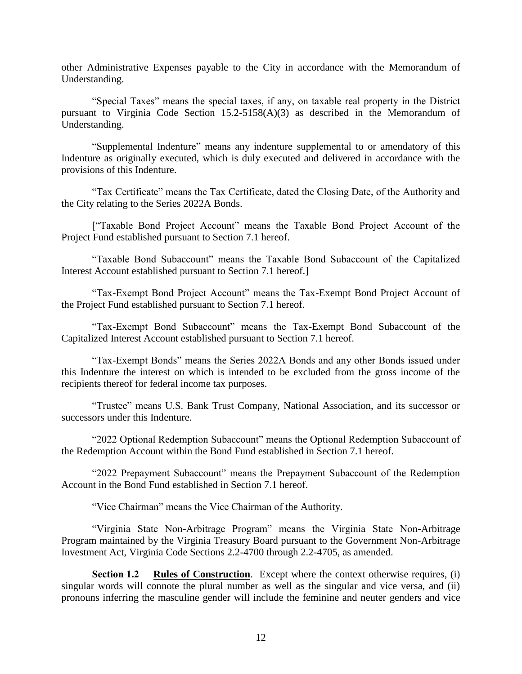other Administrative Expenses payable to the City in accordance with the Memorandum of Understanding.

"Special Taxes" means the special taxes, if any, on taxable real property in the District pursuant to Virginia Code Section 15.2-5158(A)(3) as described in the Memorandum of Understanding.

"Supplemental Indenture" means any indenture supplemental to or amendatory of this Indenture as originally executed, which is duly executed and delivered in accordance with the provisions of this Indenture.

"Tax Certificate" means the Tax Certificate, dated the Closing Date, of the Authority and the City relating to the Series 2022A Bonds.

["Taxable Bond Project Account" means the Taxable Bond Project Account of the Project Fund established pursuant to Section 7.1 hereof.

"Taxable Bond Subaccount" means the Taxable Bond Subaccount of the Capitalized Interest Account established pursuant to Section 7.1 hereof.]

"Tax-Exempt Bond Project Account" means the Tax-Exempt Bond Project Account of the Project Fund established pursuant to Section 7.1 hereof.

"Tax-Exempt Bond Subaccount" means the Tax-Exempt Bond Subaccount of the Capitalized Interest Account established pursuant to Section 7.1 hereof.

"Tax-Exempt Bonds" means the Series 2022A Bonds and any other Bonds issued under this Indenture the interest on which is intended to be excluded from the gross income of the recipients thereof for federal income tax purposes.

"Trustee" means U.S. Bank Trust Company, National Association, and its successor or successors under this Indenture.

"2022 Optional Redemption Subaccount" means the Optional Redemption Subaccount of the Redemption Account within the Bond Fund established in Section 7.1 hereof.

"2022 Prepayment Subaccount" means the Prepayment Subaccount of the Redemption Account in the Bond Fund established in Section 7.1 hereof.

"Vice Chairman" means the Vice Chairman of the Authority.

"Virginia State Non-Arbitrage Program" means the Virginia State Non-Arbitrage Program maintained by the Virginia Treasury Board pursuant to the Government Non-Arbitrage Investment Act, Virginia Code Sections 2.2-4700 through 2.2-4705, as amended.

**Section 1.2 Rules of Construction**. Except where the context otherwise requires, (i) singular words will connote the plural number as well as the singular and vice versa, and (ii) pronouns inferring the masculine gender will include the feminine and neuter genders and vice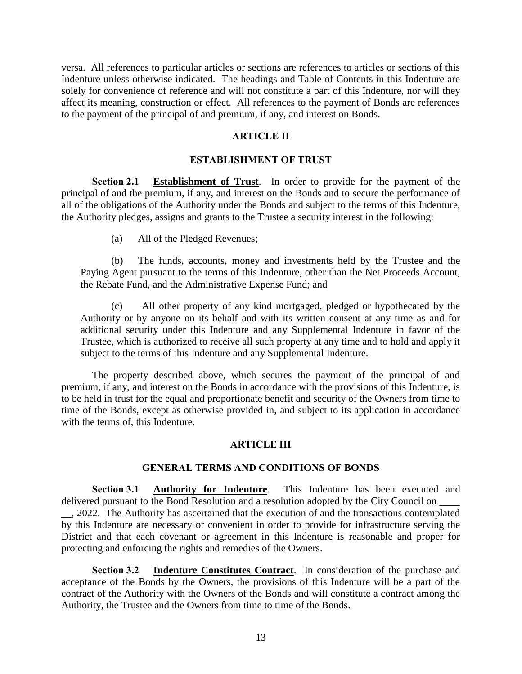versa. All references to particular articles or sections are references to articles or sections of this Indenture unless otherwise indicated. The headings and Table of Contents in this Indenture are solely for convenience of reference and will not constitute a part of this Indenture, nor will they affect its meaning, construction or effect. All references to the payment of Bonds are references to the payment of the principal of and premium, if any, and interest on Bonds.

### **ARTICLE II**

#### **ESTABLISHMENT OF TRUST**

**Section 2.1 Establishment of Trust**. In order to provide for the payment of the principal of and the premium, if any, and interest on the Bonds and to secure the performance of all of the obligations of the Authority under the Bonds and subject to the terms of this Indenture, the Authority pledges, assigns and grants to the Trustee a security interest in the following:

(a) All of the Pledged Revenues;

(b) The funds, accounts, money and investments held by the Trustee and the Paying Agent pursuant to the terms of this Indenture, other than the Net Proceeds Account, the Rebate Fund, and the Administrative Expense Fund; and

(c) All other property of any kind mortgaged, pledged or hypothecated by the Authority or by anyone on its behalf and with its written consent at any time as and for additional security under this Indenture and any Supplemental Indenture in favor of the Trustee, which is authorized to receive all such property at any time and to hold and apply it subject to the terms of this Indenture and any Supplemental Indenture.

The property described above, which secures the payment of the principal of and premium, if any, and interest on the Bonds in accordance with the provisions of this Indenture, is to be held in trust for the equal and proportionate benefit and security of the Owners from time to time of the Bonds, except as otherwise provided in, and subject to its application in accordance with the terms of, this Indenture.

#### **ARTICLE III**

#### **GENERAL TERMS AND CONDITIONS OF BONDS**

**Section 3.1 Authority for Indenture**. This Indenture has been executed and delivered pursuant to the Bond Resolution and a resolution adopted by the City Council on \_\_, 2022. The Authority has ascertained that the execution of and the transactions contemplated by this Indenture are necessary or convenient in order to provide for infrastructure serving the District and that each covenant or agreement in this Indenture is reasonable and proper for protecting and enforcing the rights and remedies of the Owners.

**Section 3.2 Indenture Constitutes Contract**. In consideration of the purchase and acceptance of the Bonds by the Owners, the provisions of this Indenture will be a part of the contract of the Authority with the Owners of the Bonds and will constitute a contract among the Authority, the Trustee and the Owners from time to time of the Bonds.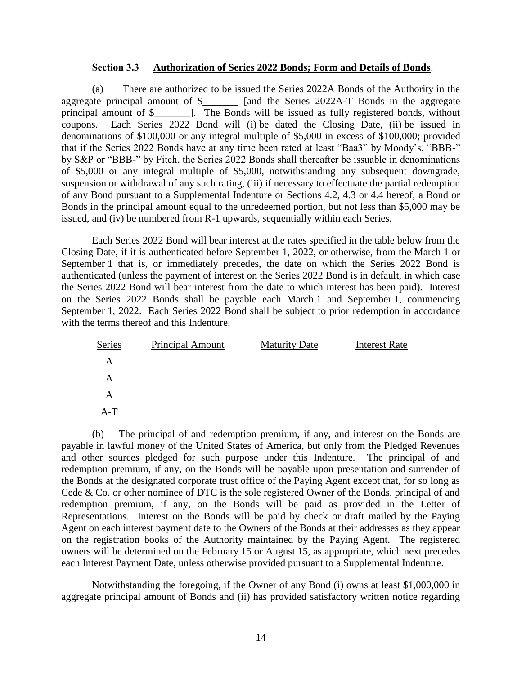### **Section 3.3 Authorization of Series 2022 Bonds; Form and Details of Bonds**.

(a) There are authorized to be issued the Series 2022A Bonds of the Authority in the aggregate principal amount of \$\_\_\_\_\_\_\_ [and the Series 2022A-T Bonds in the aggregate principal amount of \$\_\_\_\_\_\_\_]. The Bonds will be issued as fully registered bonds, without coupons. Each Series 2022 Bond will (i) be dated the Closing Date, (ii) be issued in denominations of \$100,000 or any integral multiple of \$5,000 in excess of \$100,000; provided that if the Series 2022 Bonds have at any time been rated at least "Baa3" by Moody's, "BBB-" by S&P or "BBB-" by Fitch, the Series 2022 Bonds shall thereafter be issuable in denominations of \$5,000 or any integral multiple of \$5,000, notwithstanding any subsequent downgrade, suspension or withdrawal of any such rating, (iii) if necessary to effectuate the partial redemption of any Bond pursuant to a Supplemental Indenture or Sections 4.2, 4.3 or 4.4 hereof, a Bond or Bonds in the principal amount equal to the unredeemed portion, but not less than \$5,000 may be issued, and (iv) be numbered from R-1 upwards, sequentially within each Series.

Each Series 2022 Bond will bear interest at the rates specified in the table below from the Closing Date, if it is authenticated before September 1, 2022, or otherwise, from the March 1 or September 1 that is, or immediately precedes, the date on which the Series 2022 Bond is authenticated (unless the payment of interest on the Series 2022 Bond is in default, in which case the Series 2022 Bond will bear interest from the date to which interest has been paid). Interest on the Series 2022 Bonds shall be payable each March 1 and September 1, commencing September 1, 2022. Each Series 2022 Bond shall be subject to prior redemption in accordance with the terms thereof and this Indenture.

| Series | <b>Principal Amount</b> | <b>Maturity Date</b> | <b>Interest Rate</b> |
|--------|-------------------------|----------------------|----------------------|
| A      |                         |                      |                      |
| A      |                         |                      |                      |
| A      |                         |                      |                      |
| $A-T$  |                         |                      |                      |

(b) The principal of and redemption premium, if any, and interest on the Bonds are payable in lawful money of the United States of America, but only from the Pledged Revenues and other sources pledged for such purpose under this Indenture. The principal of and redemption premium, if any, on the Bonds will be payable upon presentation and surrender of the Bonds at the designated corporate trust office of the Paying Agent except that, for so long as Cede & Co. or other nominee of DTC is the sole registered Owner of the Bonds, principal of and redemption premium, if any, on the Bonds will be paid as provided in the Letter of Representations. Interest on the Bonds will be paid by check or draft mailed by the Paying Agent on each interest payment date to the Owners of the Bonds at their addresses as they appear on the registration books of the Authority maintained by the Paying Agent. The registered owners will be determined on the February 15 or August 15, as appropriate, which next precedes each Interest Payment Date, unless otherwise provided pursuant to a Supplemental Indenture.

Notwithstanding the foregoing, if the Owner of any Bond (i) owns at least \$1,000,000 in aggregate principal amount of Bonds and (ii) has provided satisfactory written notice regarding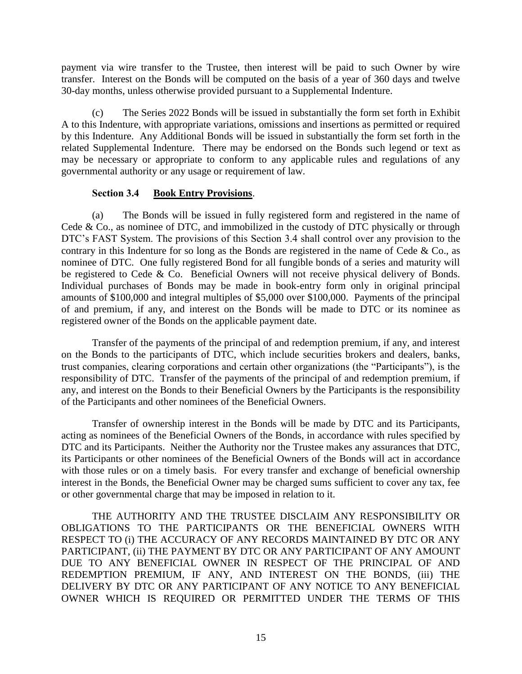payment via wire transfer to the Trustee, then interest will be paid to such Owner by wire transfer. Interest on the Bonds will be computed on the basis of a year of 360 days and twelve 30-day months, unless otherwise provided pursuant to a Supplemental Indenture.

(c) The Series 2022 Bonds will be issued in substantially the form set forth in Exhibit A to this Indenture, with appropriate variations, omissions and insertions as permitted or required by this Indenture. Any Additional Bonds will be issued in substantially the form set forth in the related Supplemental Indenture. There may be endorsed on the Bonds such legend or text as may be necessary or appropriate to conform to any applicable rules and regulations of any governmental authority or any usage or requirement of law.

### **Section 3.4 Book Entry Provisions**.

(a) The Bonds will be issued in fully registered form and registered in the name of Cede & Co., as nominee of DTC, and immobilized in the custody of DTC physically or through DTC's FAST System. The provisions of this Section 3.4 shall control over any provision to the contrary in this Indenture for so long as the Bonds are registered in the name of Cede & Co., as nominee of DTC. One fully registered Bond for all fungible bonds of a series and maturity will be registered to Cede & Co. Beneficial Owners will not receive physical delivery of Bonds. Individual purchases of Bonds may be made in book-entry form only in original principal amounts of \$100,000 and integral multiples of \$5,000 over \$100,000. Payments of the principal of and premium, if any, and interest on the Bonds will be made to DTC or its nominee as registered owner of the Bonds on the applicable payment date.

Transfer of the payments of the principal of and redemption premium, if any, and interest on the Bonds to the participants of DTC, which include securities brokers and dealers, banks, trust companies, clearing corporations and certain other organizations (the "Participants"), is the responsibility of DTC. Transfer of the payments of the principal of and redemption premium, if any, and interest on the Bonds to their Beneficial Owners by the Participants is the responsibility of the Participants and other nominees of the Beneficial Owners.

Transfer of ownership interest in the Bonds will be made by DTC and its Participants, acting as nominees of the Beneficial Owners of the Bonds, in accordance with rules specified by DTC and its Participants. Neither the Authority nor the Trustee makes any assurances that DTC, its Participants or other nominees of the Beneficial Owners of the Bonds will act in accordance with those rules or on a timely basis. For every transfer and exchange of beneficial ownership interest in the Bonds, the Beneficial Owner may be charged sums sufficient to cover any tax, fee or other governmental charge that may be imposed in relation to it.

THE AUTHORITY AND THE TRUSTEE DISCLAIM ANY RESPONSIBILITY OR OBLIGATIONS TO THE PARTICIPANTS OR THE BENEFICIAL OWNERS WITH RESPECT TO (i) THE ACCURACY OF ANY RECORDS MAINTAINED BY DTC OR ANY PARTICIPANT, (ii) THE PAYMENT BY DTC OR ANY PARTICIPANT OF ANY AMOUNT DUE TO ANY BENEFICIAL OWNER IN RESPECT OF THE PRINCIPAL OF AND REDEMPTION PREMIUM, IF ANY, AND INTEREST ON THE BONDS, (iii) THE DELIVERY BY DTC OR ANY PARTICIPANT OF ANY NOTICE TO ANY BENEFICIAL OWNER WHICH IS REQUIRED OR PERMITTED UNDER THE TERMS OF THIS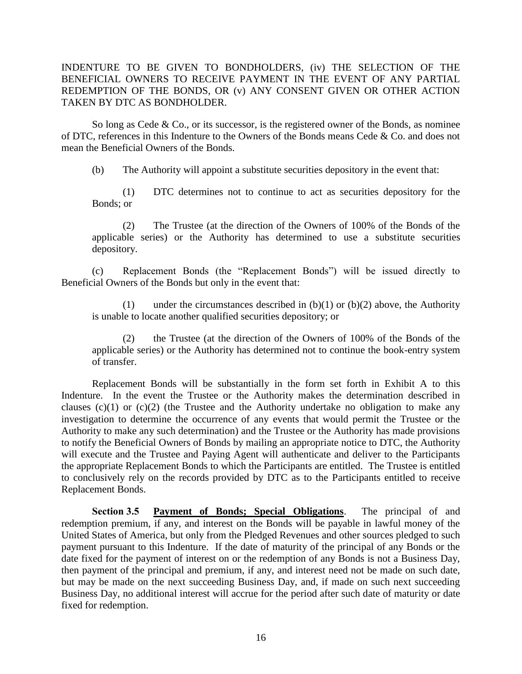INDENTURE TO BE GIVEN TO BONDHOLDERS, (iv) THE SELECTION OF THE BENEFICIAL OWNERS TO RECEIVE PAYMENT IN THE EVENT OF ANY PARTIAL REDEMPTION OF THE BONDS, OR (v) ANY CONSENT GIVEN OR OTHER ACTION TAKEN BY DTC AS BONDHOLDER.

So long as Cede  $& Co.,$  or its successor, is the registered owner of the Bonds, as nominee of DTC, references in this Indenture to the Owners of the Bonds means Cede & Co. and does not mean the Beneficial Owners of the Bonds.

(b) The Authority will appoint a substitute securities depository in the event that:

(1) DTC determines not to continue to act as securities depository for the Bonds; or

(2) The Trustee (at the direction of the Owners of 100% of the Bonds of the applicable series) or the Authority has determined to use a substitute securities depository.

(c) Replacement Bonds (the "Replacement Bonds") will be issued directly to Beneficial Owners of the Bonds but only in the event that:

(1) under the circumstances described in  $(b)(1)$  or  $(b)(2)$  above, the Authority is unable to locate another qualified securities depository; or

(2) the Trustee (at the direction of the Owners of 100% of the Bonds of the applicable series) or the Authority has determined not to continue the book-entry system of transfer.

Replacement Bonds will be substantially in the form set forth in Exhibit A to this Indenture. In the event the Trustee or the Authority makes the determination described in clauses  $(c)(1)$  or  $(c)(2)$  (the Trustee and the Authority undertake no obligation to make any investigation to determine the occurrence of any events that would permit the Trustee or the Authority to make any such determination) and the Trustee or the Authority has made provisions to notify the Beneficial Owners of Bonds by mailing an appropriate notice to DTC, the Authority will execute and the Trustee and Paying Agent will authenticate and deliver to the Participants the appropriate Replacement Bonds to which the Participants are entitled. The Trustee is entitled to conclusively rely on the records provided by DTC as to the Participants entitled to receive Replacement Bonds.

**Section 3.5 Payment of Bonds; Special Obligations**. The principal of and redemption premium, if any, and interest on the Bonds will be payable in lawful money of the United States of America, but only from the Pledged Revenues and other sources pledged to such payment pursuant to this Indenture. If the date of maturity of the principal of any Bonds or the date fixed for the payment of interest on or the redemption of any Bonds is not a Business Day, then payment of the principal and premium, if any, and interest need not be made on such date, but may be made on the next succeeding Business Day, and, if made on such next succeeding Business Day, no additional interest will accrue for the period after such date of maturity or date fixed for redemption.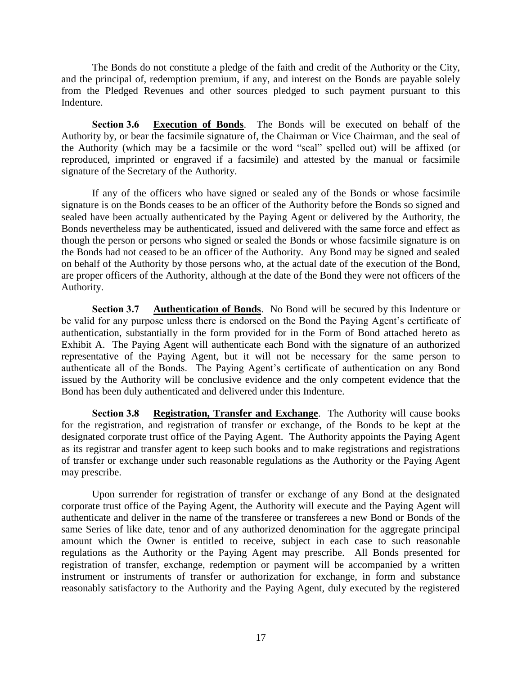The Bonds do not constitute a pledge of the faith and credit of the Authority or the City, and the principal of, redemption premium, if any, and interest on the Bonds are payable solely from the Pledged Revenues and other sources pledged to such payment pursuant to this Indenture.

**Section 3.6 Execution of Bonds**. The Bonds will be executed on behalf of the Authority by, or bear the facsimile signature of, the Chairman or Vice Chairman, and the seal of the Authority (which may be a facsimile or the word "seal" spelled out) will be affixed (or reproduced, imprinted or engraved if a facsimile) and attested by the manual or facsimile signature of the Secretary of the Authority.

If any of the officers who have signed or sealed any of the Bonds or whose facsimile signature is on the Bonds ceases to be an officer of the Authority before the Bonds so signed and sealed have been actually authenticated by the Paying Agent or delivered by the Authority, the Bonds nevertheless may be authenticated, issued and delivered with the same force and effect as though the person or persons who signed or sealed the Bonds or whose facsimile signature is on the Bonds had not ceased to be an officer of the Authority. Any Bond may be signed and sealed on behalf of the Authority by those persons who, at the actual date of the execution of the Bond, are proper officers of the Authority, although at the date of the Bond they were not officers of the Authority.

**Section 3.7 Authentication of Bonds**. No Bond will be secured by this Indenture or be valid for any purpose unless there is endorsed on the Bond the Paying Agent's certificate of authentication, substantially in the form provided for in the Form of Bond attached hereto as Exhibit A. The Paying Agent will authenticate each Bond with the signature of an authorized representative of the Paying Agent, but it will not be necessary for the same person to authenticate all of the Bonds. The Paying Agent's certificate of authentication on any Bond issued by the Authority will be conclusive evidence and the only competent evidence that the Bond has been duly authenticated and delivered under this Indenture.

**Section 3.8 Registration, Transfer and Exchange**. The Authority will cause books for the registration, and registration of transfer or exchange, of the Bonds to be kept at the designated corporate trust office of the Paying Agent. The Authority appoints the Paying Agent as its registrar and transfer agent to keep such books and to make registrations and registrations of transfer or exchange under such reasonable regulations as the Authority or the Paying Agent may prescribe.

Upon surrender for registration of transfer or exchange of any Bond at the designated corporate trust office of the Paying Agent, the Authority will execute and the Paying Agent will authenticate and deliver in the name of the transferee or transferees a new Bond or Bonds of the same Series of like date, tenor and of any authorized denomination for the aggregate principal amount which the Owner is entitled to receive, subject in each case to such reasonable regulations as the Authority or the Paying Agent may prescribe. All Bonds presented for registration of transfer, exchange, redemption or payment will be accompanied by a written instrument or instruments of transfer or authorization for exchange, in form and substance reasonably satisfactory to the Authority and the Paying Agent, duly executed by the registered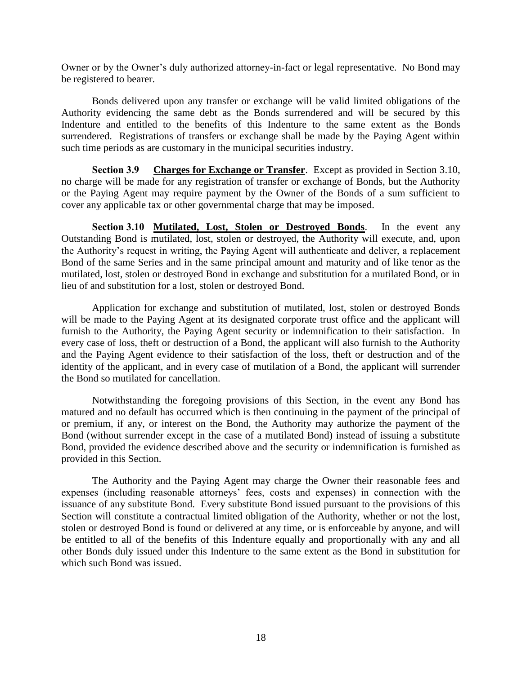Owner or by the Owner's duly authorized attorney-in-fact or legal representative. No Bond may be registered to bearer.

Bonds delivered upon any transfer or exchange will be valid limited obligations of the Authority evidencing the same debt as the Bonds surrendered and will be secured by this Indenture and entitled to the benefits of this Indenture to the same extent as the Bonds surrendered. Registrations of transfers or exchange shall be made by the Paying Agent within such time periods as are customary in the municipal securities industry.

**Section 3.9 Charges for Exchange or Transfer**. Except as provided in Section 3.10, no charge will be made for any registration of transfer or exchange of Bonds, but the Authority or the Paying Agent may require payment by the Owner of the Bonds of a sum sufficient to cover any applicable tax or other governmental charge that may be imposed.

**Section 3.10 Mutilated, Lost, Stolen or Destroyed Bonds**. In the event any Outstanding Bond is mutilated, lost, stolen or destroyed, the Authority will execute, and, upon the Authority's request in writing, the Paying Agent will authenticate and deliver, a replacement Bond of the same Series and in the same principal amount and maturity and of like tenor as the mutilated, lost, stolen or destroyed Bond in exchange and substitution for a mutilated Bond, or in lieu of and substitution for a lost, stolen or destroyed Bond.

Application for exchange and substitution of mutilated, lost, stolen or destroyed Bonds will be made to the Paying Agent at its designated corporate trust office and the applicant will furnish to the Authority, the Paying Agent security or indemnification to their satisfaction. In every case of loss, theft or destruction of a Bond, the applicant will also furnish to the Authority and the Paying Agent evidence to their satisfaction of the loss, theft or destruction and of the identity of the applicant, and in every case of mutilation of a Bond, the applicant will surrender the Bond so mutilated for cancellation.

Notwithstanding the foregoing provisions of this Section, in the event any Bond has matured and no default has occurred which is then continuing in the payment of the principal of or premium, if any, or interest on the Bond, the Authority may authorize the payment of the Bond (without surrender except in the case of a mutilated Bond) instead of issuing a substitute Bond, provided the evidence described above and the security or indemnification is furnished as provided in this Section.

The Authority and the Paying Agent may charge the Owner their reasonable fees and expenses (including reasonable attorneys' fees, costs and expenses) in connection with the issuance of any substitute Bond. Every substitute Bond issued pursuant to the provisions of this Section will constitute a contractual limited obligation of the Authority, whether or not the lost, stolen or destroyed Bond is found or delivered at any time, or is enforceable by anyone, and will be entitled to all of the benefits of this Indenture equally and proportionally with any and all other Bonds duly issued under this Indenture to the same extent as the Bond in substitution for which such Bond was issued.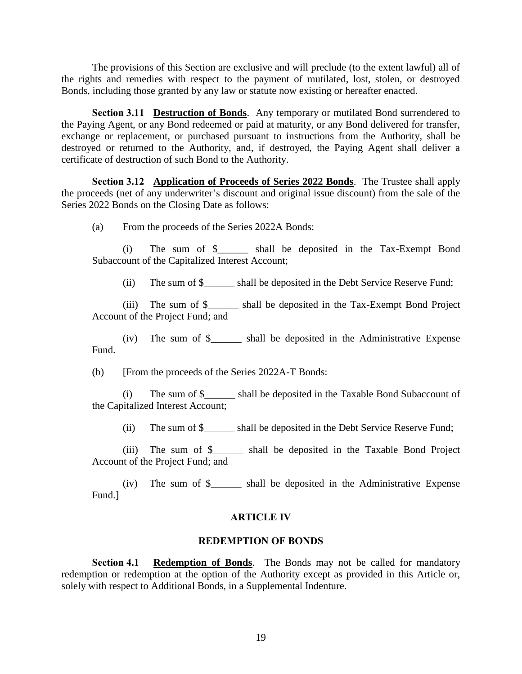The provisions of this Section are exclusive and will preclude (to the extent lawful) all of the rights and remedies with respect to the payment of mutilated, lost, stolen, or destroyed Bonds, including those granted by any law or statute now existing or hereafter enacted.

**Section 3.11 Destruction of Bonds**. Any temporary or mutilated Bond surrendered to the Paying Agent, or any Bond redeemed or paid at maturity, or any Bond delivered for transfer, exchange or replacement, or purchased pursuant to instructions from the Authority, shall be destroyed or returned to the Authority, and, if destroyed, the Paying Agent shall deliver a certificate of destruction of such Bond to the Authority.

**Section 3.12 Application of Proceeds of Series 2022 Bonds**. The Trustee shall apply the proceeds (net of any underwriter's discount and original issue discount) from the sale of the Series 2022 Bonds on the Closing Date as follows:

(a) From the proceeds of the Series 2022A Bonds:

(i) The sum of \$\_\_\_\_\_\_ shall be deposited in the Tax-Exempt Bond Subaccount of the Capitalized Interest Account;

(ii) The sum of \$ shall be deposited in the Debt Service Reserve Fund;

(iii) The sum of \$\_\_\_\_\_\_ shall be deposited in the Tax-Exempt Bond Project Account of the Project Fund; and

(iv) The sum of \$\_\_\_\_\_\_ shall be deposited in the Administrative Expense Fund.

(b) [From the proceeds of the Series 2022A-T Bonds:

(i) The sum of \$\_\_\_\_\_\_ shall be deposited in the Taxable Bond Subaccount of the Capitalized Interest Account;

(ii) The sum of \$ shall be deposited in the Debt Service Reserve Fund;

(iii) The sum of \$\_\_\_\_\_\_ shall be deposited in the Taxable Bond Project Account of the Project Fund; and

(iv) The sum of \$\_\_\_\_\_\_ shall be deposited in the Administrative Expense Fund.]

#### **ARTICLE IV**

#### **REDEMPTION OF BONDS**

**Section 4.1 Redemption of Bonds**. The Bonds may not be called for mandatory redemption or redemption at the option of the Authority except as provided in this Article or, solely with respect to Additional Bonds, in a Supplemental Indenture.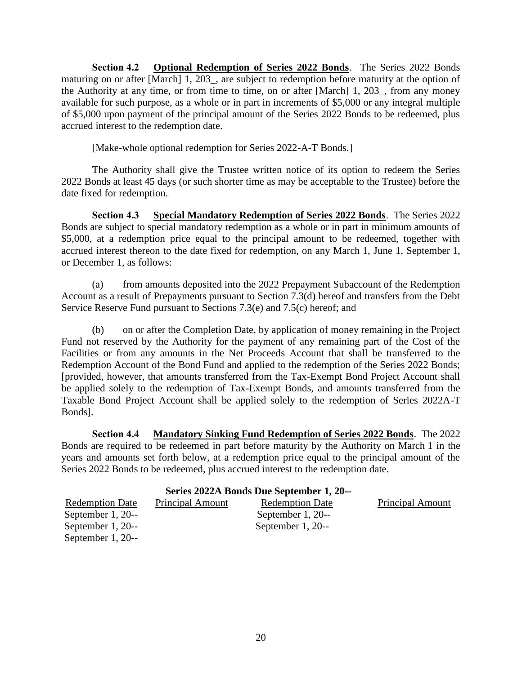**Section 4.2 Optional Redemption of Series 2022 Bonds**. The Series 2022 Bonds maturing on or after [March] 1, 203\_, are subject to redemption before maturity at the option of the Authority at any time, or from time to time, on or after [March] 1, 203\_, from any money available for such purpose, as a whole or in part in increments of \$5,000 or any integral multiple of \$5,000 upon payment of the principal amount of the Series 2022 Bonds to be redeemed, plus accrued interest to the redemption date.

[Make-whole optional redemption for Series 2022-A-T Bonds.]

The Authority shall give the Trustee written notice of its option to redeem the Series 2022 Bonds at least 45 days (or such shorter time as may be acceptable to the Trustee) before the date fixed for redemption.

**Section 4.3 Special Mandatory Redemption of Series 2022 Bonds**. The Series 2022 Bonds are subject to special mandatory redemption as a whole or in part in minimum amounts of \$5,000, at a redemption price equal to the principal amount to be redeemed, together with accrued interest thereon to the date fixed for redemption, on any March 1, June 1, September 1, or December 1, as follows:

(a) from amounts deposited into the 2022 Prepayment Subaccount of the Redemption Account as a result of Prepayments pursuant to Section 7.3(d) hereof and transfers from the Debt Service Reserve Fund pursuant to Sections 7.3(e) and 7.5(c) hereof; and

(b) on or after the Completion Date, by application of money remaining in the Project Fund not reserved by the Authority for the payment of any remaining part of the Cost of the Facilities or from any amounts in the Net Proceeds Account that shall be transferred to the Redemption Account of the Bond Fund and applied to the redemption of the Series 2022 Bonds; [provided, however, that amounts transferred from the Tax-Exempt Bond Project Account shall be applied solely to the redemption of Tax-Exempt Bonds, and amounts transferred from the Taxable Bond Project Account shall be applied solely to the redemption of Series 2022A-T Bonds].

**Section 4.4 Mandatory Sinking Fund Redemption of Series 2022 Bonds**. The 2022 Bonds are required to be redeemed in part before maturity by the Authority on March 1 in the years and amounts set forth below, at a redemption price equal to the principal amount of the Series 2022 Bonds to be redeemed, plus accrued interest to the redemption date.

| Series 2022A Bonds Due September 1, 20-- |                         |                        |                  |  |
|------------------------------------------|-------------------------|------------------------|------------------|--|
| <b>Redemption Date</b>                   | <b>Principal Amount</b> | <b>Redemption Date</b> | Principal Amount |  |
| September $1, 20$ --                     |                         | September $1, 20$ --   |                  |  |
| September $1, 20$ --                     |                         | September $1, 20$ --   |                  |  |
| September $1, 20$ --                     |                         |                        |                  |  |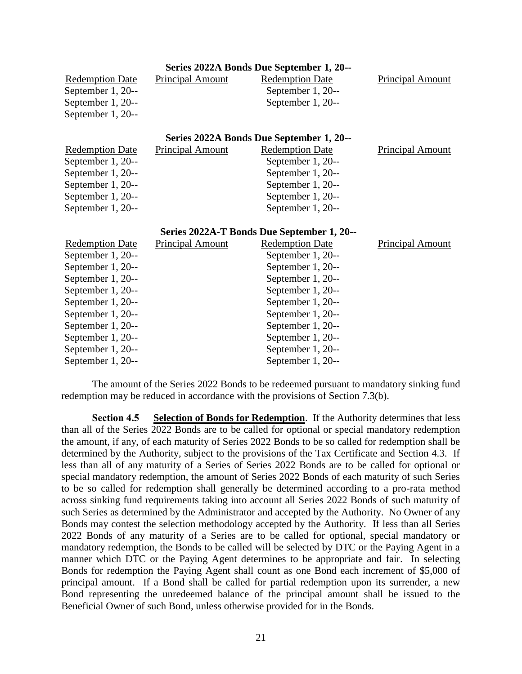| Series 2022A Bonds Due September 1, 20-- |                                            |                                          |                         |  |  |
|------------------------------------------|--------------------------------------------|------------------------------------------|-------------------------|--|--|
| <b>Redemption Date</b>                   | <b>Principal Amount</b>                    | <b>Redemption Date</b>                   | <b>Principal Amount</b> |  |  |
| September 1, 20--                        |                                            | September 1, 20--                        |                         |  |  |
| September 1, 20--                        |                                            | September 1, 20--                        |                         |  |  |
| September 1, 20--                        |                                            |                                          |                         |  |  |
|                                          |                                            | Series 2022A Bonds Due September 1, 20-- |                         |  |  |
| <b>Redemption Date</b>                   | <b>Principal Amount</b>                    | <b>Redemption Date</b>                   | <b>Principal Amount</b> |  |  |
| September 1, 20--                        |                                            | September 1, 20--                        |                         |  |  |
| September 1, 20--                        |                                            | September 1, 20--                        |                         |  |  |
| September 1, 20--                        |                                            | September 1, 20--                        |                         |  |  |
| September 1, 20--                        |                                            | September 1, 20--                        |                         |  |  |
| September 1, 20--                        |                                            | September 1, 20--                        |                         |  |  |
|                                          | Series 2022A-T Bonds Due September 1, 20-- |                                          |                         |  |  |
| <b>Redemption Date</b>                   | Principal Amount                           | <b>Redemption Date</b>                   | Principal Amount        |  |  |
| September 1, 20--                        |                                            | September 1, 20--                        |                         |  |  |
| September 1, 20--                        |                                            | September 1, 20--                        |                         |  |  |
| September 1, 20--                        |                                            | September 1, 20--                        |                         |  |  |
| September 1, 20--                        |                                            | September 1, 20--                        |                         |  |  |
| September 1, 20--                        |                                            | September 1, 20--                        |                         |  |  |
| September 1, 20--                        |                                            | September 1, 20--                        |                         |  |  |
| September 1, 20--                        |                                            | September 1, 20--                        |                         |  |  |
| September 1, 20--                        |                                            | September 1, 20--                        |                         |  |  |
| September 1, 20--                        |                                            | September 1, 20--                        |                         |  |  |
| September 1, 20--                        |                                            | September 1, 20--                        |                         |  |  |

The amount of the Series 2022 Bonds to be redeemed pursuant to mandatory sinking fund redemption may be reduced in accordance with the provisions of Section 7.3(b).

**Section 4.5 Selection of Bonds for Redemption**. If the Authority determines that less than all of the Series 2022 Bonds are to be called for optional or special mandatory redemption the amount, if any, of each maturity of Series 2022 Bonds to be so called for redemption shall be determined by the Authority, subject to the provisions of the Tax Certificate and Section 4.3. If less than all of any maturity of a Series of Series 2022 Bonds are to be called for optional or special mandatory redemption, the amount of Series 2022 Bonds of each maturity of such Series to be so called for redemption shall generally be determined according to a pro-rata method across sinking fund requirements taking into account all Series 2022 Bonds of such maturity of such Series as determined by the Administrator and accepted by the Authority. No Owner of any Bonds may contest the selection methodology accepted by the Authority. If less than all Series 2022 Bonds of any maturity of a Series are to be called for optional, special mandatory or mandatory redemption, the Bonds to be called will be selected by DTC or the Paying Agent in a manner which DTC or the Paying Agent determines to be appropriate and fair. In selecting Bonds for redemption the Paying Agent shall count as one Bond each increment of \$5,000 of principal amount. If a Bond shall be called for partial redemption upon its surrender, a new Bond representing the unredeemed balance of the principal amount shall be issued to the Beneficial Owner of such Bond, unless otherwise provided for in the Bonds.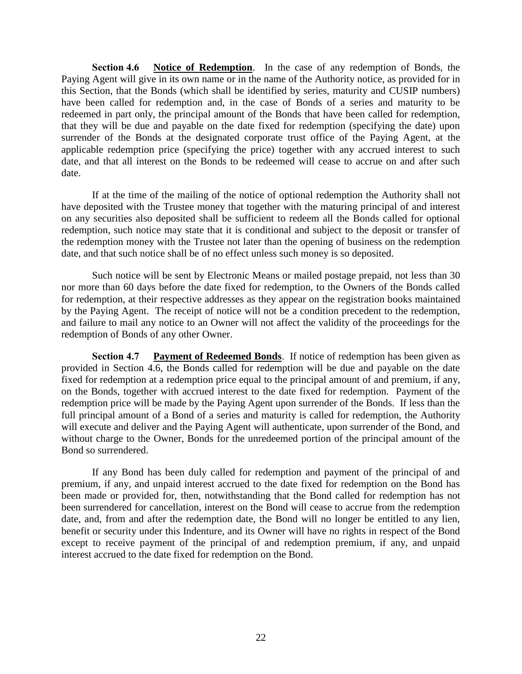**Section 4.6 Notice of Redemption**. In the case of any redemption of Bonds, the Paying Agent will give in its own name or in the name of the Authority notice, as provided for in this Section, that the Bonds (which shall be identified by series, maturity and CUSIP numbers) have been called for redemption and, in the case of Bonds of a series and maturity to be redeemed in part only, the principal amount of the Bonds that have been called for redemption, that they will be due and payable on the date fixed for redemption (specifying the date) upon surrender of the Bonds at the designated corporate trust office of the Paying Agent, at the applicable redemption price (specifying the price) together with any accrued interest to such date, and that all interest on the Bonds to be redeemed will cease to accrue on and after such date.

If at the time of the mailing of the notice of optional redemption the Authority shall not have deposited with the Trustee money that together with the maturing principal of and interest on any securities also deposited shall be sufficient to redeem all the Bonds called for optional redemption, such notice may state that it is conditional and subject to the deposit or transfer of the redemption money with the Trustee not later than the opening of business on the redemption date, and that such notice shall be of no effect unless such money is so deposited.

Such notice will be sent by Electronic Means or mailed postage prepaid, not less than 30 nor more than 60 days before the date fixed for redemption, to the Owners of the Bonds called for redemption, at their respective addresses as they appear on the registration books maintained by the Paying Agent. The receipt of notice will not be a condition precedent to the redemption, and failure to mail any notice to an Owner will not affect the validity of the proceedings for the redemption of Bonds of any other Owner.

**Section 4.7 Payment of Redeemed Bonds**. If notice of redemption has been given as provided in Section 4.6, the Bonds called for redemption will be due and payable on the date fixed for redemption at a redemption price equal to the principal amount of and premium, if any, on the Bonds, together with accrued interest to the date fixed for redemption. Payment of the redemption price will be made by the Paying Agent upon surrender of the Bonds. If less than the full principal amount of a Bond of a series and maturity is called for redemption, the Authority will execute and deliver and the Paying Agent will authenticate, upon surrender of the Bond, and without charge to the Owner, Bonds for the unredeemed portion of the principal amount of the Bond so surrendered.

If any Bond has been duly called for redemption and payment of the principal of and premium, if any, and unpaid interest accrued to the date fixed for redemption on the Bond has been made or provided for, then, notwithstanding that the Bond called for redemption has not been surrendered for cancellation, interest on the Bond will cease to accrue from the redemption date, and, from and after the redemption date, the Bond will no longer be entitled to any lien, benefit or security under this Indenture, and its Owner will have no rights in respect of the Bond except to receive payment of the principal of and redemption premium, if any, and unpaid interest accrued to the date fixed for redemption on the Bond.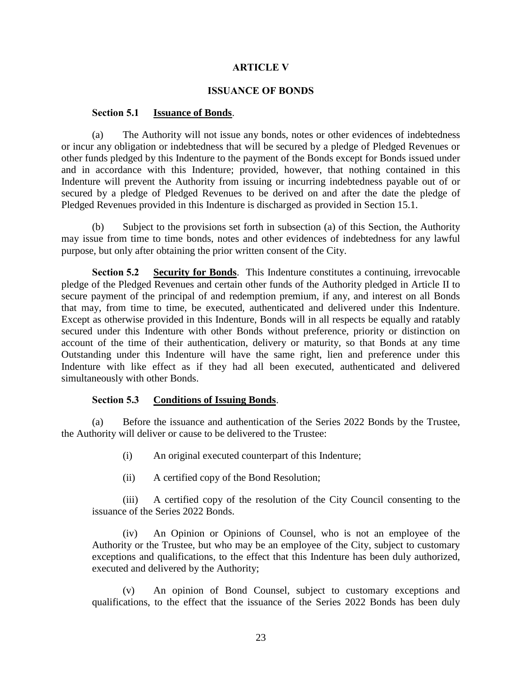### **ARTICLE V**

### **ISSUANCE OF BONDS**

### **Section 5.1 Issuance of Bonds**.

(a) The Authority will not issue any bonds, notes or other evidences of indebtedness or incur any obligation or indebtedness that will be secured by a pledge of Pledged Revenues or other funds pledged by this Indenture to the payment of the Bonds except for Bonds issued under and in accordance with this Indenture; provided, however, that nothing contained in this Indenture will prevent the Authority from issuing or incurring indebtedness payable out of or secured by a pledge of Pledged Revenues to be derived on and after the date the pledge of Pledged Revenues provided in this Indenture is discharged as provided in Section 15.1.

(b) Subject to the provisions set forth in subsection (a) of this Section, the Authority may issue from time to time bonds, notes and other evidences of indebtedness for any lawful purpose, but only after obtaining the prior written consent of the City.

**Section 5.2 Security for Bonds**. This Indenture constitutes a continuing, irrevocable pledge of the Pledged Revenues and certain other funds of the Authority pledged in Article II to secure payment of the principal of and redemption premium, if any, and interest on all Bonds that may, from time to time, be executed, authenticated and delivered under this Indenture. Except as otherwise provided in this Indenture, Bonds will in all respects be equally and ratably secured under this Indenture with other Bonds without preference, priority or distinction on account of the time of their authentication, delivery or maturity, so that Bonds at any time Outstanding under this Indenture will have the same right, lien and preference under this Indenture with like effect as if they had all been executed, authenticated and delivered simultaneously with other Bonds.

### **Section 5.3 Conditions of Issuing Bonds**.

(a) Before the issuance and authentication of the Series 2022 Bonds by the Trustee, the Authority will deliver or cause to be delivered to the Trustee:

- (i) An original executed counterpart of this Indenture;
- (ii) A certified copy of the Bond Resolution;

(iii) A certified copy of the resolution of the City Council consenting to the issuance of the Series 2022 Bonds.

(iv) An Opinion or Opinions of Counsel, who is not an employee of the Authority or the Trustee, but who may be an employee of the City, subject to customary exceptions and qualifications, to the effect that this Indenture has been duly authorized, executed and delivered by the Authority;

(v) An opinion of Bond Counsel, subject to customary exceptions and qualifications, to the effect that the issuance of the Series 2022 Bonds has been duly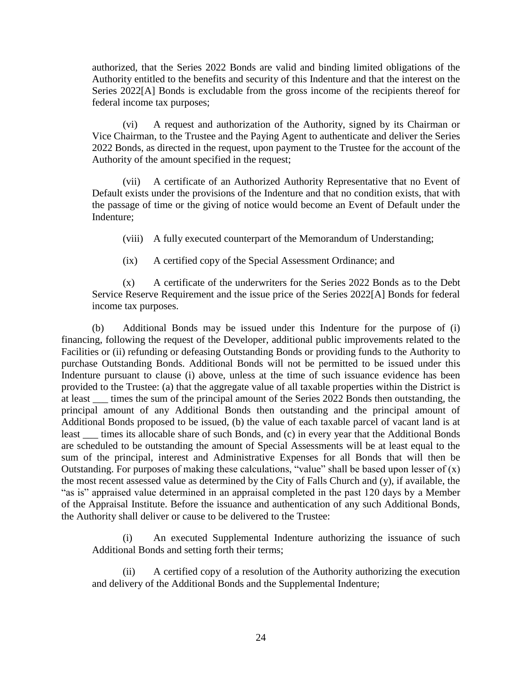authorized, that the Series 2022 Bonds are valid and binding limited obligations of the Authority entitled to the benefits and security of this Indenture and that the interest on the Series 2022[A] Bonds is excludable from the gross income of the recipients thereof for federal income tax purposes;

(vi) A request and authorization of the Authority, signed by its Chairman or Vice Chairman, to the Trustee and the Paying Agent to authenticate and deliver the Series 2022 Bonds, as directed in the request, upon payment to the Trustee for the account of the Authority of the amount specified in the request;

(vii) A certificate of an Authorized Authority Representative that no Event of Default exists under the provisions of the Indenture and that no condition exists, that with the passage of time or the giving of notice would become an Event of Default under the Indenture;

(viii) A fully executed counterpart of the Memorandum of Understanding;

(ix) A certified copy of the Special Assessment Ordinance; and

(x) A certificate of the underwriters for the Series 2022 Bonds as to the Debt Service Reserve Requirement and the issue price of the Series 2022[A] Bonds for federal income tax purposes.

(b) Additional Bonds may be issued under this Indenture for the purpose of (i) financing, following the request of the Developer, additional public improvements related to the Facilities or (ii) refunding or defeasing Outstanding Bonds or providing funds to the Authority to purchase Outstanding Bonds. Additional Bonds will not be permitted to be issued under this Indenture pursuant to clause (i) above, unless at the time of such issuance evidence has been provided to the Trustee: (a) that the aggregate value of all taxable properties within the District is at least times the sum of the principal amount of the Series 2022 Bonds then outstanding, the principal amount of any Additional Bonds then outstanding and the principal amount of Additional Bonds proposed to be issued, (b) the value of each taxable parcel of vacant land is at least \_\_\_ times its allocable share of such Bonds, and (c) in every year that the Additional Bonds are scheduled to be outstanding the amount of Special Assessments will be at least equal to the sum of the principal, interest and Administrative Expenses for all Bonds that will then be Outstanding. For purposes of making these calculations, "value" shall be based upon lesser of  $(x)$ the most recent assessed value as determined by the City of Falls Church and (y), if available, the "as is" appraised value determined in an appraisal completed in the past 120 days by a Member of the Appraisal Institute. Before the issuance and authentication of any such Additional Bonds, the Authority shall deliver or cause to be delivered to the Trustee:

(i) An executed Supplemental Indenture authorizing the issuance of such Additional Bonds and setting forth their terms;

(ii) A certified copy of a resolution of the Authority authorizing the execution and delivery of the Additional Bonds and the Supplemental Indenture;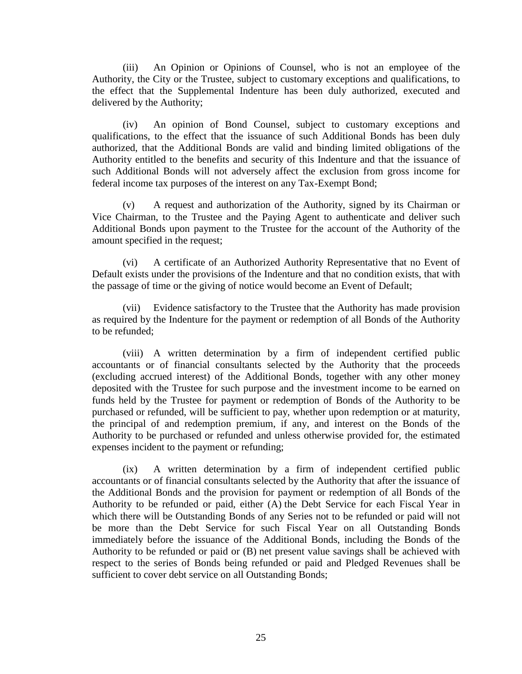(iii) An Opinion or Opinions of Counsel, who is not an employee of the Authority, the City or the Trustee, subject to customary exceptions and qualifications, to the effect that the Supplemental Indenture has been duly authorized, executed and delivered by the Authority;

(iv) An opinion of Bond Counsel, subject to customary exceptions and qualifications, to the effect that the issuance of such Additional Bonds has been duly authorized, that the Additional Bonds are valid and binding limited obligations of the Authority entitled to the benefits and security of this Indenture and that the issuance of such Additional Bonds will not adversely affect the exclusion from gross income for federal income tax purposes of the interest on any Tax-Exempt Bond;

(v) A request and authorization of the Authority, signed by its Chairman or Vice Chairman, to the Trustee and the Paying Agent to authenticate and deliver such Additional Bonds upon payment to the Trustee for the account of the Authority of the amount specified in the request;

(vi) A certificate of an Authorized Authority Representative that no Event of Default exists under the provisions of the Indenture and that no condition exists, that with the passage of time or the giving of notice would become an Event of Default;

(vii) Evidence satisfactory to the Trustee that the Authority has made provision as required by the Indenture for the payment or redemption of all Bonds of the Authority to be refunded;

(viii) A written determination by a firm of independent certified public accountants or of financial consultants selected by the Authority that the proceeds (excluding accrued interest) of the Additional Bonds, together with any other money deposited with the Trustee for such purpose and the investment income to be earned on funds held by the Trustee for payment or redemption of Bonds of the Authority to be purchased or refunded, will be sufficient to pay, whether upon redemption or at maturity, the principal of and redemption premium, if any, and interest on the Bonds of the Authority to be purchased or refunded and unless otherwise provided for, the estimated expenses incident to the payment or refunding;

(ix) A written determination by a firm of independent certified public accountants or of financial consultants selected by the Authority that after the issuance of the Additional Bonds and the provision for payment or redemption of all Bonds of the Authority to be refunded or paid, either (A) the Debt Service for each Fiscal Year in which there will be Outstanding Bonds of any Series not to be refunded or paid will not be more than the Debt Service for such Fiscal Year on all Outstanding Bonds immediately before the issuance of the Additional Bonds, including the Bonds of the Authority to be refunded or paid or (B) net present value savings shall be achieved with respect to the series of Bonds being refunded or paid and Pledged Revenues shall be sufficient to cover debt service on all Outstanding Bonds;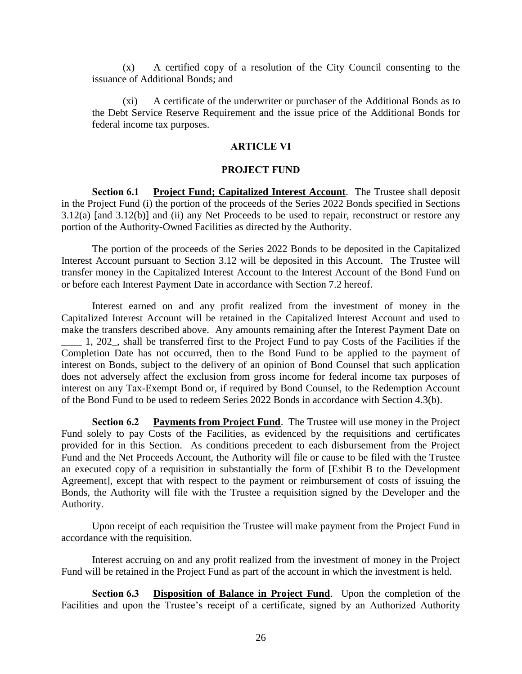(x) A certified copy of a resolution of the City Council consenting to the issuance of Additional Bonds; and

(xi) A certificate of the underwriter or purchaser of the Additional Bonds as to the Debt Service Reserve Requirement and the issue price of the Additional Bonds for federal income tax purposes.

# **ARTICLE VI**

# **PROJECT FUND**

**Section 6.1 Project Fund; Capitalized Interest Account**. The Trustee shall deposit in the Project Fund (i) the portion of the proceeds of the Series 2022 Bonds specified in Sections 3.12(a) [and 3.12(b)] and (ii) any Net Proceeds to be used to repair, reconstruct or restore any portion of the Authority-Owned Facilities as directed by the Authority.

The portion of the proceeds of the Series 2022 Bonds to be deposited in the Capitalized Interest Account pursuant to Section 3.12 will be deposited in this Account. The Trustee will transfer money in the Capitalized Interest Account to the Interest Account of the Bond Fund on or before each Interest Payment Date in accordance with Section 7.2 hereof.

Interest earned on and any profit realized from the investment of money in the Capitalized Interest Account will be retained in the Capitalized Interest Account and used to make the transfers described above. Any amounts remaining after the Interest Payment Date on \_\_\_\_ 1, 202\_, shall be transferred first to the Project Fund to pay Costs of the Facilities if the Completion Date has not occurred, then to the Bond Fund to be applied to the payment of interest on Bonds, subject to the delivery of an opinion of Bond Counsel that such application does not adversely affect the exclusion from gross income for federal income tax purposes of interest on any Tax-Exempt Bond or, if required by Bond Counsel, to the Redemption Account of the Bond Fund to be used to redeem Series 2022 Bonds in accordance with Section 4.3(b).

**Section 6.2 Payments from Project Fund**. The Trustee will use money in the Project Fund solely to pay Costs of the Facilities, as evidenced by the requisitions and certificates provided for in this Section. As conditions precedent to each disbursement from the Project Fund and the Net Proceeds Account, the Authority will file or cause to be filed with the Trustee an executed copy of a requisition in substantially the form of [Exhibit B to the Development Agreement], except that with respect to the payment or reimbursement of costs of issuing the Bonds, the Authority will file with the Trustee a requisition signed by the Developer and the Authority.

Upon receipt of each requisition the Trustee will make payment from the Project Fund in accordance with the requisition.

Interest accruing on and any profit realized from the investment of money in the Project Fund will be retained in the Project Fund as part of the account in which the investment is held.

**Section 6.3 Disposition of Balance in Project Fund**. Upon the completion of the Facilities and upon the Trustee's receipt of a certificate, signed by an Authorized Authority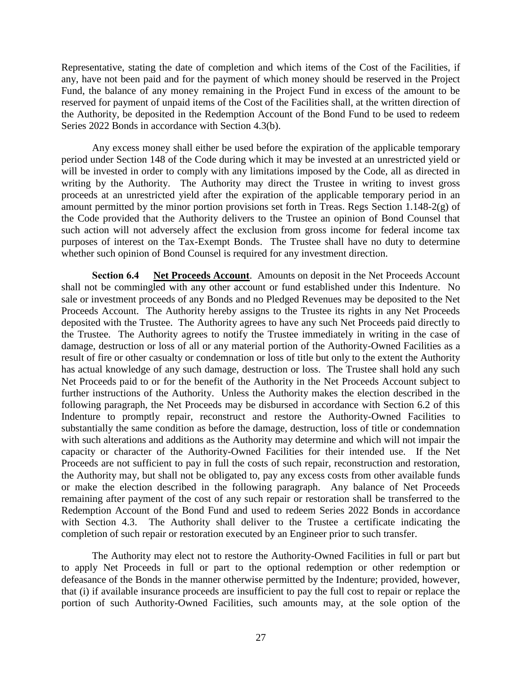Representative, stating the date of completion and which items of the Cost of the Facilities, if any, have not been paid and for the payment of which money should be reserved in the Project Fund, the balance of any money remaining in the Project Fund in excess of the amount to be reserved for payment of unpaid items of the Cost of the Facilities shall, at the written direction of the Authority, be deposited in the Redemption Account of the Bond Fund to be used to redeem Series 2022 Bonds in accordance with Section 4.3(b).

Any excess money shall either be used before the expiration of the applicable temporary period under Section 148 of the Code during which it may be invested at an unrestricted yield or will be invested in order to comply with any limitations imposed by the Code, all as directed in writing by the Authority. The Authority may direct the Trustee in writing to invest gross proceeds at an unrestricted yield after the expiration of the applicable temporary period in an amount permitted by the minor portion provisions set forth in Treas. Regs Section 1.148-2(g) of the Code provided that the Authority delivers to the Trustee an opinion of Bond Counsel that such action will not adversely affect the exclusion from gross income for federal income tax purposes of interest on the Tax-Exempt Bonds. The Trustee shall have no duty to determine whether such opinion of Bond Counsel is required for any investment direction.

**Section 6.4 Net Proceeds Account**. Amounts on deposit in the Net Proceeds Account shall not be commingled with any other account or fund established under this Indenture. No sale or investment proceeds of any Bonds and no Pledged Revenues may be deposited to the Net Proceeds Account. The Authority hereby assigns to the Trustee its rights in any Net Proceeds deposited with the Trustee. The Authority agrees to have any such Net Proceeds paid directly to the Trustee. The Authority agrees to notify the Trustee immediately in writing in the case of damage, destruction or loss of all or any material portion of the Authority-Owned Facilities as a result of fire or other casualty or condemnation or loss of title but only to the extent the Authority has actual knowledge of any such damage, destruction or loss. The Trustee shall hold any such Net Proceeds paid to or for the benefit of the Authority in the Net Proceeds Account subject to further instructions of the Authority. Unless the Authority makes the election described in the following paragraph, the Net Proceeds may be disbursed in accordance with Section 6.2 of this Indenture to promptly repair, reconstruct and restore the Authority-Owned Facilities to substantially the same condition as before the damage, destruction, loss of title or condemnation with such alterations and additions as the Authority may determine and which will not impair the capacity or character of the Authority-Owned Facilities for their intended use. If the Net Proceeds are not sufficient to pay in full the costs of such repair, reconstruction and restoration, the Authority may, but shall not be obligated to, pay any excess costs from other available funds or make the election described in the following paragraph. Any balance of Net Proceeds remaining after payment of the cost of any such repair or restoration shall be transferred to the Redemption Account of the Bond Fund and used to redeem Series 2022 Bonds in accordance with Section 4.3. The Authority shall deliver to the Trustee a certificate indicating the completion of such repair or restoration executed by an Engineer prior to such transfer.

The Authority may elect not to restore the Authority-Owned Facilities in full or part but to apply Net Proceeds in full or part to the optional redemption or other redemption or defeasance of the Bonds in the manner otherwise permitted by the Indenture; provided, however, that (i) if available insurance proceeds are insufficient to pay the full cost to repair or replace the portion of such Authority-Owned Facilities, such amounts may, at the sole option of the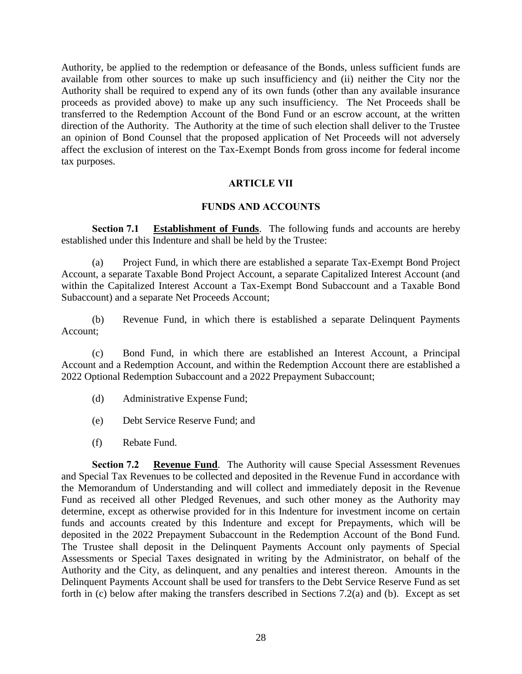Authority, be applied to the redemption or defeasance of the Bonds, unless sufficient funds are available from other sources to make up such insufficiency and (ii) neither the City nor the Authority shall be required to expend any of its own funds (other than any available insurance proceeds as provided above) to make up any such insufficiency. The Net Proceeds shall be transferred to the Redemption Account of the Bond Fund or an escrow account, at the written direction of the Authority. The Authority at the time of such election shall deliver to the Trustee an opinion of Bond Counsel that the proposed application of Net Proceeds will not adversely affect the exclusion of interest on the Tax-Exempt Bonds from gross income for federal income tax purposes.

# **ARTICLE VII**

# **FUNDS AND ACCOUNTS**

**Section 7.1 Establishment of Funds**. The following funds and accounts are hereby established under this Indenture and shall be held by the Trustee:

(a) Project Fund, in which there are established a separate Tax-Exempt Bond Project Account, a separate Taxable Bond Project Account, a separate Capitalized Interest Account (and within the Capitalized Interest Account a Tax-Exempt Bond Subaccount and a Taxable Bond Subaccount) and a separate Net Proceeds Account;

(b) Revenue Fund, in which there is established a separate Delinquent Payments Account;

(c) Bond Fund, in which there are established an Interest Account, a Principal Account and a Redemption Account, and within the Redemption Account there are established a 2022 Optional Redemption Subaccount and a 2022 Prepayment Subaccount;

- (d) Administrative Expense Fund;
- (e) Debt Service Reserve Fund; and
- (f) Rebate Fund.

**Section 7.2 Revenue Fund**. The Authority will cause Special Assessment Revenues and Special Tax Revenues to be collected and deposited in the Revenue Fund in accordance with the Memorandum of Understanding and will collect and immediately deposit in the Revenue Fund as received all other Pledged Revenues, and such other money as the Authority may determine, except as otherwise provided for in this Indenture for investment income on certain funds and accounts created by this Indenture and except for Prepayments, which will be deposited in the 2022 Prepayment Subaccount in the Redemption Account of the Bond Fund. The Trustee shall deposit in the Delinquent Payments Account only payments of Special Assessments or Special Taxes designated in writing by the Administrator, on behalf of the Authority and the City, as delinquent, and any penalties and interest thereon. Amounts in the Delinquent Payments Account shall be used for transfers to the Debt Service Reserve Fund as set forth in (c) below after making the transfers described in Sections 7.2(a) and (b). Except as set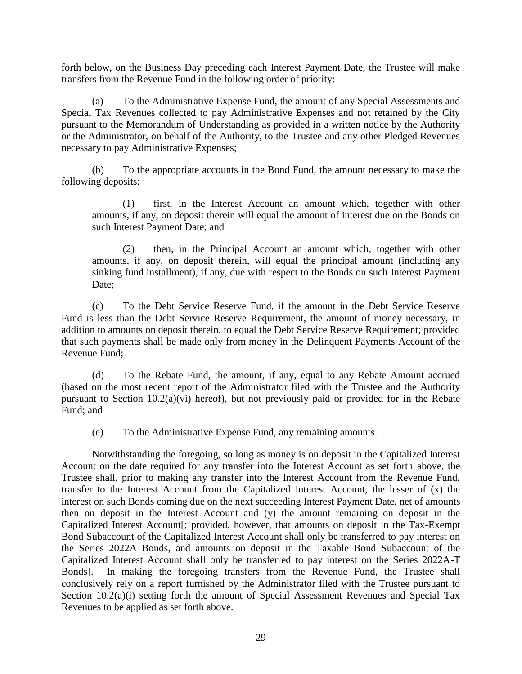forth below, on the Business Day preceding each Interest Payment Date, the Trustee will make transfers from the Revenue Fund in the following order of priority:

(a) To the Administrative Expense Fund, the amount of any Special Assessments and Special Tax Revenues collected to pay Administrative Expenses and not retained by the City pursuant to the Memorandum of Understanding as provided in a written notice by the Authority or the Administrator, on behalf of the Authority, to the Trustee and any other Pledged Revenues necessary to pay Administrative Expenses;

(b) To the appropriate accounts in the Bond Fund, the amount necessary to make the following deposits:

(1) first, in the Interest Account an amount which, together with other amounts, if any, on deposit therein will equal the amount of interest due on the Bonds on such Interest Payment Date; and

(2) then, in the Principal Account an amount which, together with other amounts, if any, on deposit therein, will equal the principal amount (including any sinking fund installment), if any, due with respect to the Bonds on such Interest Payment Date;

(c) To the Debt Service Reserve Fund, if the amount in the Debt Service Reserve Fund is less than the Debt Service Reserve Requirement, the amount of money necessary, in addition to amounts on deposit therein, to equal the Debt Service Reserve Requirement; provided that such payments shall be made only from money in the Delinquent Payments Account of the Revenue Fund;

(d) To the Rebate Fund, the amount, if any, equal to any Rebate Amount accrued (based on the most recent report of the Administrator filed with the Trustee and the Authority pursuant to Section 10.2(a)(vi) hereof), but not previously paid or provided for in the Rebate Fund; and

(e) To the Administrative Expense Fund, any remaining amounts.

Notwithstanding the foregoing, so long as money is on deposit in the Capitalized Interest Account on the date required for any transfer into the Interest Account as set forth above, the Trustee shall, prior to making any transfer into the Interest Account from the Revenue Fund, transfer to the Interest Account from the Capitalized Interest Account, the lesser of (x) the interest on such Bonds coming due on the next succeeding Interest Payment Date, net of amounts then on deposit in the Interest Account and (y) the amount remaining on deposit in the Capitalized Interest Account[; provided, however, that amounts on deposit in the Tax-Exempt Bond Subaccount of the Capitalized Interest Account shall only be transferred to pay interest on the Series 2022A Bonds, and amounts on deposit in the Taxable Bond Subaccount of the Capitalized Interest Account shall only be transferred to pay interest on the Series 2022A-T Bonds]. In making the foregoing transfers from the Revenue Fund, the Trustee shall conclusively rely on a report furnished by the Administrator filed with the Trustee pursuant to Section 10.2(a)(i) setting forth the amount of Special Assessment Revenues and Special Tax Revenues to be applied as set forth above.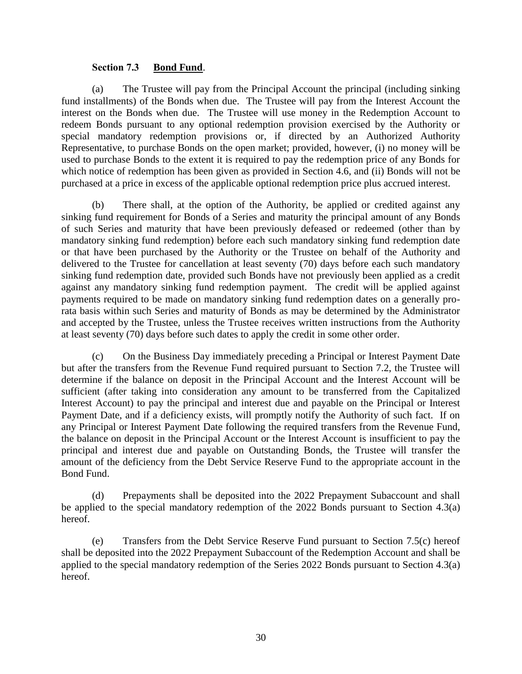### **Section 7.3 Bond Fund**.

(a) The Trustee will pay from the Principal Account the principal (including sinking fund installments) of the Bonds when due. The Trustee will pay from the Interest Account the interest on the Bonds when due. The Trustee will use money in the Redemption Account to redeem Bonds pursuant to any optional redemption provision exercised by the Authority or special mandatory redemption provisions or, if directed by an Authorized Authority Representative, to purchase Bonds on the open market; provided, however, (i) no money will be used to purchase Bonds to the extent it is required to pay the redemption price of any Bonds for which notice of redemption has been given as provided in Section 4.6, and (ii) Bonds will not be purchased at a price in excess of the applicable optional redemption price plus accrued interest.

(b) There shall, at the option of the Authority, be applied or credited against any sinking fund requirement for Bonds of a Series and maturity the principal amount of any Bonds of such Series and maturity that have been previously defeased or redeemed (other than by mandatory sinking fund redemption) before each such mandatory sinking fund redemption date or that have been purchased by the Authority or the Trustee on behalf of the Authority and delivered to the Trustee for cancellation at least seventy (70) days before each such mandatory sinking fund redemption date, provided such Bonds have not previously been applied as a credit against any mandatory sinking fund redemption payment. The credit will be applied against payments required to be made on mandatory sinking fund redemption dates on a generally prorata basis within such Series and maturity of Bonds as may be determined by the Administrator and accepted by the Trustee, unless the Trustee receives written instructions from the Authority at least seventy (70) days before such dates to apply the credit in some other order.

(c) On the Business Day immediately preceding a Principal or Interest Payment Date but after the transfers from the Revenue Fund required pursuant to Section 7.2, the Trustee will determine if the balance on deposit in the Principal Account and the Interest Account will be sufficient (after taking into consideration any amount to be transferred from the Capitalized Interest Account) to pay the principal and interest due and payable on the Principal or Interest Payment Date, and if a deficiency exists, will promptly notify the Authority of such fact. If on any Principal or Interest Payment Date following the required transfers from the Revenue Fund, the balance on deposit in the Principal Account or the Interest Account is insufficient to pay the principal and interest due and payable on Outstanding Bonds, the Trustee will transfer the amount of the deficiency from the Debt Service Reserve Fund to the appropriate account in the Bond Fund.

(d) Prepayments shall be deposited into the 2022 Prepayment Subaccount and shall be applied to the special mandatory redemption of the 2022 Bonds pursuant to Section 4.3(a) hereof.

(e) Transfers from the Debt Service Reserve Fund pursuant to Section 7.5(c) hereof shall be deposited into the 2022 Prepayment Subaccount of the Redemption Account and shall be applied to the special mandatory redemption of the Series 2022 Bonds pursuant to Section 4.3(a) hereof.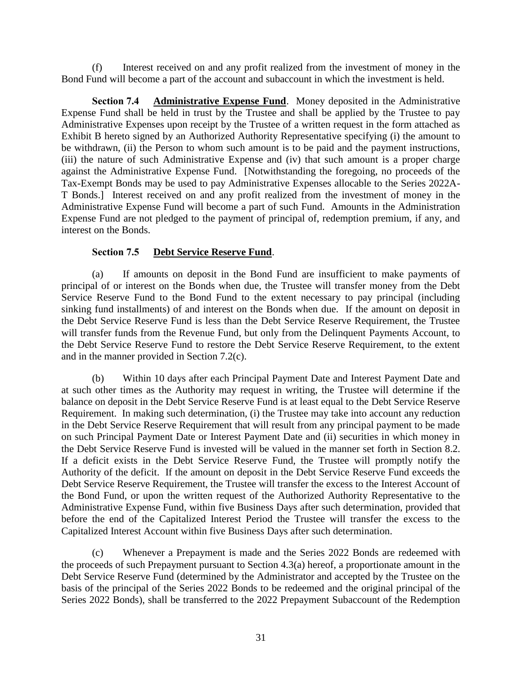(f) Interest received on and any profit realized from the investment of money in the Bond Fund will become a part of the account and subaccount in which the investment is held.

**Section 7.4 Administrative Expense Fund**. Money deposited in the Administrative Expense Fund shall be held in trust by the Trustee and shall be applied by the Trustee to pay Administrative Expenses upon receipt by the Trustee of a written request in the form attached as Exhibit B hereto signed by an Authorized Authority Representative specifying (i) the amount to be withdrawn, (ii) the Person to whom such amount is to be paid and the payment instructions, (iii) the nature of such Administrative Expense and (iv) that such amount is a proper charge against the Administrative Expense Fund. [Notwithstanding the foregoing, no proceeds of the Tax-Exempt Bonds may be used to pay Administrative Expenses allocable to the Series 2022A-T Bonds.] Interest received on and any profit realized from the investment of money in the Administrative Expense Fund will become a part of such Fund. Amounts in the Administration Expense Fund are not pledged to the payment of principal of, redemption premium, if any, and interest on the Bonds.

## **Section 7.5 Debt Service Reserve Fund**.

(a) If amounts on deposit in the Bond Fund are insufficient to make payments of principal of or interest on the Bonds when due, the Trustee will transfer money from the Debt Service Reserve Fund to the Bond Fund to the extent necessary to pay principal (including sinking fund installments) of and interest on the Bonds when due. If the amount on deposit in the Debt Service Reserve Fund is less than the Debt Service Reserve Requirement, the Trustee will transfer funds from the Revenue Fund, but only from the Delinquent Payments Account, to the Debt Service Reserve Fund to restore the Debt Service Reserve Requirement, to the extent and in the manner provided in Section 7.2(c).

(b) Within 10 days after each Principal Payment Date and Interest Payment Date and at such other times as the Authority may request in writing, the Trustee will determine if the balance on deposit in the Debt Service Reserve Fund is at least equal to the Debt Service Reserve Requirement. In making such determination, (i) the Trustee may take into account any reduction in the Debt Service Reserve Requirement that will result from any principal payment to be made on such Principal Payment Date or Interest Payment Date and (ii) securities in which money in the Debt Service Reserve Fund is invested will be valued in the manner set forth in Section 8.2. If a deficit exists in the Debt Service Reserve Fund, the Trustee will promptly notify the Authority of the deficit. If the amount on deposit in the Debt Service Reserve Fund exceeds the Debt Service Reserve Requirement, the Trustee will transfer the excess to the Interest Account of the Bond Fund, or upon the written request of the Authorized Authority Representative to the Administrative Expense Fund, within five Business Days after such determination, provided that before the end of the Capitalized Interest Period the Trustee will transfer the excess to the Capitalized Interest Account within five Business Days after such determination.

(c) Whenever a Prepayment is made and the Series 2022 Bonds are redeemed with the proceeds of such Prepayment pursuant to Section 4.3(a) hereof, a proportionate amount in the Debt Service Reserve Fund (determined by the Administrator and accepted by the Trustee on the basis of the principal of the Series 2022 Bonds to be redeemed and the original principal of the Series 2022 Bonds), shall be transferred to the 2022 Prepayment Subaccount of the Redemption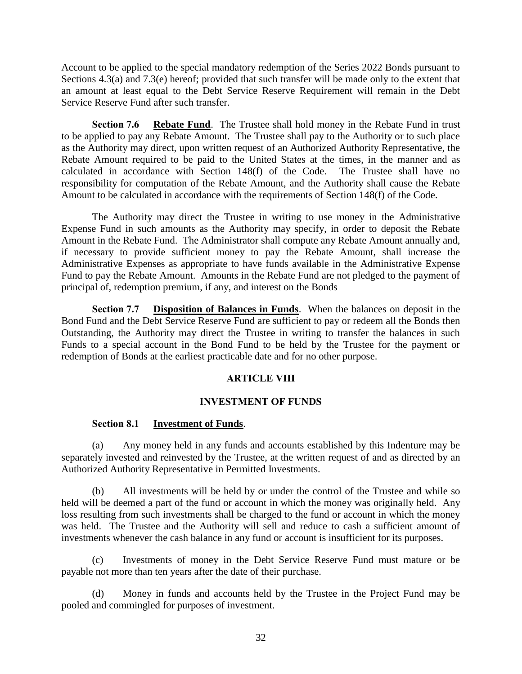Account to be applied to the special mandatory redemption of the Series 2022 Bonds pursuant to Sections 4.3(a) and 7.3(e) hereof; provided that such transfer will be made only to the extent that an amount at least equal to the Debt Service Reserve Requirement will remain in the Debt Service Reserve Fund after such transfer.

**Section 7.6 Rebate Fund**. The Trustee shall hold money in the Rebate Fund in trust to be applied to pay any Rebate Amount. The Trustee shall pay to the Authority or to such place as the Authority may direct, upon written request of an Authorized Authority Representative, the Rebate Amount required to be paid to the United States at the times, in the manner and as calculated in accordance with Section 148(f) of the Code. The Trustee shall have no responsibility for computation of the Rebate Amount, and the Authority shall cause the Rebate Amount to be calculated in accordance with the requirements of Section 148(f) of the Code.

The Authority may direct the Trustee in writing to use money in the Administrative Expense Fund in such amounts as the Authority may specify, in order to deposit the Rebate Amount in the Rebate Fund. The Administrator shall compute any Rebate Amount annually and, if necessary to provide sufficient money to pay the Rebate Amount, shall increase the Administrative Expenses as appropriate to have funds available in the Administrative Expense Fund to pay the Rebate Amount. Amounts in the Rebate Fund are not pledged to the payment of principal of, redemption premium, if any, and interest on the Bonds

**Section 7.7 Disposition of Balances in Funds**. When the balances on deposit in the Bond Fund and the Debt Service Reserve Fund are sufficient to pay or redeem all the Bonds then Outstanding, the Authority may direct the Trustee in writing to transfer the balances in such Funds to a special account in the Bond Fund to be held by the Trustee for the payment or redemption of Bonds at the earliest practicable date and for no other purpose.

## **ARTICLE VIII**

## **INVESTMENT OF FUNDS**

## **Section 8.1 Investment of Funds**.

(a) Any money held in any funds and accounts established by this Indenture may be separately invested and reinvested by the Trustee, at the written request of and as directed by an Authorized Authority Representative in Permitted Investments.

(b) All investments will be held by or under the control of the Trustee and while so held will be deemed a part of the fund or account in which the money was originally held. Any loss resulting from such investments shall be charged to the fund or account in which the money was held. The Trustee and the Authority will sell and reduce to cash a sufficient amount of investments whenever the cash balance in any fund or account is insufficient for its purposes.

(c) Investments of money in the Debt Service Reserve Fund must mature or be payable not more than ten years after the date of their purchase.

(d) Money in funds and accounts held by the Trustee in the Project Fund may be pooled and commingled for purposes of investment.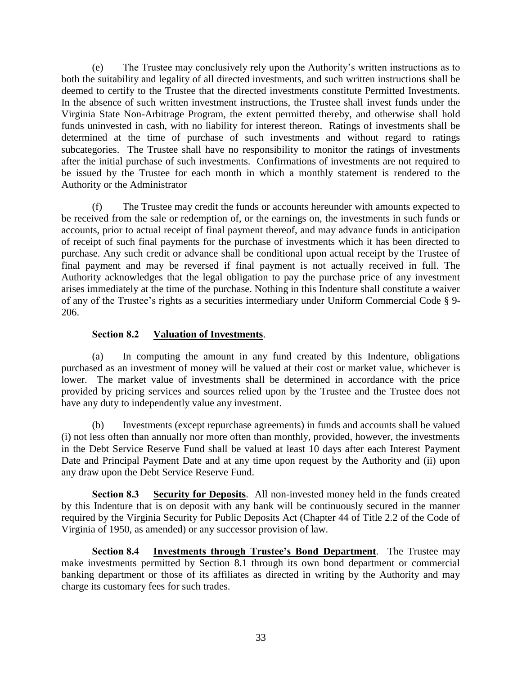(e) The Trustee may conclusively rely upon the Authority's written instructions as to both the suitability and legality of all directed investments, and such written instructions shall be deemed to certify to the Trustee that the directed investments constitute Permitted Investments. In the absence of such written investment instructions, the Trustee shall invest funds under the Virginia State Non-Arbitrage Program, the extent permitted thereby, and otherwise shall hold funds uninvested in cash, with no liability for interest thereon. Ratings of investments shall be determined at the time of purchase of such investments and without regard to ratings subcategories. The Trustee shall have no responsibility to monitor the ratings of investments after the initial purchase of such investments. Confirmations of investments are not required to be issued by the Trustee for each month in which a monthly statement is rendered to the Authority or the Administrator

(f) The Trustee may credit the funds or accounts hereunder with amounts expected to be received from the sale or redemption of, or the earnings on, the investments in such funds or accounts, prior to actual receipt of final payment thereof, and may advance funds in anticipation of receipt of such final payments for the purchase of investments which it has been directed to purchase. Any such credit or advance shall be conditional upon actual receipt by the Trustee of final payment and may be reversed if final payment is not actually received in full. The Authority acknowledges that the legal obligation to pay the purchase price of any investment arises immediately at the time of the purchase. Nothing in this Indenture shall constitute a waiver of any of the Trustee's rights as a securities intermediary under Uniform Commercial Code § 9- 206.

## **Section 8.2 Valuation of Investments**.

(a) In computing the amount in any fund created by this Indenture, obligations purchased as an investment of money will be valued at their cost or market value, whichever is lower. The market value of investments shall be determined in accordance with the price provided by pricing services and sources relied upon by the Trustee and the Trustee does not have any duty to independently value any investment.

(b) Investments (except repurchase agreements) in funds and accounts shall be valued (i) not less often than annually nor more often than monthly, provided, however, the investments in the Debt Service Reserve Fund shall be valued at least 10 days after each Interest Payment Date and Principal Payment Date and at any time upon request by the Authority and (ii) upon any draw upon the Debt Service Reserve Fund.

**Section 8.3 Security for Deposits**. All non-invested money held in the funds created by this Indenture that is on deposit with any bank will be continuously secured in the manner required by the Virginia Security for Public Deposits Act (Chapter 44 of Title 2.2 of the Code of Virginia of 1950, as amended) or any successor provision of law.

**Section 8.4 Investments through Trustee's Bond Department**. The Trustee may make investments permitted by Section 8.1 through its own bond department or commercial banking department or those of its affiliates as directed in writing by the Authority and may charge its customary fees for such trades.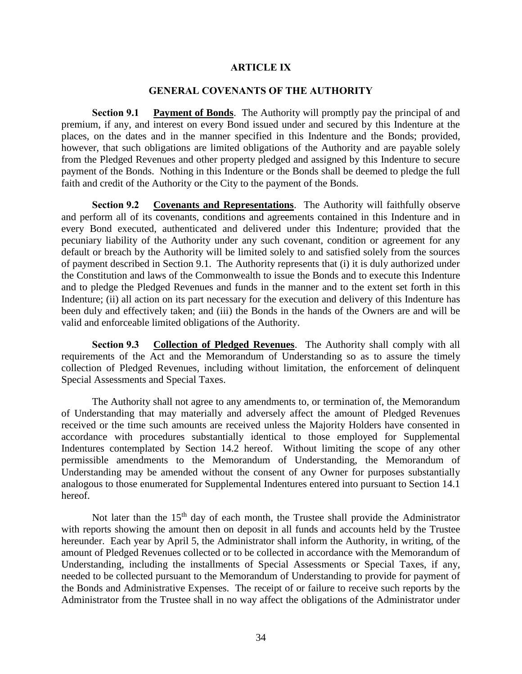#### **ARTICLE IX**

#### **GENERAL COVENANTS OF THE AUTHORITY**

**Section 9.1 Payment of Bonds**. The Authority will promptly pay the principal of and premium, if any, and interest on every Bond issued under and secured by this Indenture at the places, on the dates and in the manner specified in this Indenture and the Bonds; provided, however, that such obligations are limited obligations of the Authority and are payable solely from the Pledged Revenues and other property pledged and assigned by this Indenture to secure payment of the Bonds. Nothing in this Indenture or the Bonds shall be deemed to pledge the full faith and credit of the Authority or the City to the payment of the Bonds.

**Section 9.2 Covenants and Representations**. The Authority will faithfully observe and perform all of its covenants, conditions and agreements contained in this Indenture and in every Bond executed, authenticated and delivered under this Indenture; provided that the pecuniary liability of the Authority under any such covenant, condition or agreement for any default or breach by the Authority will be limited solely to and satisfied solely from the sources of payment described in Section 9.1. The Authority represents that (i) it is duly authorized under the Constitution and laws of the Commonwealth to issue the Bonds and to execute this Indenture and to pledge the Pledged Revenues and funds in the manner and to the extent set forth in this Indenture; (ii) all action on its part necessary for the execution and delivery of this Indenture has been duly and effectively taken; and (iii) the Bonds in the hands of the Owners are and will be valid and enforceable limited obligations of the Authority.

**Section 9.3 Collection of Pledged Revenues**. The Authority shall comply with all requirements of the Act and the Memorandum of Understanding so as to assure the timely collection of Pledged Revenues, including without limitation, the enforcement of delinquent Special Assessments and Special Taxes.

The Authority shall not agree to any amendments to, or termination of, the Memorandum of Understanding that may materially and adversely affect the amount of Pledged Revenues received or the time such amounts are received unless the Majority Holders have consented in accordance with procedures substantially identical to those employed for Supplemental Indentures contemplated by Section 14.2 hereof. Without limiting the scope of any other permissible amendments to the Memorandum of Understanding, the Memorandum of Understanding may be amended without the consent of any Owner for purposes substantially analogous to those enumerated for Supplemental Indentures entered into pursuant to Section 14.1 hereof.

Not later than the  $15<sup>th</sup>$  day of each month, the Trustee shall provide the Administrator with reports showing the amount then on deposit in all funds and accounts held by the Trustee hereunder. Each year by April 5, the Administrator shall inform the Authority, in writing, of the amount of Pledged Revenues collected or to be collected in accordance with the Memorandum of Understanding, including the installments of Special Assessments or Special Taxes, if any, needed to be collected pursuant to the Memorandum of Understanding to provide for payment of the Bonds and Administrative Expenses. The receipt of or failure to receive such reports by the Administrator from the Trustee shall in no way affect the obligations of the Administrator under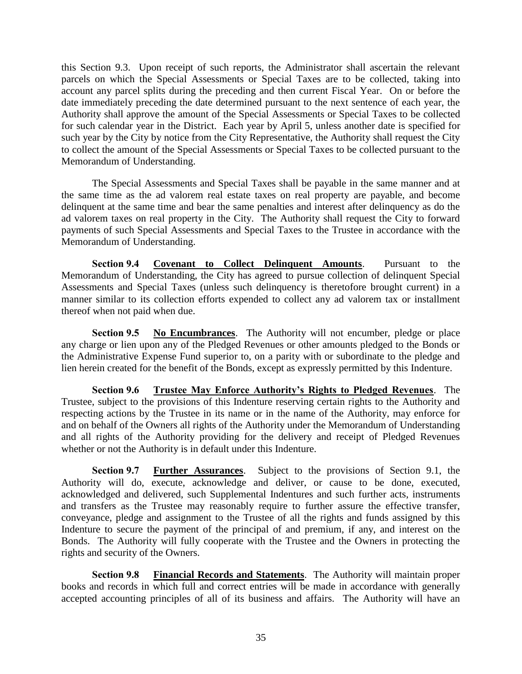this Section 9.3. Upon receipt of such reports, the Administrator shall ascertain the relevant parcels on which the Special Assessments or Special Taxes are to be collected, taking into account any parcel splits during the preceding and then current Fiscal Year. On or before the date immediately preceding the date determined pursuant to the next sentence of each year, the Authority shall approve the amount of the Special Assessments or Special Taxes to be collected for such calendar year in the District. Each year by April 5, unless another date is specified for such year by the City by notice from the City Representative, the Authority shall request the City to collect the amount of the Special Assessments or Special Taxes to be collected pursuant to the Memorandum of Understanding.

The Special Assessments and Special Taxes shall be payable in the same manner and at the same time as the ad valorem real estate taxes on real property are payable, and become delinquent at the same time and bear the same penalties and interest after delinquency as do the ad valorem taxes on real property in the City. The Authority shall request the City to forward payments of such Special Assessments and Special Taxes to the Trustee in accordance with the Memorandum of Understanding.

**Section 9.4 Covenant to Collect Delinquent Amounts**. Pursuant to the Memorandum of Understanding, the City has agreed to pursue collection of delinquent Special Assessments and Special Taxes (unless such delinquency is theretofore brought current) in a manner similar to its collection efforts expended to collect any ad valorem tax or installment thereof when not paid when due.

**Section 9.5 No Encumbrances**. The Authority will not encumber, pledge or place any charge or lien upon any of the Pledged Revenues or other amounts pledged to the Bonds or the Administrative Expense Fund superior to, on a parity with or subordinate to the pledge and lien herein created for the benefit of the Bonds, except as expressly permitted by this Indenture.

**Section 9.6 Trustee May Enforce Authority's Rights to Pledged Revenues**. The Trustee, subject to the provisions of this Indenture reserving certain rights to the Authority and respecting actions by the Trustee in its name or in the name of the Authority, may enforce for and on behalf of the Owners all rights of the Authority under the Memorandum of Understanding and all rights of the Authority providing for the delivery and receipt of Pledged Revenues whether or not the Authority is in default under this Indenture.

**Section 9.7 Further Assurances**. Subject to the provisions of Section 9.1, the Authority will do, execute, acknowledge and deliver, or cause to be done, executed, acknowledged and delivered, such Supplemental Indentures and such further acts, instruments and transfers as the Trustee may reasonably require to further assure the effective transfer, conveyance, pledge and assignment to the Trustee of all the rights and funds assigned by this Indenture to secure the payment of the principal of and premium, if any, and interest on the Bonds. The Authority will fully cooperate with the Trustee and the Owners in protecting the rights and security of the Owners.

**Section 9.8 Financial Records and Statements**. The Authority will maintain proper books and records in which full and correct entries will be made in accordance with generally accepted accounting principles of all of its business and affairs. The Authority will have an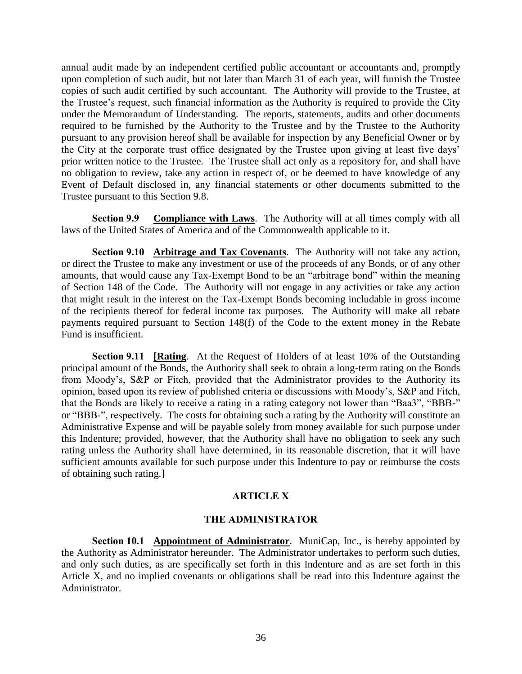annual audit made by an independent certified public accountant or accountants and, promptly upon completion of such audit, but not later than March 31 of each year, will furnish the Trustee copies of such audit certified by such accountant. The Authority will provide to the Trustee, at the Trustee's request, such financial information as the Authority is required to provide the City under the Memorandum of Understanding. The reports, statements, audits and other documents required to be furnished by the Authority to the Trustee and by the Trustee to the Authority pursuant to any provision hereof shall be available for inspection by any Beneficial Owner or by the City at the corporate trust office designated by the Trustee upon giving at least five days' prior written notice to the Trustee. The Trustee shall act only as a repository for, and shall have no obligation to review, take any action in respect of, or be deemed to have knowledge of any Event of Default disclosed in, any financial statements or other documents submitted to the Trustee pursuant to this Section 9.8.

**Section 9.9 Compliance with Laws**. The Authority will at all times comply with all laws of the United States of America and of the Commonwealth applicable to it.

**Section 9.10 Arbitrage and Tax Covenants**. The Authority will not take any action, or direct the Trustee to make any investment or use of the proceeds of any Bonds, or of any other amounts, that would cause any Tax-Exempt Bond to be an "arbitrage bond" within the meaning of Section 148 of the Code. The Authority will not engage in any activities or take any action that might result in the interest on the Tax-Exempt Bonds becoming includable in gross income of the recipients thereof for federal income tax purposes. The Authority will make all rebate payments required pursuant to Section 148(f) of the Code to the extent money in the Rebate Fund is insufficient.

**Section 9.11 [Rating**. At the Request of Holders of at least 10% of the Outstanding principal amount of the Bonds, the Authority shall seek to obtain a long-term rating on the Bonds from Moody's, S&P or Fitch, provided that the Administrator provides to the Authority its opinion, based upon its review of published criteria or discussions with Moody's, S&P and Fitch, that the Bonds are likely to receive a rating in a rating category not lower than "Baa3", "BBB-" or "BBB-", respectively. The costs for obtaining such a rating by the Authority will constitute an Administrative Expense and will be payable solely from money available for such purpose under this Indenture; provided, however, that the Authority shall have no obligation to seek any such rating unless the Authority shall have determined, in its reasonable discretion, that it will have sufficient amounts available for such purpose under this Indenture to pay or reimburse the costs of obtaining such rating.]

## **ARTICLE X**

#### **THE ADMINISTRATOR**

**Section 10.1 Appointment of Administrator**. MuniCap, Inc., is hereby appointed by the Authority as Administrator hereunder. The Administrator undertakes to perform such duties, and only such duties, as are specifically set forth in this Indenture and as are set forth in this Article X, and no implied covenants or obligations shall be read into this Indenture against the Administrator.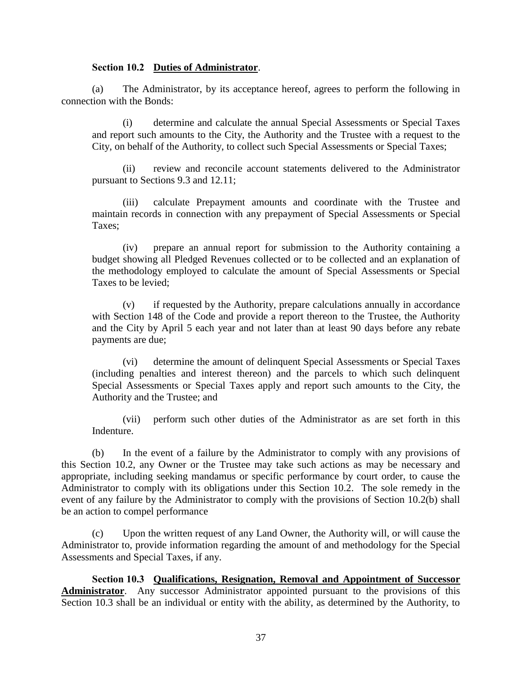#### **Section 10.2 Duties of Administrator**.

(a) The Administrator, by its acceptance hereof, agrees to perform the following in connection with the Bonds:

(i) determine and calculate the annual Special Assessments or Special Taxes and report such amounts to the City, the Authority and the Trustee with a request to the City, on behalf of the Authority, to collect such Special Assessments or Special Taxes;

(ii) review and reconcile account statements delivered to the Administrator pursuant to Sections 9.3 and 12.11;

(iii) calculate Prepayment amounts and coordinate with the Trustee and maintain records in connection with any prepayment of Special Assessments or Special Taxes;

(iv) prepare an annual report for submission to the Authority containing a budget showing all Pledged Revenues collected or to be collected and an explanation of the methodology employed to calculate the amount of Special Assessments or Special Taxes to be levied;

(v) if requested by the Authority, prepare calculations annually in accordance with Section 148 of the Code and provide a report thereon to the Trustee, the Authority and the City by April 5 each year and not later than at least 90 days before any rebate payments are due;

(vi) determine the amount of delinquent Special Assessments or Special Taxes (including penalties and interest thereon) and the parcels to which such delinquent Special Assessments or Special Taxes apply and report such amounts to the City, the Authority and the Trustee; and

(vii) perform such other duties of the Administrator as are set forth in this Indenture.

(b) In the event of a failure by the Administrator to comply with any provisions of this Section 10.2, any Owner or the Trustee may take such actions as may be necessary and appropriate, including seeking mandamus or specific performance by court order, to cause the Administrator to comply with its obligations under this Section 10.2. The sole remedy in the event of any failure by the Administrator to comply with the provisions of Section 10.2(b) shall be an action to compel performance

(c) Upon the written request of any Land Owner, the Authority will, or will cause the Administrator to, provide information regarding the amount of and methodology for the Special Assessments and Special Taxes, if any.

**Section 10.3 Qualifications, Resignation, Removal and Appointment of Successor**  Administrator. Any successor Administrator appointed pursuant to the provisions of this Section 10.3 shall be an individual or entity with the ability, as determined by the Authority, to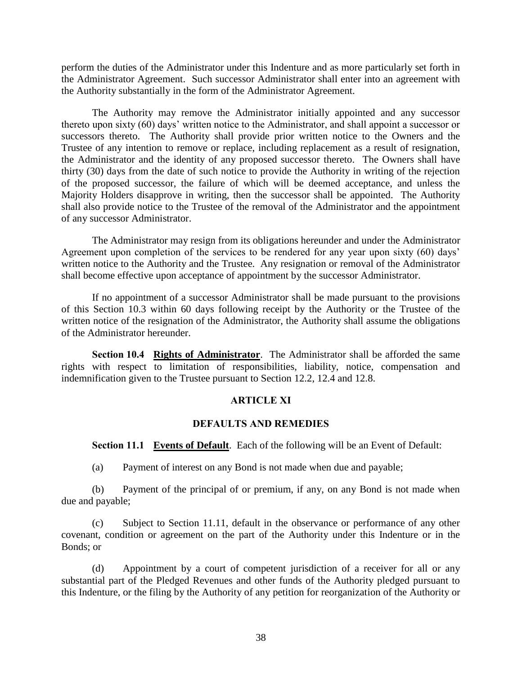perform the duties of the Administrator under this Indenture and as more particularly set forth in the Administrator Agreement. Such successor Administrator shall enter into an agreement with the Authority substantially in the form of the Administrator Agreement.

The Authority may remove the Administrator initially appointed and any successor thereto upon sixty (60) days' written notice to the Administrator, and shall appoint a successor or successors thereto. The Authority shall provide prior written notice to the Owners and the Trustee of any intention to remove or replace, including replacement as a result of resignation, the Administrator and the identity of any proposed successor thereto. The Owners shall have thirty (30) days from the date of such notice to provide the Authority in writing of the rejection of the proposed successor, the failure of which will be deemed acceptance, and unless the Majority Holders disapprove in writing, then the successor shall be appointed. The Authority shall also provide notice to the Trustee of the removal of the Administrator and the appointment of any successor Administrator.

The Administrator may resign from its obligations hereunder and under the Administrator Agreement upon completion of the services to be rendered for any year upon sixty (60) days' written notice to the Authority and the Trustee. Any resignation or removal of the Administrator shall become effective upon acceptance of appointment by the successor Administrator.

If no appointment of a successor Administrator shall be made pursuant to the provisions of this Section 10.3 within 60 days following receipt by the Authority or the Trustee of the written notice of the resignation of the Administrator, the Authority shall assume the obligations of the Administrator hereunder.

**Section 10.4 Rights of Administrator**. The Administrator shall be afforded the same rights with respect to limitation of responsibilities, liability, notice, compensation and indemnification given to the Trustee pursuant to Section 12.2, 12.4 and 12.8.

#### **ARTICLE XI**

#### **DEFAULTS AND REMEDIES**

**Section 11.1 Events of Default**. Each of the following will be an Event of Default:

(a) Payment of interest on any Bond is not made when due and payable;

(b) Payment of the principal of or premium, if any, on any Bond is not made when due and payable;

(c) Subject to Section 11.11, default in the observance or performance of any other covenant, condition or agreement on the part of the Authority under this Indenture or in the Bonds; or

(d) Appointment by a court of competent jurisdiction of a receiver for all or any substantial part of the Pledged Revenues and other funds of the Authority pledged pursuant to this Indenture, or the filing by the Authority of any petition for reorganization of the Authority or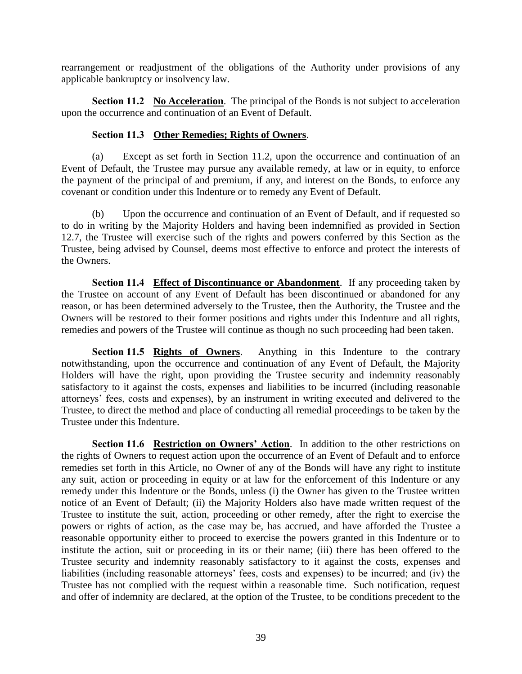rearrangement or readjustment of the obligations of the Authority under provisions of any applicable bankruptcy or insolvency law.

**Section 11.2 No Acceleration**. The principal of the Bonds is not subject to acceleration upon the occurrence and continuation of an Event of Default.

## **Section 11.3 Other Remedies; Rights of Owners**.

(a) Except as set forth in Section 11.2, upon the occurrence and continuation of an Event of Default, the Trustee may pursue any available remedy, at law or in equity, to enforce the payment of the principal of and premium, if any, and interest on the Bonds, to enforce any covenant or condition under this Indenture or to remedy any Event of Default.

(b) Upon the occurrence and continuation of an Event of Default, and if requested so to do in writing by the Majority Holders and having been indemnified as provided in Section 12.7, the Trustee will exercise such of the rights and powers conferred by this Section as the Trustee, being advised by Counsel, deems most effective to enforce and protect the interests of the Owners.

**Section 11.4 Effect of Discontinuance or Abandonment**. If any proceeding taken by the Trustee on account of any Event of Default has been discontinued or abandoned for any reason, or has been determined adversely to the Trustee, then the Authority, the Trustee and the Owners will be restored to their former positions and rights under this Indenture and all rights, remedies and powers of the Trustee will continue as though no such proceeding had been taken.

**Section 11.5 Rights of Owners**. Anything in this Indenture to the contrary notwithstanding, upon the occurrence and continuation of any Event of Default, the Majority Holders will have the right, upon providing the Trustee security and indemnity reasonably satisfactory to it against the costs, expenses and liabilities to be incurred (including reasonable attorneys' fees, costs and expenses), by an instrument in writing executed and delivered to the Trustee, to direct the method and place of conducting all remedial proceedings to be taken by the Trustee under this Indenture.

**Section 11.6 Restriction on Owners' Action**. In addition to the other restrictions on the rights of Owners to request action upon the occurrence of an Event of Default and to enforce remedies set forth in this Article, no Owner of any of the Bonds will have any right to institute any suit, action or proceeding in equity or at law for the enforcement of this Indenture or any remedy under this Indenture or the Bonds, unless (i) the Owner has given to the Trustee written notice of an Event of Default; (ii) the Majority Holders also have made written request of the Trustee to institute the suit, action, proceeding or other remedy, after the right to exercise the powers or rights of action, as the case may be, has accrued, and have afforded the Trustee a reasonable opportunity either to proceed to exercise the powers granted in this Indenture or to institute the action, suit or proceeding in its or their name; (iii) there has been offered to the Trustee security and indemnity reasonably satisfactory to it against the costs, expenses and liabilities (including reasonable attorneys' fees, costs and expenses) to be incurred; and (iv) the Trustee has not complied with the request within a reasonable time. Such notification, request and offer of indemnity are declared, at the option of the Trustee, to be conditions precedent to the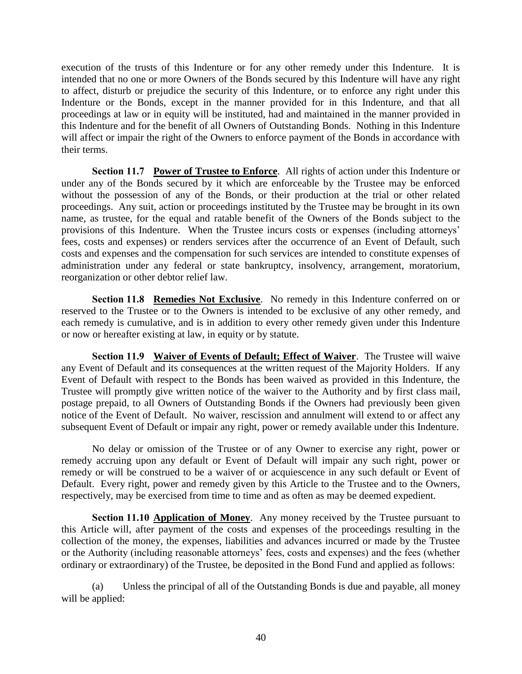execution of the trusts of this Indenture or for any other remedy under this Indenture. It is intended that no one or more Owners of the Bonds secured by this Indenture will have any right to affect, disturb or prejudice the security of this Indenture, or to enforce any right under this Indenture or the Bonds, except in the manner provided for in this Indenture, and that all proceedings at law or in equity will be instituted, had and maintained in the manner provided in this Indenture and for the benefit of all Owners of Outstanding Bonds. Nothing in this Indenture will affect or impair the right of the Owners to enforce payment of the Bonds in accordance with their terms.

**Section 11.7 Power of Trustee to Enforce**. All rights of action under this Indenture or under any of the Bonds secured by it which are enforceable by the Trustee may be enforced without the possession of any of the Bonds, or their production at the trial or other related proceedings. Any suit, action or proceedings instituted by the Trustee may be brought in its own name, as trustee, for the equal and ratable benefit of the Owners of the Bonds subject to the provisions of this Indenture. When the Trustee incurs costs or expenses (including attorneys' fees, costs and expenses) or renders services after the occurrence of an Event of Default, such costs and expenses and the compensation for such services are intended to constitute expenses of administration under any federal or state bankruptcy, insolvency, arrangement, moratorium, reorganization or other debtor relief law.

**Section 11.8 Remedies Not Exclusive**. No remedy in this Indenture conferred on or reserved to the Trustee or to the Owners is intended to be exclusive of any other remedy, and each remedy is cumulative, and is in addition to every other remedy given under this Indenture or now or hereafter existing at law, in equity or by statute.

**Section 11.9 Waiver of Events of Default; Effect of Waiver**. The Trustee will waive any Event of Default and its consequences at the written request of the Majority Holders. If any Event of Default with respect to the Bonds has been waived as provided in this Indenture, the Trustee will promptly give written notice of the waiver to the Authority and by first class mail, postage prepaid, to all Owners of Outstanding Bonds if the Owners had previously been given notice of the Event of Default. No waiver, rescission and annulment will extend to or affect any subsequent Event of Default or impair any right, power or remedy available under this Indenture.

No delay or omission of the Trustee or of any Owner to exercise any right, power or remedy accruing upon any default or Event of Default will impair any such right, power or remedy or will be construed to be a waiver of or acquiescence in any such default or Event of Default. Every right, power and remedy given by this Article to the Trustee and to the Owners, respectively, may be exercised from time to time and as often as may be deemed expedient.

**Section 11.10 Application of Money**. Any money received by the Trustee pursuant to this Article will, after payment of the costs and expenses of the proceedings resulting in the collection of the money, the expenses, liabilities and advances incurred or made by the Trustee or the Authority (including reasonable attorneys' fees, costs and expenses) and the fees (whether ordinary or extraordinary) of the Trustee, be deposited in the Bond Fund and applied as follows:

(a) Unless the principal of all of the Outstanding Bonds is due and payable, all money will be applied: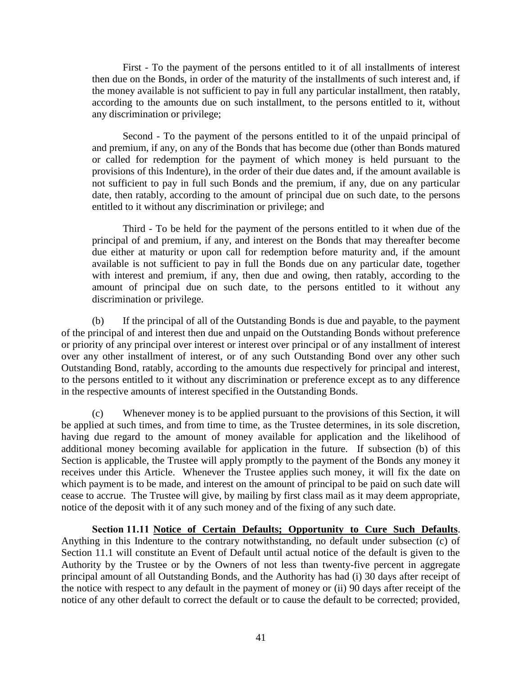First - To the payment of the persons entitled to it of all installments of interest then due on the Bonds, in order of the maturity of the installments of such interest and, if the money available is not sufficient to pay in full any particular installment, then ratably, according to the amounts due on such installment, to the persons entitled to it, without any discrimination or privilege;

Second - To the payment of the persons entitled to it of the unpaid principal of and premium, if any, on any of the Bonds that has become due (other than Bonds matured or called for redemption for the payment of which money is held pursuant to the provisions of this Indenture), in the order of their due dates and, if the amount available is not sufficient to pay in full such Bonds and the premium, if any, due on any particular date, then ratably, according to the amount of principal due on such date, to the persons entitled to it without any discrimination or privilege; and

Third - To be held for the payment of the persons entitled to it when due of the principal of and premium, if any, and interest on the Bonds that may thereafter become due either at maturity or upon call for redemption before maturity and, if the amount available is not sufficient to pay in full the Bonds due on any particular date, together with interest and premium, if any, then due and owing, then ratably, according to the amount of principal due on such date, to the persons entitled to it without any discrimination or privilege.

(b) If the principal of all of the Outstanding Bonds is due and payable, to the payment of the principal of and interest then due and unpaid on the Outstanding Bonds without preference or priority of any principal over interest or interest over principal or of any installment of interest over any other installment of interest, or of any such Outstanding Bond over any other such Outstanding Bond, ratably, according to the amounts due respectively for principal and interest, to the persons entitled to it without any discrimination or preference except as to any difference in the respective amounts of interest specified in the Outstanding Bonds.

(c) Whenever money is to be applied pursuant to the provisions of this Section, it will be applied at such times, and from time to time, as the Trustee determines, in its sole discretion, having due regard to the amount of money available for application and the likelihood of additional money becoming available for application in the future. If subsection (b) of this Section is applicable, the Trustee will apply promptly to the payment of the Bonds any money it receives under this Article. Whenever the Trustee applies such money, it will fix the date on which payment is to be made, and interest on the amount of principal to be paid on such date will cease to accrue. The Trustee will give, by mailing by first class mail as it may deem appropriate, notice of the deposit with it of any such money and of the fixing of any such date.

**Section 11.11 Notice of Certain Defaults; Opportunity to Cure Such Defaults**. Anything in this Indenture to the contrary notwithstanding, no default under subsection (c) of Section 11.1 will constitute an Event of Default until actual notice of the default is given to the Authority by the Trustee or by the Owners of not less than twenty-five percent in aggregate principal amount of all Outstanding Bonds, and the Authority has had (i) 30 days after receipt of the notice with respect to any default in the payment of money or (ii) 90 days after receipt of the notice of any other default to correct the default or to cause the default to be corrected; provided,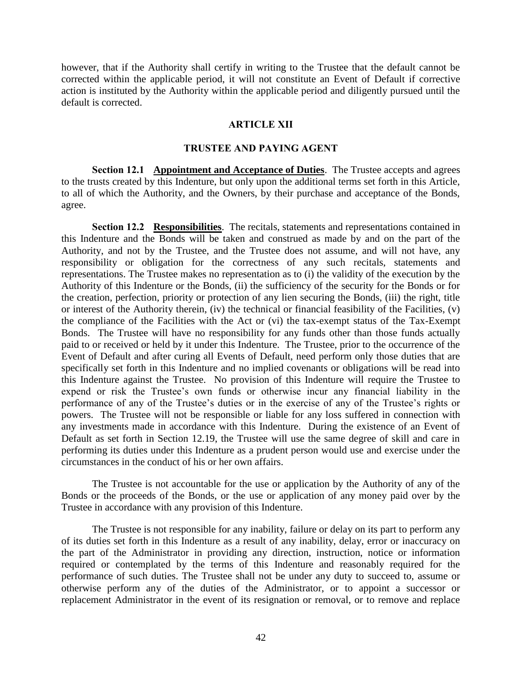however, that if the Authority shall certify in writing to the Trustee that the default cannot be corrected within the applicable period, it will not constitute an Event of Default if corrective action is instituted by the Authority within the applicable period and diligently pursued until the default is corrected.

#### **ARTICLE XII**

#### **TRUSTEE AND PAYING AGENT**

**Section 12.1 Appointment and Acceptance of Duties**. The Trustee accepts and agrees to the trusts created by this Indenture, but only upon the additional terms set forth in this Article, to all of which the Authority, and the Owners, by their purchase and acceptance of the Bonds, agree.

**Section 12.2 Responsibilities**. The recitals, statements and representations contained in this Indenture and the Bonds will be taken and construed as made by and on the part of the Authority, and not by the Trustee, and the Trustee does not assume, and will not have, any responsibility or obligation for the correctness of any such recitals, statements and representations. The Trustee makes no representation as to (i) the validity of the execution by the Authority of this Indenture or the Bonds, (ii) the sufficiency of the security for the Bonds or for the creation, perfection, priority or protection of any lien securing the Bonds, (iii) the right, title or interest of the Authority therein, (iv) the technical or financial feasibility of the Facilities, (v) the compliance of the Facilities with the Act or (vi) the tax-exempt status of the Tax-Exempt Bonds. The Trustee will have no responsibility for any funds other than those funds actually paid to or received or held by it under this Indenture. The Trustee, prior to the occurrence of the Event of Default and after curing all Events of Default, need perform only those duties that are specifically set forth in this Indenture and no implied covenants or obligations will be read into this Indenture against the Trustee. No provision of this Indenture will require the Trustee to expend or risk the Trustee's own funds or otherwise incur any financial liability in the performance of any of the Trustee's duties or in the exercise of any of the Trustee's rights or powers. The Trustee will not be responsible or liable for any loss suffered in connection with any investments made in accordance with this Indenture. During the existence of an Event of Default as set forth in Section 12.19, the Trustee will use the same degree of skill and care in performing its duties under this Indenture as a prudent person would use and exercise under the circumstances in the conduct of his or her own affairs.

The Trustee is not accountable for the use or application by the Authority of any of the Bonds or the proceeds of the Bonds, or the use or application of any money paid over by the Trustee in accordance with any provision of this Indenture.

The Trustee is not responsible for any inability, failure or delay on its part to perform any of its duties set forth in this Indenture as a result of any inability, delay, error or inaccuracy on the part of the Administrator in providing any direction, instruction, notice or information required or contemplated by the terms of this Indenture and reasonably required for the performance of such duties. The Trustee shall not be under any duty to succeed to, assume or otherwise perform any of the duties of the Administrator, or to appoint a successor or replacement Administrator in the event of its resignation or removal, or to remove and replace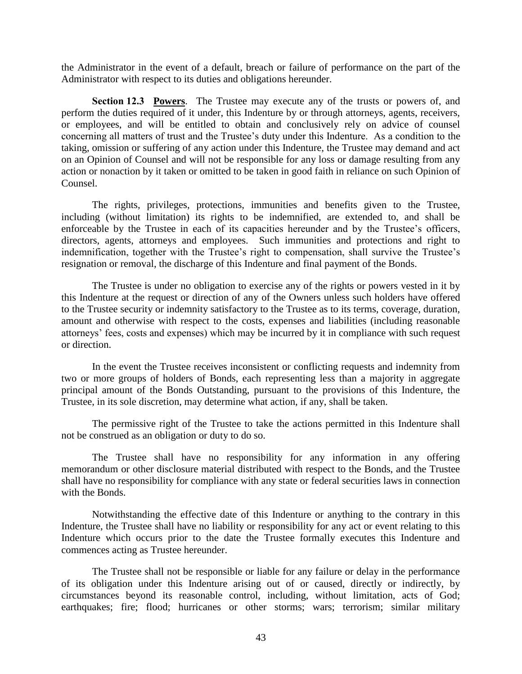the Administrator in the event of a default, breach or failure of performance on the part of the Administrator with respect to its duties and obligations hereunder.

**Section 12.3 Powers**. The Trustee may execute any of the trusts or powers of, and perform the duties required of it under, this Indenture by or through attorneys, agents, receivers, or employees, and will be entitled to obtain and conclusively rely on advice of counsel concerning all matters of trust and the Trustee's duty under this Indenture. As a condition to the taking, omission or suffering of any action under this Indenture, the Trustee may demand and act on an Opinion of Counsel and will not be responsible for any loss or damage resulting from any action or nonaction by it taken or omitted to be taken in good faith in reliance on such Opinion of Counsel.

The rights, privileges, protections, immunities and benefits given to the Trustee, including (without limitation) its rights to be indemnified, are extended to, and shall be enforceable by the Trustee in each of its capacities hereunder and by the Trustee's officers, directors, agents, attorneys and employees. Such immunities and protections and right to indemnification, together with the Trustee's right to compensation, shall survive the Trustee's resignation or removal, the discharge of this Indenture and final payment of the Bonds.

The Trustee is under no obligation to exercise any of the rights or powers vested in it by this Indenture at the request or direction of any of the Owners unless such holders have offered to the Trustee security or indemnity satisfactory to the Trustee as to its terms, coverage, duration, amount and otherwise with respect to the costs, expenses and liabilities (including reasonable attorneys' fees, costs and expenses) which may be incurred by it in compliance with such request or direction.

In the event the Trustee receives inconsistent or conflicting requests and indemnity from two or more groups of holders of Bonds, each representing less than a majority in aggregate principal amount of the Bonds Outstanding, pursuant to the provisions of this Indenture, the Trustee, in its sole discretion, may determine what action, if any, shall be taken.

The permissive right of the Trustee to take the actions permitted in this Indenture shall not be construed as an obligation or duty to do so.

The Trustee shall have no responsibility for any information in any offering memorandum or other disclosure material distributed with respect to the Bonds, and the Trustee shall have no responsibility for compliance with any state or federal securities laws in connection with the Bonds.

Notwithstanding the effective date of this Indenture or anything to the contrary in this Indenture, the Trustee shall have no liability or responsibility for any act or event relating to this Indenture which occurs prior to the date the Trustee formally executes this Indenture and commences acting as Trustee hereunder.

The Trustee shall not be responsible or liable for any failure or delay in the performance of its obligation under this Indenture arising out of or caused, directly or indirectly, by circumstances beyond its reasonable control, including, without limitation, acts of God; earthquakes; fire; flood; hurricanes or other storms; wars; terrorism; similar military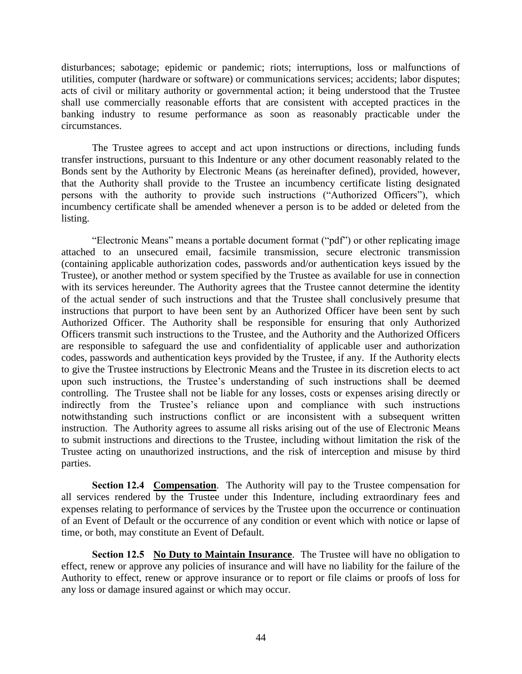disturbances; sabotage; epidemic or pandemic; riots; interruptions, loss or malfunctions of utilities, computer (hardware or software) or communications services; accidents; labor disputes; acts of civil or military authority or governmental action; it being understood that the Trustee shall use commercially reasonable efforts that are consistent with accepted practices in the banking industry to resume performance as soon as reasonably practicable under the circumstances.

The Trustee agrees to accept and act upon instructions or directions, including funds transfer instructions, pursuant to this Indenture or any other document reasonably related to the Bonds sent by the Authority by Electronic Means (as hereinafter defined), provided, however, that the Authority shall provide to the Trustee an incumbency certificate listing designated persons with the authority to provide such instructions ("Authorized Officers"), which incumbency certificate shall be amended whenever a person is to be added or deleted from the listing.

"Electronic Means" means a portable document format ("pdf") or other replicating image attached to an unsecured email, facsimile transmission, secure electronic transmission (containing applicable authorization codes, passwords and/or authentication keys issued by the Trustee), or another method or system specified by the Trustee as available for use in connection with its services hereunder. The Authority agrees that the Trustee cannot determine the identity of the actual sender of such instructions and that the Trustee shall conclusively presume that instructions that purport to have been sent by an Authorized Officer have been sent by such Authorized Officer. The Authority shall be responsible for ensuring that only Authorized Officers transmit such instructions to the Trustee, and the Authority and the Authorized Officers are responsible to safeguard the use and confidentiality of applicable user and authorization codes, passwords and authentication keys provided by the Trustee, if any. If the Authority elects to give the Trustee instructions by Electronic Means and the Trustee in its discretion elects to act upon such instructions, the Trustee's understanding of such instructions shall be deemed controlling. The Trustee shall not be liable for any losses, costs or expenses arising directly or indirectly from the Trustee's reliance upon and compliance with such instructions notwithstanding such instructions conflict or are inconsistent with a subsequent written instruction. The Authority agrees to assume all risks arising out of the use of Electronic Means to submit instructions and directions to the Trustee, including without limitation the risk of the Trustee acting on unauthorized instructions, and the risk of interception and misuse by third parties.

**Section 12.4 Compensation**. The Authority will pay to the Trustee compensation for all services rendered by the Trustee under this Indenture, including extraordinary fees and expenses relating to performance of services by the Trustee upon the occurrence or continuation of an Event of Default or the occurrence of any condition or event which with notice or lapse of time, or both, may constitute an Event of Default.

**Section 12.5 No Duty to Maintain Insurance**. The Trustee will have no obligation to effect, renew or approve any policies of insurance and will have no liability for the failure of the Authority to effect, renew or approve insurance or to report or file claims or proofs of loss for any loss or damage insured against or which may occur.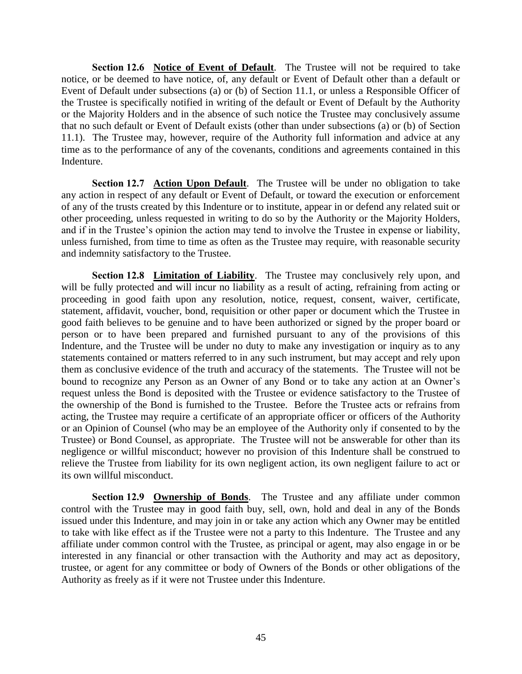**Section 12.6 Notice of Event of Default**. The Trustee will not be required to take notice, or be deemed to have notice, of, any default or Event of Default other than a default or Event of Default under subsections (a) or (b) of Section 11.1, or unless a Responsible Officer of the Trustee is specifically notified in writing of the default or Event of Default by the Authority or the Majority Holders and in the absence of such notice the Trustee may conclusively assume that no such default or Event of Default exists (other than under subsections (a) or (b) of Section 11.1). The Trustee may, however, require of the Authority full information and advice at any time as to the performance of any of the covenants, conditions and agreements contained in this Indenture.

**Section 12.7 Action Upon Default**. The Trustee will be under no obligation to take any action in respect of any default or Event of Default, or toward the execution or enforcement of any of the trusts created by this Indenture or to institute, appear in or defend any related suit or other proceeding, unless requested in writing to do so by the Authority or the Majority Holders, and if in the Trustee's opinion the action may tend to involve the Trustee in expense or liability, unless furnished, from time to time as often as the Trustee may require, with reasonable security and indemnity satisfactory to the Trustee.

**Section 12.8 Limitation of Liability**. The Trustee may conclusively rely upon, and will be fully protected and will incur no liability as a result of acting, refraining from acting or proceeding in good faith upon any resolution, notice, request, consent, waiver, certificate, statement, affidavit, voucher, bond, requisition or other paper or document which the Trustee in good faith believes to be genuine and to have been authorized or signed by the proper board or person or to have been prepared and furnished pursuant to any of the provisions of this Indenture, and the Trustee will be under no duty to make any investigation or inquiry as to any statements contained or matters referred to in any such instrument, but may accept and rely upon them as conclusive evidence of the truth and accuracy of the statements. The Trustee will not be bound to recognize any Person as an Owner of any Bond or to take any action at an Owner's request unless the Bond is deposited with the Trustee or evidence satisfactory to the Trustee of the ownership of the Bond is furnished to the Trustee. Before the Trustee acts or refrains from acting, the Trustee may require a certificate of an appropriate officer or officers of the Authority or an Opinion of Counsel (who may be an employee of the Authority only if consented to by the Trustee) or Bond Counsel, as appropriate. The Trustee will not be answerable for other than its negligence or willful misconduct; however no provision of this Indenture shall be construed to relieve the Trustee from liability for its own negligent action, its own negligent failure to act or its own willful misconduct.

**Section 12.9 Ownership of Bonds**. The Trustee and any affiliate under common control with the Trustee may in good faith buy, sell, own, hold and deal in any of the Bonds issued under this Indenture, and may join in or take any action which any Owner may be entitled to take with like effect as if the Trustee were not a party to this Indenture. The Trustee and any affiliate under common control with the Trustee, as principal or agent, may also engage in or be interested in any financial or other transaction with the Authority and may act as depository, trustee, or agent for any committee or body of Owners of the Bonds or other obligations of the Authority as freely as if it were not Trustee under this Indenture.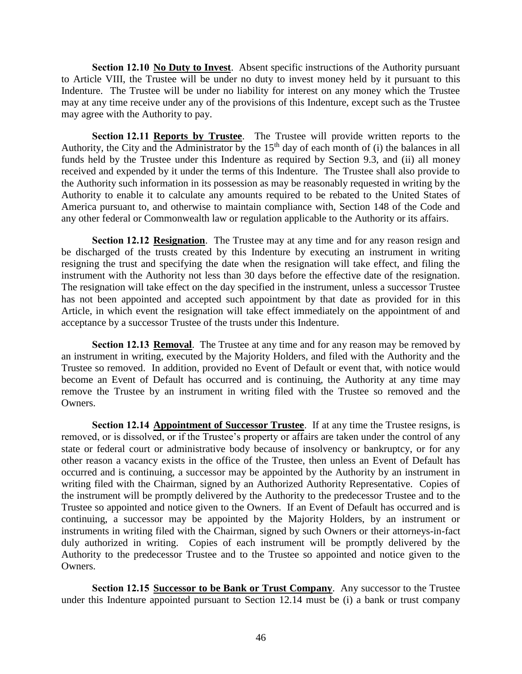**Section 12.10 No Duty to Invest**. Absent specific instructions of the Authority pursuant to Article VIII, the Trustee will be under no duty to invest money held by it pursuant to this Indenture. The Trustee will be under no liability for interest on any money which the Trustee may at any time receive under any of the provisions of this Indenture, except such as the Trustee may agree with the Authority to pay.

**Section 12.11 Reports by Trustee**. The Trustee will provide written reports to the Authority, the City and the Administrator by the  $15<sup>th</sup>$  day of each month of (i) the balances in all funds held by the Trustee under this Indenture as required by Section 9.3, and (ii) all money received and expended by it under the terms of this Indenture. The Trustee shall also provide to the Authority such information in its possession as may be reasonably requested in writing by the Authority to enable it to calculate any amounts required to be rebated to the United States of America pursuant to, and otherwise to maintain compliance with, Section 148 of the Code and any other federal or Commonwealth law or regulation applicable to the Authority or its affairs.

**Section 12.12 Resignation**. The Trustee may at any time and for any reason resign and be discharged of the trusts created by this Indenture by executing an instrument in writing resigning the trust and specifying the date when the resignation will take effect, and filing the instrument with the Authority not less than 30 days before the effective date of the resignation. The resignation will take effect on the day specified in the instrument, unless a successor Trustee has not been appointed and accepted such appointment by that date as provided for in this Article, in which event the resignation will take effect immediately on the appointment of and acceptance by a successor Trustee of the trusts under this Indenture.

**Section 12.13 Removal.** The Trustee at any time and for any reason may be removed by an instrument in writing, executed by the Majority Holders, and filed with the Authority and the Trustee so removed. In addition, provided no Event of Default or event that, with notice would become an Event of Default has occurred and is continuing, the Authority at any time may remove the Trustee by an instrument in writing filed with the Trustee so removed and the Owners.

**Section 12.14 Appointment of Successor Trustee**. If at any time the Trustee resigns, is removed, or is dissolved, or if the Trustee's property or affairs are taken under the control of any state or federal court or administrative body because of insolvency or bankruptcy, or for any other reason a vacancy exists in the office of the Trustee, then unless an Event of Default has occurred and is continuing, a successor may be appointed by the Authority by an instrument in writing filed with the Chairman, signed by an Authorized Authority Representative. Copies of the instrument will be promptly delivered by the Authority to the predecessor Trustee and to the Trustee so appointed and notice given to the Owners. If an Event of Default has occurred and is continuing, a successor may be appointed by the Majority Holders, by an instrument or instruments in writing filed with the Chairman, signed by such Owners or their attorneys-in-fact duly authorized in writing. Copies of each instrument will be promptly delivered by the Authority to the predecessor Trustee and to the Trustee so appointed and notice given to the Owners.

**Section 12.15 Successor to be Bank or Trust Company.** Any successor to the Trustee under this Indenture appointed pursuant to Section 12.14 must be (i) a bank or trust company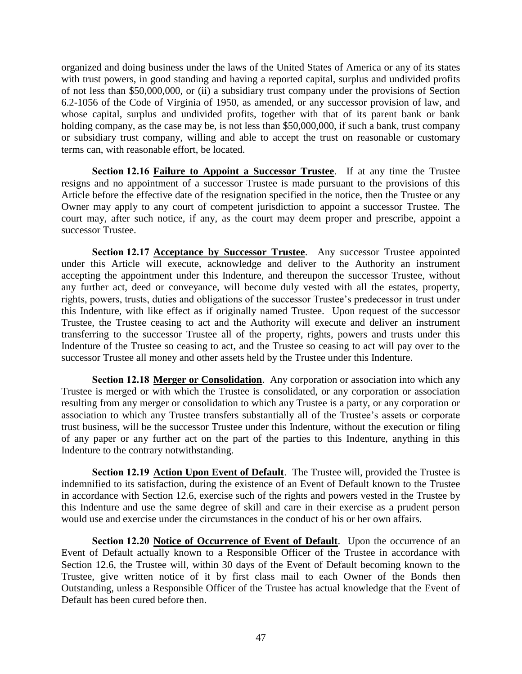organized and doing business under the laws of the United States of America or any of its states with trust powers, in good standing and having a reported capital, surplus and undivided profits of not less than \$50,000,000, or (ii) a subsidiary trust company under the provisions of Section 6.2-1056 of the Code of Virginia of 1950, as amended, or any successor provision of law, and whose capital, surplus and undivided profits, together with that of its parent bank or bank holding company, as the case may be, is not less than \$50,000,000, if such a bank, trust company or subsidiary trust company, willing and able to accept the trust on reasonable or customary terms can, with reasonable effort, be located.

**Section 12.16 Failure to Appoint a Successor Trustee**. If at any time the Trustee resigns and no appointment of a successor Trustee is made pursuant to the provisions of this Article before the effective date of the resignation specified in the notice, then the Trustee or any Owner may apply to any court of competent jurisdiction to appoint a successor Trustee. The court may, after such notice, if any, as the court may deem proper and prescribe, appoint a successor Trustee.

**Section 12.17 Acceptance by Successor Trustee**. Any successor Trustee appointed under this Article will execute, acknowledge and deliver to the Authority an instrument accepting the appointment under this Indenture, and thereupon the successor Trustee, without any further act, deed or conveyance, will become duly vested with all the estates, property, rights, powers, trusts, duties and obligations of the successor Trustee's predecessor in trust under this Indenture, with like effect as if originally named Trustee. Upon request of the successor Trustee, the Trustee ceasing to act and the Authority will execute and deliver an instrument transferring to the successor Trustee all of the property, rights, powers and trusts under this Indenture of the Trustee so ceasing to act, and the Trustee so ceasing to act will pay over to the successor Trustee all money and other assets held by the Trustee under this Indenture.

**Section 12.18 Merger or Consolidation**. Any corporation or association into which any Trustee is merged or with which the Trustee is consolidated, or any corporation or association resulting from any merger or consolidation to which any Trustee is a party, or any corporation or association to which any Trustee transfers substantially all of the Trustee's assets or corporate trust business, will be the successor Trustee under this Indenture, without the execution or filing of any paper or any further act on the part of the parties to this Indenture, anything in this Indenture to the contrary notwithstanding.

**Section 12.19 Action Upon Event of Default**. The Trustee will, provided the Trustee is indemnified to its satisfaction, during the existence of an Event of Default known to the Trustee in accordance with Section 12.6, exercise such of the rights and powers vested in the Trustee by this Indenture and use the same degree of skill and care in their exercise as a prudent person would use and exercise under the circumstances in the conduct of his or her own affairs.

**Section 12.20 Notice of Occurrence of Event of Default**. Upon the occurrence of an Event of Default actually known to a Responsible Officer of the Trustee in accordance with Section 12.6, the Trustee will, within 30 days of the Event of Default becoming known to the Trustee, give written notice of it by first class mail to each Owner of the Bonds then Outstanding, unless a Responsible Officer of the Trustee has actual knowledge that the Event of Default has been cured before then.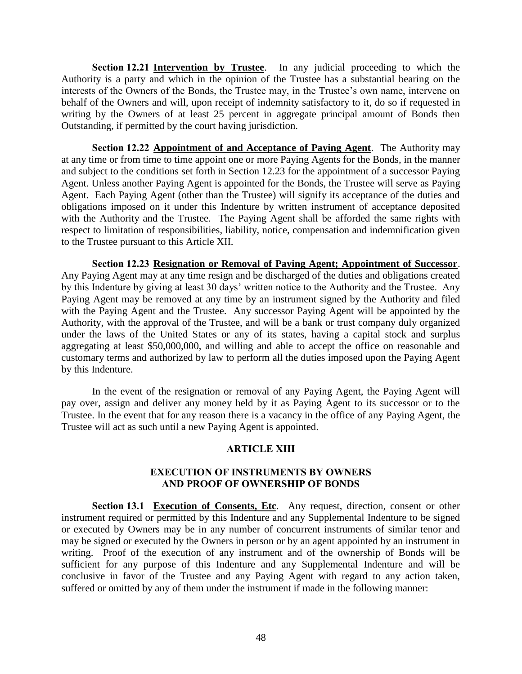**Section 12.21 Intervention by Trustee**. In any judicial proceeding to which the Authority is a party and which in the opinion of the Trustee has a substantial bearing on the interests of the Owners of the Bonds, the Trustee may, in the Trustee's own name, intervene on behalf of the Owners and will, upon receipt of indemnity satisfactory to it, do so if requested in writing by the Owners of at least 25 percent in aggregate principal amount of Bonds then Outstanding, if permitted by the court having jurisdiction.

**Section 12.22 Appointment of and Acceptance of Paying Agent**. The Authority may at any time or from time to time appoint one or more Paying Agents for the Bonds, in the manner and subject to the conditions set forth in Section 12.23 for the appointment of a successor Paying Agent. Unless another Paying Agent is appointed for the Bonds, the Trustee will serve as Paying Agent. Each Paying Agent (other than the Trustee) will signify its acceptance of the duties and obligations imposed on it under this Indenture by written instrument of acceptance deposited with the Authority and the Trustee. The Paying Agent shall be afforded the same rights with respect to limitation of responsibilities, liability, notice, compensation and indemnification given to the Trustee pursuant to this Article XII.

**Section 12.23 Resignation or Removal of Paying Agent; Appointment of Successor**. Any Paying Agent may at any time resign and be discharged of the duties and obligations created by this Indenture by giving at least 30 days' written notice to the Authority and the Trustee. Any Paying Agent may be removed at any time by an instrument signed by the Authority and filed with the Paying Agent and the Trustee. Any successor Paying Agent will be appointed by the Authority, with the approval of the Trustee, and will be a bank or trust company duly organized under the laws of the United States or any of its states, having a capital stock and surplus aggregating at least \$50,000,000, and willing and able to accept the office on reasonable and customary terms and authorized by law to perform all the duties imposed upon the Paying Agent by this Indenture.

In the event of the resignation or removal of any Paying Agent, the Paying Agent will pay over, assign and deliver any money held by it as Paying Agent to its successor or to the Trustee. In the event that for any reason there is a vacancy in the office of any Paying Agent, the Trustee will act as such until a new Paying Agent is appointed.

## **ARTICLE XIII**

## **EXECUTION OF INSTRUMENTS BY OWNERS AND PROOF OF OWNERSHIP OF BONDS**

**Section 13.1 Execution of Consents, Etc.** Any request, direction, consent or other instrument required or permitted by this Indenture and any Supplemental Indenture to be signed or executed by Owners may be in any number of concurrent instruments of similar tenor and may be signed or executed by the Owners in person or by an agent appointed by an instrument in writing. Proof of the execution of any instrument and of the ownership of Bonds will be sufficient for any purpose of this Indenture and any Supplemental Indenture and will be conclusive in favor of the Trustee and any Paying Agent with regard to any action taken, suffered or omitted by any of them under the instrument if made in the following manner: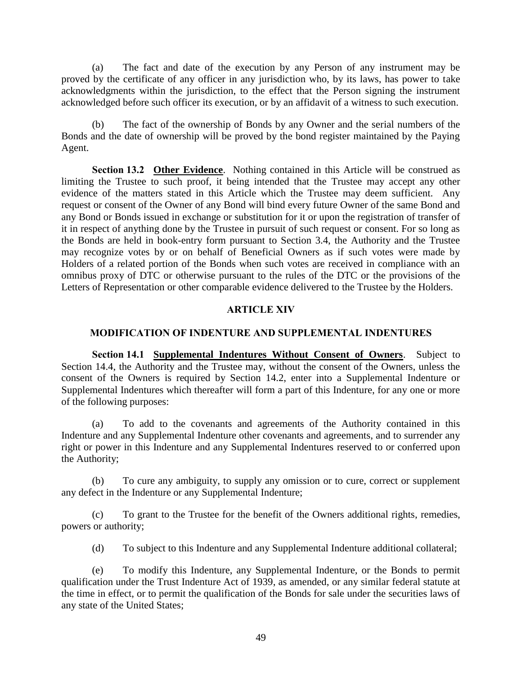(a) The fact and date of the execution by any Person of any instrument may be proved by the certificate of any officer in any jurisdiction who, by its laws, has power to take acknowledgments within the jurisdiction, to the effect that the Person signing the instrument acknowledged before such officer its execution, or by an affidavit of a witness to such execution.

(b) The fact of the ownership of Bonds by any Owner and the serial numbers of the Bonds and the date of ownership will be proved by the bond register maintained by the Paying Agent.

**Section 13.2 Other Evidence**. Nothing contained in this Article will be construed as limiting the Trustee to such proof, it being intended that the Trustee may accept any other evidence of the matters stated in this Article which the Trustee may deem sufficient. Any request or consent of the Owner of any Bond will bind every future Owner of the same Bond and any Bond or Bonds issued in exchange or substitution for it or upon the registration of transfer of it in respect of anything done by the Trustee in pursuit of such request or consent. For so long as the Bonds are held in book-entry form pursuant to Section 3.4, the Authority and the Trustee may recognize votes by or on behalf of Beneficial Owners as if such votes were made by Holders of a related portion of the Bonds when such votes are received in compliance with an omnibus proxy of DTC or otherwise pursuant to the rules of the DTC or the provisions of the Letters of Representation or other comparable evidence delivered to the Trustee by the Holders.

#### **ARTICLE XIV**

#### **MODIFICATION OF INDENTURE AND SUPPLEMENTAL INDENTURES**

**Section 14.1 Supplemental Indentures Without Consent of Owners**. Subject to Section 14.4, the Authority and the Trustee may, without the consent of the Owners, unless the consent of the Owners is required by Section 14.2, enter into a Supplemental Indenture or Supplemental Indentures which thereafter will form a part of this Indenture, for any one or more of the following purposes:

(a) To add to the covenants and agreements of the Authority contained in this Indenture and any Supplemental Indenture other covenants and agreements, and to surrender any right or power in this Indenture and any Supplemental Indentures reserved to or conferred upon the Authority;

(b) To cure any ambiguity, to supply any omission or to cure, correct or supplement any defect in the Indenture or any Supplemental Indenture;

(c) To grant to the Trustee for the benefit of the Owners additional rights, remedies, powers or authority;

(d) To subject to this Indenture and any Supplemental Indenture additional collateral;

(e) To modify this Indenture, any Supplemental Indenture, or the Bonds to permit qualification under the Trust Indenture Act of 1939, as amended, or any similar federal statute at the time in effect, or to permit the qualification of the Bonds for sale under the securities laws of any state of the United States;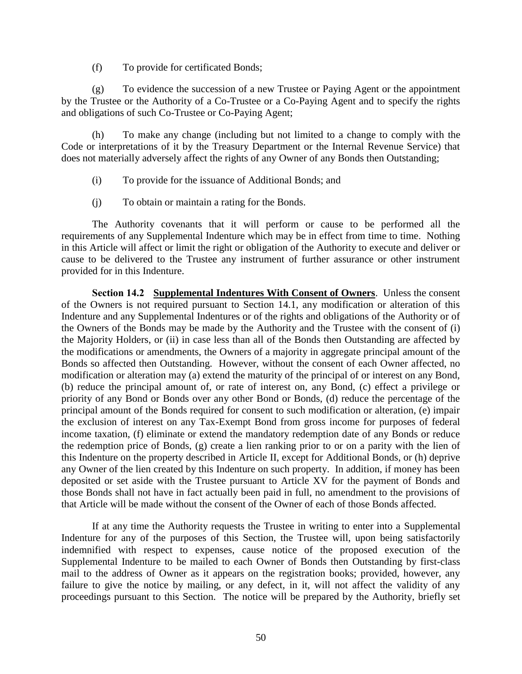(f) To provide for certificated Bonds;

(g) To evidence the succession of a new Trustee or Paying Agent or the appointment by the Trustee or the Authority of a Co-Trustee or a Co-Paying Agent and to specify the rights and obligations of such Co-Trustee or Co-Paying Agent;

(h) To make any change (including but not limited to a change to comply with the Code or interpretations of it by the Treasury Department or the Internal Revenue Service) that does not materially adversely affect the rights of any Owner of any Bonds then Outstanding;

- (i) To provide for the issuance of Additional Bonds; and
- (j) To obtain or maintain a rating for the Bonds.

The Authority covenants that it will perform or cause to be performed all the requirements of any Supplemental Indenture which may be in effect from time to time. Nothing in this Article will affect or limit the right or obligation of the Authority to execute and deliver or cause to be delivered to the Trustee any instrument of further assurance or other instrument provided for in this Indenture.

**Section 14.2 Supplemental Indentures With Consent of Owners**. Unless the consent of the Owners is not required pursuant to Section 14.1, any modification or alteration of this Indenture and any Supplemental Indentures or of the rights and obligations of the Authority or of the Owners of the Bonds may be made by the Authority and the Trustee with the consent of (i) the Majority Holders, or (ii) in case less than all of the Bonds then Outstanding are affected by the modifications or amendments, the Owners of a majority in aggregate principal amount of the Bonds so affected then Outstanding. However, without the consent of each Owner affected, no modification or alteration may (a) extend the maturity of the principal of or interest on any Bond, (b) reduce the principal amount of, or rate of interest on, any Bond, (c) effect a privilege or priority of any Bond or Bonds over any other Bond or Bonds, (d) reduce the percentage of the principal amount of the Bonds required for consent to such modification or alteration, (e) impair the exclusion of interest on any Tax-Exempt Bond from gross income for purposes of federal income taxation, (f) eliminate or extend the mandatory redemption date of any Bonds or reduce the redemption price of Bonds, (g) create a lien ranking prior to or on a parity with the lien of this Indenture on the property described in Article II, except for Additional Bonds, or (h) deprive any Owner of the lien created by this Indenture on such property. In addition, if money has been deposited or set aside with the Trustee pursuant to Article XV for the payment of Bonds and those Bonds shall not have in fact actually been paid in full, no amendment to the provisions of that Article will be made without the consent of the Owner of each of those Bonds affected.

If at any time the Authority requests the Trustee in writing to enter into a Supplemental Indenture for any of the purposes of this Section, the Trustee will, upon being satisfactorily indemnified with respect to expenses, cause notice of the proposed execution of the Supplemental Indenture to be mailed to each Owner of Bonds then Outstanding by first-class mail to the address of Owner as it appears on the registration books; provided, however, any failure to give the notice by mailing, or any defect, in it, will not affect the validity of any proceedings pursuant to this Section. The notice will be prepared by the Authority, briefly set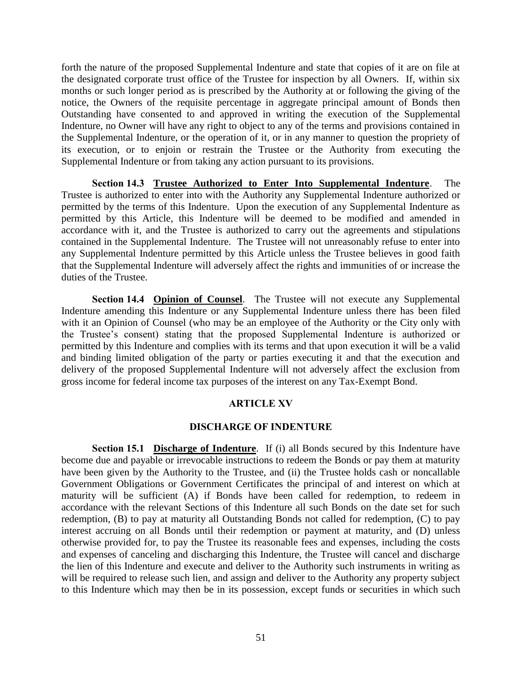forth the nature of the proposed Supplemental Indenture and state that copies of it are on file at the designated corporate trust office of the Trustee for inspection by all Owners. If, within six months or such longer period as is prescribed by the Authority at or following the giving of the notice, the Owners of the requisite percentage in aggregate principal amount of Bonds then Outstanding have consented to and approved in writing the execution of the Supplemental Indenture, no Owner will have any right to object to any of the terms and provisions contained in the Supplemental Indenture, or the operation of it, or in any manner to question the propriety of its execution, or to enjoin or restrain the Trustee or the Authority from executing the Supplemental Indenture or from taking any action pursuant to its provisions.

**Section 14.3 Trustee Authorized to Enter Into Supplemental Indenture**. The Trustee is authorized to enter into with the Authority any Supplemental Indenture authorized or permitted by the terms of this Indenture. Upon the execution of any Supplemental Indenture as permitted by this Article, this Indenture will be deemed to be modified and amended in accordance with it, and the Trustee is authorized to carry out the agreements and stipulations contained in the Supplemental Indenture. The Trustee will not unreasonably refuse to enter into any Supplemental Indenture permitted by this Article unless the Trustee believes in good faith that the Supplemental Indenture will adversely affect the rights and immunities of or increase the duties of the Trustee.

**Section 14.4 Opinion of Counsel**. The Trustee will not execute any Supplemental Indenture amending this Indenture or any Supplemental Indenture unless there has been filed with it an Opinion of Counsel (who may be an employee of the Authority or the City only with the Trustee's consent) stating that the proposed Supplemental Indenture is authorized or permitted by this Indenture and complies with its terms and that upon execution it will be a valid and binding limited obligation of the party or parties executing it and that the execution and delivery of the proposed Supplemental Indenture will not adversely affect the exclusion from gross income for federal income tax purposes of the interest on any Tax-Exempt Bond.

## **ARTICLE XV**

#### **DISCHARGE OF INDENTURE**

**Section 15.1 Discharge of Indenture**. If (i) all Bonds secured by this Indenture have become due and payable or irrevocable instructions to redeem the Bonds or pay them at maturity have been given by the Authority to the Trustee, and (ii) the Trustee holds cash or noncallable Government Obligations or Government Certificates the principal of and interest on which at maturity will be sufficient (A) if Bonds have been called for redemption, to redeem in accordance with the relevant Sections of this Indenture all such Bonds on the date set for such redemption, (B) to pay at maturity all Outstanding Bonds not called for redemption, (C) to pay interest accruing on all Bonds until their redemption or payment at maturity, and (D) unless otherwise provided for, to pay the Trustee its reasonable fees and expenses, including the costs and expenses of canceling and discharging this Indenture, the Trustee will cancel and discharge the lien of this Indenture and execute and deliver to the Authority such instruments in writing as will be required to release such lien, and assign and deliver to the Authority any property subject to this Indenture which may then be in its possession, except funds or securities in which such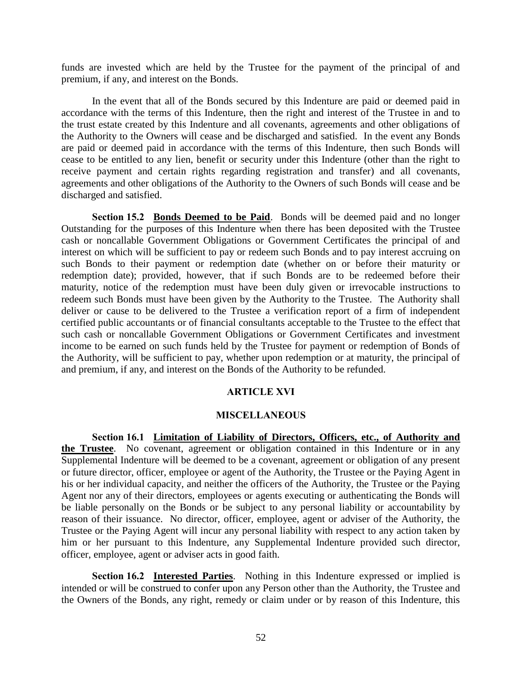funds are invested which are held by the Trustee for the payment of the principal of and premium, if any, and interest on the Bonds.

In the event that all of the Bonds secured by this Indenture are paid or deemed paid in accordance with the terms of this Indenture, then the right and interest of the Trustee in and to the trust estate created by this Indenture and all covenants, agreements and other obligations of the Authority to the Owners will cease and be discharged and satisfied. In the event any Bonds are paid or deemed paid in accordance with the terms of this Indenture, then such Bonds will cease to be entitled to any lien, benefit or security under this Indenture (other than the right to receive payment and certain rights regarding registration and transfer) and all covenants, agreements and other obligations of the Authority to the Owners of such Bonds will cease and be discharged and satisfied.

**Section 15.2 Bonds Deemed to be Paid**. Bonds will be deemed paid and no longer Outstanding for the purposes of this Indenture when there has been deposited with the Trustee cash or noncallable Government Obligations or Government Certificates the principal of and interest on which will be sufficient to pay or redeem such Bonds and to pay interest accruing on such Bonds to their payment or redemption date (whether on or before their maturity or redemption date); provided, however, that if such Bonds are to be redeemed before their maturity, notice of the redemption must have been duly given or irrevocable instructions to redeem such Bonds must have been given by the Authority to the Trustee. The Authority shall deliver or cause to be delivered to the Trustee a verification report of a firm of independent certified public accountants or of financial consultants acceptable to the Trustee to the effect that such cash or noncallable Government Obligations or Government Certificates and investment income to be earned on such funds held by the Trustee for payment or redemption of Bonds of the Authority, will be sufficient to pay, whether upon redemption or at maturity, the principal of and premium, if any, and interest on the Bonds of the Authority to be refunded.

#### **ARTICLE XVI**

#### **MISCELLANEOUS**

**Section 16.1 Limitation of Liability of Directors, Officers, etc., of Authority and the Trustee**. No covenant, agreement or obligation contained in this Indenture or in any Supplemental Indenture will be deemed to be a covenant, agreement or obligation of any present or future director, officer, employee or agent of the Authority, the Trustee or the Paying Agent in his or her individual capacity, and neither the officers of the Authority, the Trustee or the Paying Agent nor any of their directors, employees or agents executing or authenticating the Bonds will be liable personally on the Bonds or be subject to any personal liability or accountability by reason of their issuance. No director, officer, employee, agent or adviser of the Authority, the Trustee or the Paying Agent will incur any personal liability with respect to any action taken by him or her pursuant to this Indenture, any Supplemental Indenture provided such director, officer, employee, agent or adviser acts in good faith.

**Section 16.2 Interested Parties**. Nothing in this Indenture expressed or implied is intended or will be construed to confer upon any Person other than the Authority, the Trustee and the Owners of the Bonds, any right, remedy or claim under or by reason of this Indenture, this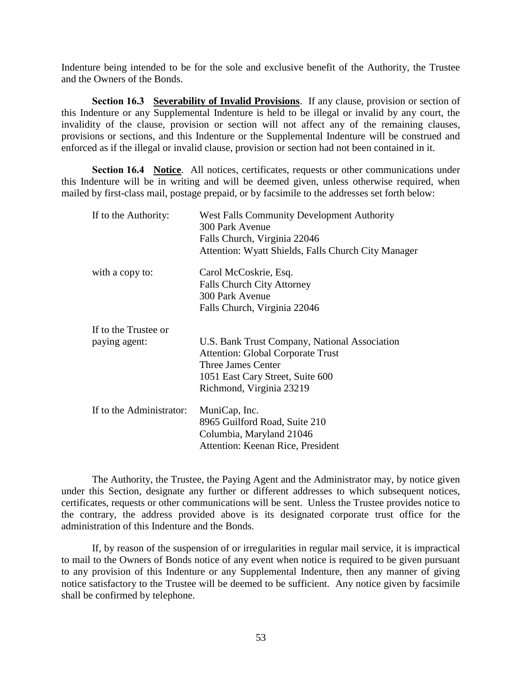Indenture being intended to be for the sole and exclusive benefit of the Authority, the Trustee and the Owners of the Bonds.

**Section 16.3 Severability of Invalid Provisions**. If any clause, provision or section of this Indenture or any Supplemental Indenture is held to be illegal or invalid by any court, the invalidity of the clause, provision or section will not affect any of the remaining clauses, provisions or sections, and this Indenture or the Supplemental Indenture will be construed and enforced as if the illegal or invalid clause, provision or section had not been contained in it.

**Section 16.4 Notice**. All notices, certificates, requests or other communications under this Indenture will be in writing and will be deemed given, unless otherwise required, when mailed by first-class mail, postage prepaid, or by facsimile to the addresses set forth below:

| If to the Authority:     | <b>West Falls Community Development Authority</b><br>300 Park Avenue |  |  |
|--------------------------|----------------------------------------------------------------------|--|--|
|                          | Falls Church, Virginia 22046                                         |  |  |
|                          | Attention: Wyatt Shields, Falls Church City Manager                  |  |  |
| with a copy to:          | Carol McCoskrie, Esq.                                                |  |  |
|                          | <b>Falls Church City Attorney</b>                                    |  |  |
|                          | 300 Park Avenue                                                      |  |  |
|                          | Falls Church, Virginia 22046                                         |  |  |
| If to the Trustee or     |                                                                      |  |  |
| paying agent:            | U.S. Bank Trust Company, National Association                        |  |  |
|                          | <b>Attention: Global Corporate Trust</b>                             |  |  |
|                          | Three James Center                                                   |  |  |
|                          | 1051 East Cary Street, Suite 600                                     |  |  |
|                          | Richmond, Virginia 23219                                             |  |  |
| If to the Administrator: | MuniCap, Inc.                                                        |  |  |
|                          | 8965 Guilford Road, Suite 210                                        |  |  |
|                          | Columbia, Maryland 21046                                             |  |  |
|                          | Attention: Keenan Rice, President                                    |  |  |

The Authority, the Trustee, the Paying Agent and the Administrator may, by notice given under this Section, designate any further or different addresses to which subsequent notices, certificates, requests or other communications will be sent. Unless the Trustee provides notice to the contrary, the address provided above is its designated corporate trust office for the administration of this Indenture and the Bonds.

If, by reason of the suspension of or irregularities in regular mail service, it is impractical to mail to the Owners of Bonds notice of any event when notice is required to be given pursuant to any provision of this Indenture or any Supplemental Indenture, then any manner of giving notice satisfactory to the Trustee will be deemed to be sufficient. Any notice given by facsimile shall be confirmed by telephone.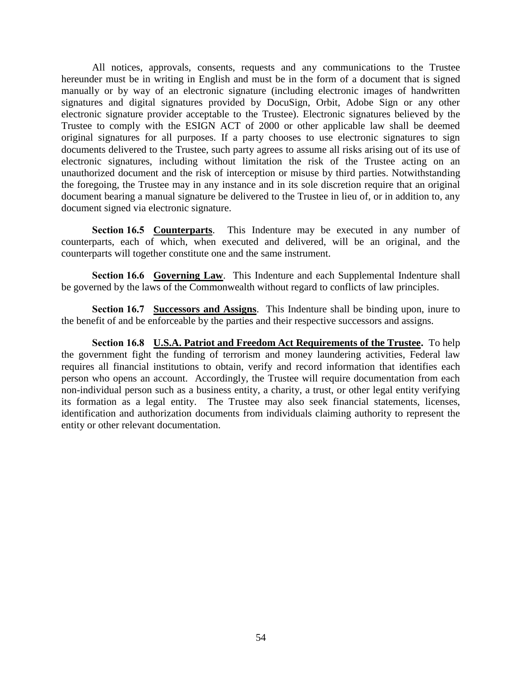All notices, approvals, consents, requests and any communications to the Trustee hereunder must be in writing in English and must be in the form of a document that is signed manually or by way of an electronic signature (including electronic images of handwritten signatures and digital signatures provided by DocuSign, Orbit, Adobe Sign or any other electronic signature provider acceptable to the Trustee). Electronic signatures believed by the Trustee to comply with the ESIGN ACT of 2000 or other applicable law shall be deemed original signatures for all purposes. If a party chooses to use electronic signatures to sign documents delivered to the Trustee, such party agrees to assume all risks arising out of its use of electronic signatures, including without limitation the risk of the Trustee acting on an unauthorized document and the risk of interception or misuse by third parties. Notwithstanding the foregoing, the Trustee may in any instance and in its sole discretion require that an original document bearing a manual signature be delivered to the Trustee in lieu of, or in addition to, any document signed via electronic signature.

**Section 16.5 Counterparts**. This Indenture may be executed in any number of counterparts, each of which, when executed and delivered, will be an original, and the counterparts will together constitute one and the same instrument.

**Section 16.6 Governing Law**. This Indenture and each Supplemental Indenture shall be governed by the laws of the Commonwealth without regard to conflicts of law principles.

**Section 16.7 Successors and Assigns**. This Indenture shall be binding upon, inure to the benefit of and be enforceable by the parties and their respective successors and assigns.

**Section 16.8 U.S.A. Patriot and Freedom Act Requirements of the Trustee.** To help the government fight the funding of terrorism and money laundering activities, Federal law requires all financial institutions to obtain, verify and record information that identifies each person who opens an account. Accordingly, the Trustee will require documentation from each non-individual person such as a business entity, a charity, a trust, or other legal entity verifying its formation as a legal entity. The Trustee may also seek financial statements, licenses, identification and authorization documents from individuals claiming authority to represent the entity or other relevant documentation.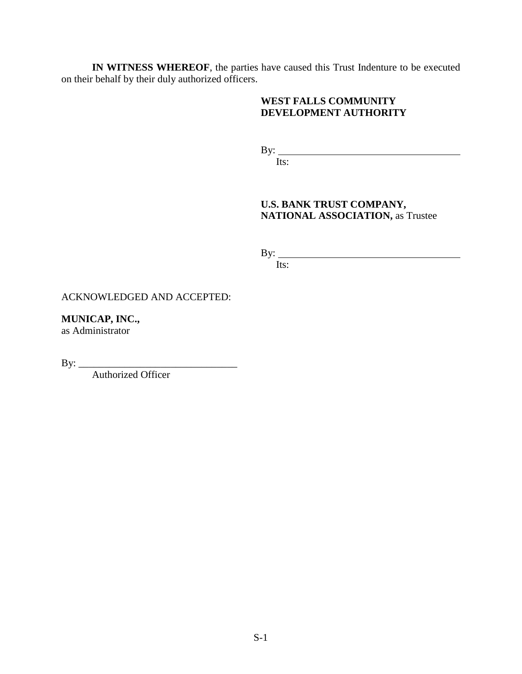**IN WITNESS WHEREOF**, the parties have caused this Trust Indenture to be executed on their behalf by their duly authorized officers.

## **WEST FALLS COMMUNITY DEVELOPMENT AUTHORITY**

By:

Its:

# **U.S. BANK TRUST COMPANY, NATIONAL ASSOCIATION,** as Trustee

By:

Its:

ACKNOWLEDGED AND ACCEPTED:

**MUNICAP, INC.,**

as Administrator

By: \_\_\_\_\_\_\_\_\_\_\_\_\_\_\_\_\_\_\_\_\_\_\_\_\_\_\_\_\_\_\_

Authorized Officer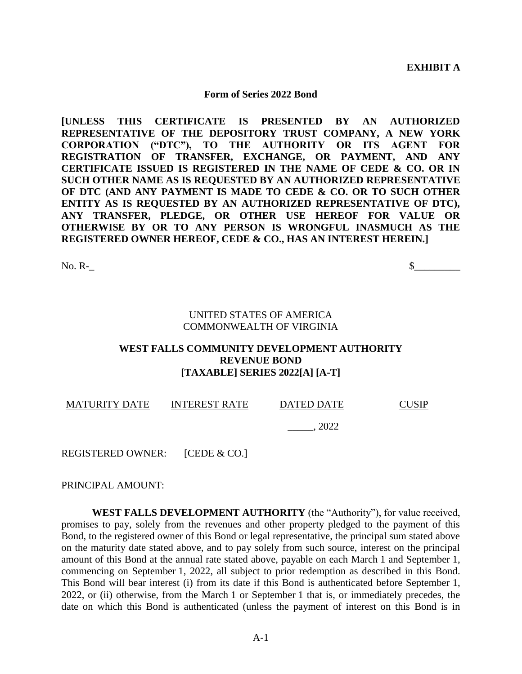**EXHIBIT A**

#### **Form of Series 2022 Bond**

**[UNLESS THIS CERTIFICATE IS PRESENTED BY AN AUTHORIZED REPRESENTATIVE OF THE DEPOSITORY TRUST COMPANY, A NEW YORK CORPORATION ("DTC"), TO THE AUTHORITY OR ITS AGENT FOR REGISTRATION OF TRANSFER, EXCHANGE, OR PAYMENT, AND ANY CERTIFICATE ISSUED IS REGISTERED IN THE NAME OF CEDE & CO. OR IN SUCH OTHER NAME AS IS REQUESTED BY AN AUTHORIZED REPRESENTATIVE OF DTC (AND ANY PAYMENT IS MADE TO CEDE & CO. OR TO SUCH OTHER ENTITY AS IS REQUESTED BY AN AUTHORIZED REPRESENTATIVE OF DTC), ANY TRANSFER, PLEDGE, OR OTHER USE HEREOF FOR VALUE OR OTHERWISE BY OR TO ANY PERSON IS WRONGFUL INASMUCH AS THE REGISTERED OWNER HEREOF, CEDE & CO., HAS AN INTEREST HEREIN.]**

 $\gamma$  No. R-

#### UNITED STATES OF AMERICA COMMONWEALTH OF VIRGINIA

#### **WEST FALLS COMMUNITY DEVELOPMENT AUTHORITY REVENUE BOND [TAXABLE] SERIES 2022[A] [A-T]**

MATURITY DATE INTEREST RATE DATED DATE CUSIP

\_\_\_\_\_, 2022

REGISTERED OWNER: [CEDE & CO.]

PRINCIPAL AMOUNT:

**WEST FALLS DEVELOPMENT AUTHORITY** (the "Authority"), for value received, promises to pay, solely from the revenues and other property pledged to the payment of this Bond, to the registered owner of this Bond or legal representative, the principal sum stated above on the maturity date stated above, and to pay solely from such source, interest on the principal amount of this Bond at the annual rate stated above, payable on each March 1 and September 1, commencing on September 1, 2022, all subject to prior redemption as described in this Bond. This Bond will bear interest (i) from its date if this Bond is authenticated before September 1, 2022, or (ii) otherwise, from the March 1 or September 1 that is, or immediately precedes, the date on which this Bond is authenticated (unless the payment of interest on this Bond is in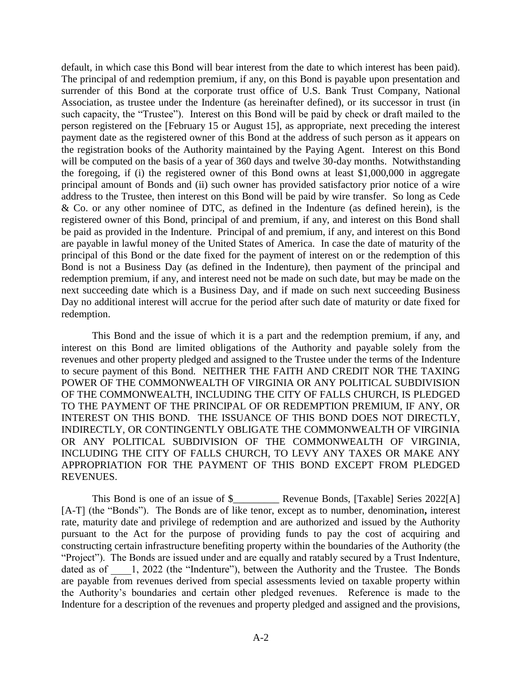default, in which case this Bond will bear interest from the date to which interest has been paid). The principal of and redemption premium, if any, on this Bond is payable upon presentation and surrender of this Bond at the corporate trust office of U.S. Bank Trust Company, National Association, as trustee under the Indenture (as hereinafter defined), or its successor in trust (in such capacity, the "Trustee"). Interest on this Bond will be paid by check or draft mailed to the person registered on the [February 15 or August 15], as appropriate, next preceding the interest payment date as the registered owner of this Bond at the address of such person as it appears on the registration books of the Authority maintained by the Paying Agent. Interest on this Bond will be computed on the basis of a year of 360 days and twelve 30-day months. Notwithstanding the foregoing, if (i) the registered owner of this Bond owns at least \$1,000,000 in aggregate principal amount of Bonds and (ii) such owner has provided satisfactory prior notice of a wire address to the Trustee, then interest on this Bond will be paid by wire transfer. So long as Cede & Co. or any other nominee of DTC, as defined in the Indenture (as defined herein), is the registered owner of this Bond, principal of and premium, if any, and interest on this Bond shall be paid as provided in the Indenture. Principal of and premium, if any, and interest on this Bond are payable in lawful money of the United States of America. In case the date of maturity of the principal of this Bond or the date fixed for the payment of interest on or the redemption of this Bond is not a Business Day (as defined in the Indenture), then payment of the principal and redemption premium, if any, and interest need not be made on such date, but may be made on the next succeeding date which is a Business Day, and if made on such next succeeding Business Day no additional interest will accrue for the period after such date of maturity or date fixed for redemption.

This Bond and the issue of which it is a part and the redemption premium, if any, and interest on this Bond are limited obligations of the Authority and payable solely from the revenues and other property pledged and assigned to the Trustee under the terms of the Indenture to secure payment of this Bond. NEITHER THE FAITH AND CREDIT NOR THE TAXING POWER OF THE COMMONWEALTH OF VIRGINIA OR ANY POLITICAL SUBDIVISION OF THE COMMONWEALTH, INCLUDING THE CITY OF FALLS CHURCH, IS PLEDGED TO THE PAYMENT OF THE PRINCIPAL OF OR REDEMPTION PREMIUM, IF ANY, OR INTEREST ON THIS BOND. THE ISSUANCE OF THIS BOND DOES NOT DIRECTLY, INDIRECTLY, OR CONTINGENTLY OBLIGATE THE COMMONWEALTH OF VIRGINIA OR ANY POLITICAL SUBDIVISION OF THE COMMONWEALTH OF VIRGINIA, INCLUDING THE CITY OF FALLS CHURCH, TO LEVY ANY TAXES OR MAKE ANY APPROPRIATION FOR THE PAYMENT OF THIS BOND EXCEPT FROM PLEDGED REVENUES.

This Bond is one of an issue of \$\_\_\_\_\_\_\_\_\_ Revenue Bonds, [Taxable] Series 2022[A] [A-T] (the "Bonds"). The Bonds are of like tenor, except as to number, denomination, interest rate, maturity date and privilege of redemption and are authorized and issued by the Authority pursuant to the Act for the purpose of providing funds to pay the cost of acquiring and constructing certain infrastructure benefiting property within the boundaries of the Authority (the "Project"). The Bonds are issued under and are equally and ratably secured by a Trust Indenture, dated as of  $\qquad$  1, 2022 (the "Indenture"), between the Authority and the Trustee. The Bonds are payable from revenues derived from special assessments levied on taxable property within the Authority's boundaries and certain other pledged revenues. Reference is made to the Indenture for a description of the revenues and property pledged and assigned and the provisions,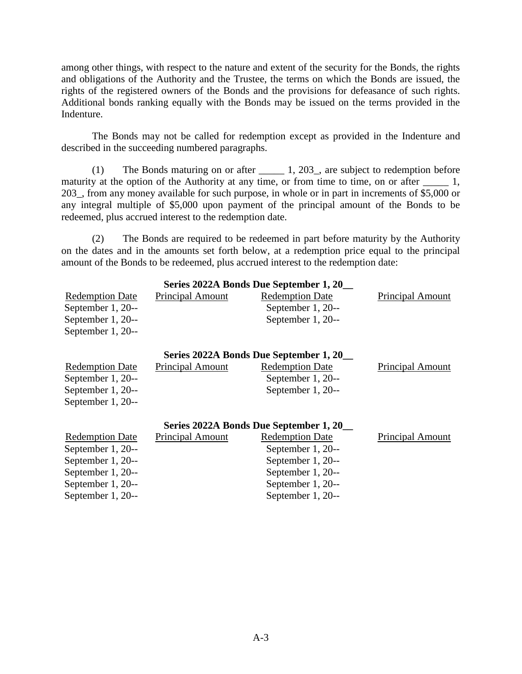among other things, with respect to the nature and extent of the security for the Bonds, the rights and obligations of the Authority and the Trustee, the terms on which the Bonds are issued, the rights of the registered owners of the Bonds and the provisions for defeasance of such rights. Additional bonds ranking equally with the Bonds may be issued on the terms provided in the Indenture.

The Bonds may not be called for redemption except as provided in the Indenture and described in the succeeding numbered paragraphs.

(1) The Bonds maturing on or after \_\_\_\_\_ 1, 203\_, are subject to redemption before maturity at the option of the Authority at any time, or from time to time, on or after  $\qquad 1$ , 203\_, from any money available for such purpose, in whole or in part in increments of \$5,000 or any integral multiple of \$5,000 upon payment of the principal amount of the Bonds to be redeemed, plus accrued interest to the redemption date.

(2) The Bonds are required to be redeemed in part before maturity by the Authority on the dates and in the amounts set forth below, at a redemption price equal to the principal amount of the Bonds to be redeemed, plus accrued interest to the redemption date:

| Series 2022A Bonds Due September 1, 20 |                         |                        |                         |  |  |  |  |
|----------------------------------------|-------------------------|------------------------|-------------------------|--|--|--|--|
| <b>Redemption Date</b>                 | <b>Principal Amount</b> | <b>Redemption Date</b> | <b>Principal Amount</b> |  |  |  |  |
| September 1, 20--                      |                         | September 1, 20--      |                         |  |  |  |  |
| September 1, 20--                      |                         | September 1, 20--      |                         |  |  |  |  |
| September 1, 20--                      |                         |                        |                         |  |  |  |  |
| Series 2022A Bonds Due September 1, 20 |                         |                        |                         |  |  |  |  |
| <b>Redemption Date</b>                 | <b>Principal Amount</b> | <b>Redemption Date</b> | <b>Principal Amount</b> |  |  |  |  |
| September 1, 20--                      |                         | September 1, 20--      |                         |  |  |  |  |
| September 1, 20--                      |                         | September 1, 20--      |                         |  |  |  |  |
| September 1, 20--                      |                         |                        |                         |  |  |  |  |
| Series 2022A Bonds Due September 1, 20 |                         |                        |                         |  |  |  |  |
| <b>Redemption Date</b>                 | <b>Principal Amount</b> | <b>Redemption Date</b> | <b>Principal Amount</b> |  |  |  |  |
| September 1, 20--                      |                         | September 1, 20--      |                         |  |  |  |  |
| September 1, 20--                      |                         | September 1, 20--      |                         |  |  |  |  |
| September 1, 20--                      |                         | September 1, 20--      |                         |  |  |  |  |
| September 1, 20--                      |                         | September 1, 20--      |                         |  |  |  |  |
| September 1, 20--                      |                         | September 1, 20--      |                         |  |  |  |  |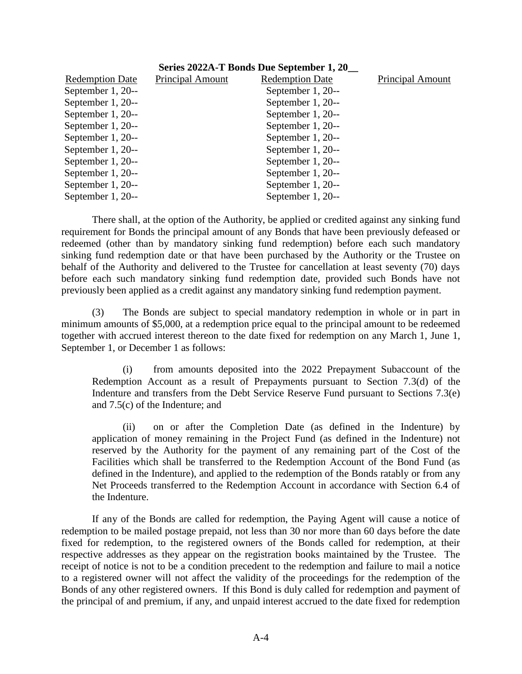| Series 2022A-T Bonds Due September 1, 20 |                         |                        |                  |  |  |  |
|------------------------------------------|-------------------------|------------------------|------------------|--|--|--|
| <b>Redemption Date</b>                   | <b>Principal Amount</b> | <b>Redemption Date</b> | Principal Amount |  |  |  |
| September 1, 20--                        |                         | September 1, 20--      |                  |  |  |  |
| September 1, 20--                        |                         | September 1, 20--      |                  |  |  |  |
| September 1, 20--                        |                         | September 1, 20--      |                  |  |  |  |
| September 1, 20--                        |                         | September 1, 20--      |                  |  |  |  |
| September 1, 20--                        |                         | September 1, 20--      |                  |  |  |  |
| September 1, 20--                        |                         | September 1, 20--      |                  |  |  |  |
| September 1, 20--                        |                         | September 1, 20--      |                  |  |  |  |
| September 1, 20--                        |                         | September 1, 20--      |                  |  |  |  |
| September 1, 20--                        |                         | September 1, 20--      |                  |  |  |  |
| September 1, 20--                        |                         | September 1, 20--      |                  |  |  |  |

There shall, at the option of the Authority, be applied or credited against any sinking fund requirement for Bonds the principal amount of any Bonds that have been previously defeased or redeemed (other than by mandatory sinking fund redemption) before each such mandatory sinking fund redemption date or that have been purchased by the Authority or the Trustee on behalf of the Authority and delivered to the Trustee for cancellation at least seventy (70) days before each such mandatory sinking fund redemption date, provided such Bonds have not previously been applied as a credit against any mandatory sinking fund redemption payment.

(3) The Bonds are subject to special mandatory redemption in whole or in part in minimum amounts of \$5,000, at a redemption price equal to the principal amount to be redeemed together with accrued interest thereon to the date fixed for redemption on any March 1, June 1, September 1, or December 1 as follows:

(i) from amounts deposited into the 2022 Prepayment Subaccount of the Redemption Account as a result of Prepayments pursuant to Section 7.3(d) of the Indenture and transfers from the Debt Service Reserve Fund pursuant to Sections 7.3(e) and 7.5(c) of the Indenture; and

(ii) on or after the Completion Date (as defined in the Indenture) by application of money remaining in the Project Fund (as defined in the Indenture) not reserved by the Authority for the payment of any remaining part of the Cost of the Facilities which shall be transferred to the Redemption Account of the Bond Fund (as defined in the Indenture), and applied to the redemption of the Bonds ratably or from any Net Proceeds transferred to the Redemption Account in accordance with Section 6.4 of the Indenture.

If any of the Bonds are called for redemption, the Paying Agent will cause a notice of redemption to be mailed postage prepaid, not less than 30 nor more than 60 days before the date fixed for redemption, to the registered owners of the Bonds called for redemption, at their respective addresses as they appear on the registration books maintained by the Trustee. The receipt of notice is not to be a condition precedent to the redemption and failure to mail a notice to a registered owner will not affect the validity of the proceedings for the redemption of the Bonds of any other registered owners. If this Bond is duly called for redemption and payment of the principal of and premium, if any, and unpaid interest accrued to the date fixed for redemption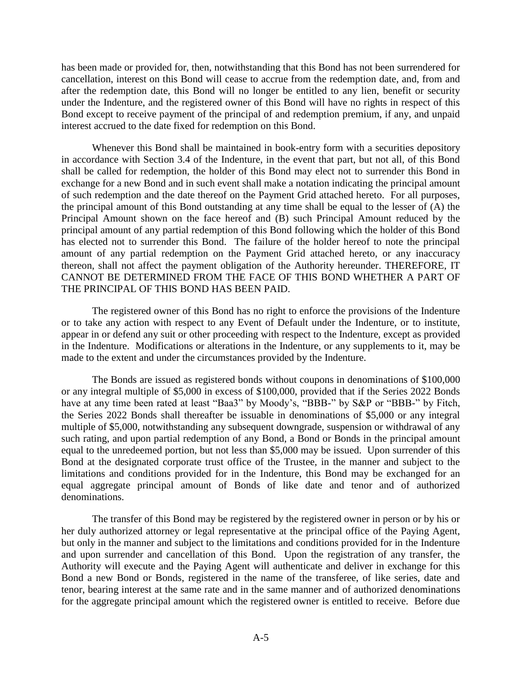has been made or provided for, then, notwithstanding that this Bond has not been surrendered for cancellation, interest on this Bond will cease to accrue from the redemption date, and, from and after the redemption date, this Bond will no longer be entitled to any lien, benefit or security under the Indenture, and the registered owner of this Bond will have no rights in respect of this Bond except to receive payment of the principal of and redemption premium, if any, and unpaid interest accrued to the date fixed for redemption on this Bond.

Whenever this Bond shall be maintained in book-entry form with a securities depository in accordance with Section 3.4 of the Indenture, in the event that part, but not all, of this Bond shall be called for redemption, the holder of this Bond may elect not to surrender this Bond in exchange for a new Bond and in such event shall make a notation indicating the principal amount of such redemption and the date thereof on the Payment Grid attached hereto. For all purposes, the principal amount of this Bond outstanding at any time shall be equal to the lesser of (A) the Principal Amount shown on the face hereof and (B) such Principal Amount reduced by the principal amount of any partial redemption of this Bond following which the holder of this Bond has elected not to surrender this Bond. The failure of the holder hereof to note the principal amount of any partial redemption on the Payment Grid attached hereto, or any inaccuracy thereon, shall not affect the payment obligation of the Authority hereunder. THEREFORE, IT CANNOT BE DETERMINED FROM THE FACE OF THIS BOND WHETHER A PART OF THE PRINCIPAL OF THIS BOND HAS BEEN PAID.

The registered owner of this Bond has no right to enforce the provisions of the Indenture or to take any action with respect to any Event of Default under the Indenture, or to institute, appear in or defend any suit or other proceeding with respect to the Indenture, except as provided in the Indenture. Modifications or alterations in the Indenture, or any supplements to it, may be made to the extent and under the circumstances provided by the Indenture.

The Bonds are issued as registered bonds without coupons in denominations of \$100,000 or any integral multiple of \$5,000 in excess of \$100,000, provided that if the Series 2022 Bonds have at any time been rated at least "Baa3" by Moody's, "BBB-" by S&P or "BBB-" by Fitch, the Series 2022 Bonds shall thereafter be issuable in denominations of \$5,000 or any integral multiple of \$5,000, notwithstanding any subsequent downgrade, suspension or withdrawal of any such rating, and upon partial redemption of any Bond, a Bond or Bonds in the principal amount equal to the unredeemed portion, but not less than \$5,000 may be issued. Upon surrender of this Bond at the designated corporate trust office of the Trustee, in the manner and subject to the limitations and conditions provided for in the Indenture, this Bond may be exchanged for an equal aggregate principal amount of Bonds of like date and tenor and of authorized denominations.

The transfer of this Bond may be registered by the registered owner in person or by his or her duly authorized attorney or legal representative at the principal office of the Paying Agent, but only in the manner and subject to the limitations and conditions provided for in the Indenture and upon surrender and cancellation of this Bond. Upon the registration of any transfer, the Authority will execute and the Paying Agent will authenticate and deliver in exchange for this Bond a new Bond or Bonds, registered in the name of the transferee, of like series, date and tenor, bearing interest at the same rate and in the same manner and of authorized denominations for the aggregate principal amount which the registered owner is entitled to receive. Before due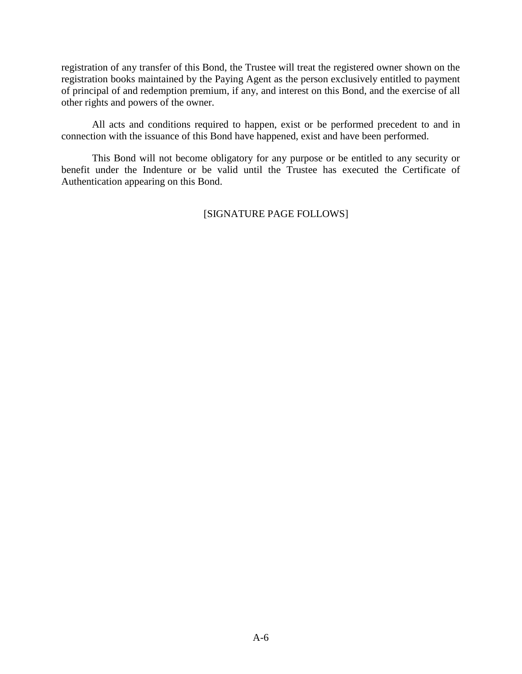registration of any transfer of this Bond, the Trustee will treat the registered owner shown on the registration books maintained by the Paying Agent as the person exclusively entitled to payment of principal of and redemption premium, if any, and interest on this Bond, and the exercise of all other rights and powers of the owner.

All acts and conditions required to happen, exist or be performed precedent to and in connection with the issuance of this Bond have happened, exist and have been performed.

This Bond will not become obligatory for any purpose or be entitled to any security or benefit under the Indenture or be valid until the Trustee has executed the Certificate of Authentication appearing on this Bond.

# [SIGNATURE PAGE FOLLOWS]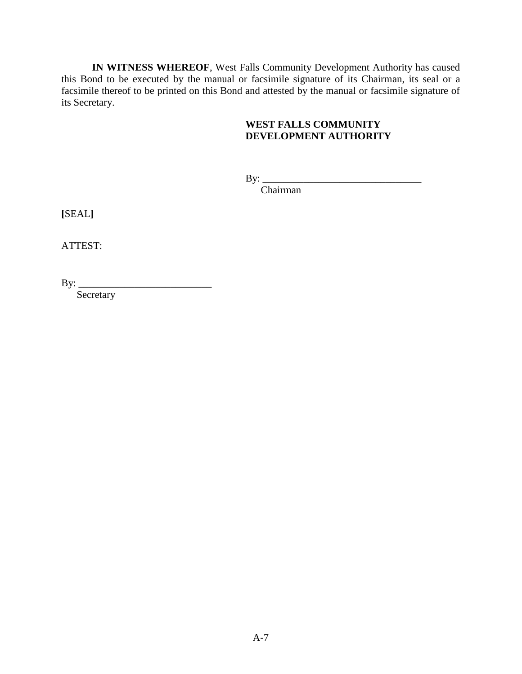**IN WITNESS WHEREOF**, West Falls Community Development Authority has caused this Bond to be executed by the manual or facsimile signature of its Chairman, its seal or a facsimile thereof to be printed on this Bond and attested by the manual or facsimile signature of its Secretary.

# **WEST FALLS COMMUNITY DEVELOPMENT AUTHORITY**

 $By:$ 

Chairman

**[**SEAL**]**

ATTEST:

By:  $\qquad$ 

Secretary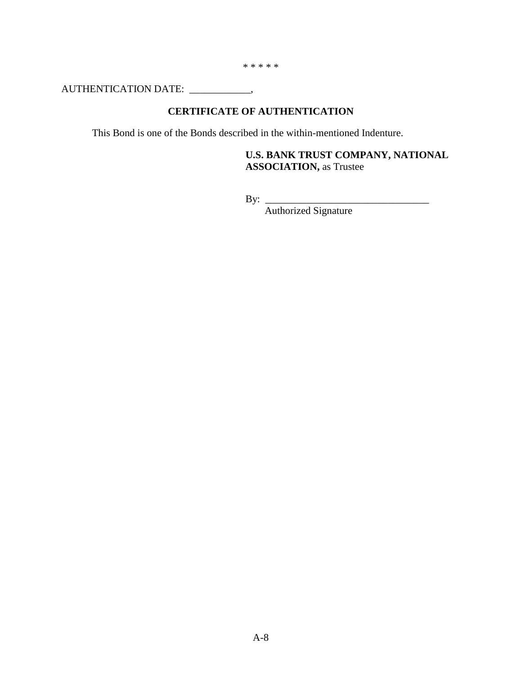\* \* \* \* \*

AUTHENTICATION DATE: \_\_\_\_\_\_\_\_\_\_\_\_,

# **CERTIFICATE OF AUTHENTICATION**

This Bond is one of the Bonds described in the within-mentioned Indenture.

**U.S. BANK TRUST COMPANY, NATIONAL ASSOCIATION,** as Trustee

By: \_\_\_\_\_\_\_\_\_\_\_\_\_\_\_\_\_\_\_\_\_\_\_\_\_\_\_\_\_\_\_\_

Authorized Signature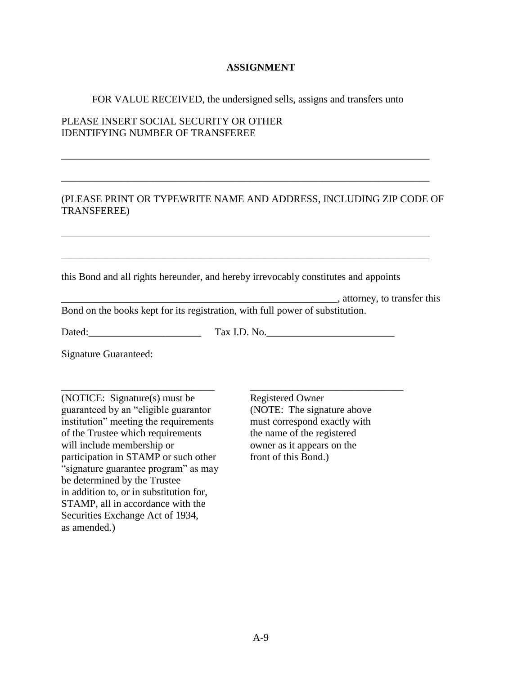## **ASSIGNMENT**

#### FOR VALUE RECEIVED, the undersigned sells, assigns and transfers unto

\_\_\_\_\_\_\_\_\_\_\_\_\_\_\_\_\_\_\_\_\_\_\_\_\_\_\_\_\_\_\_\_\_\_\_\_\_\_\_\_\_\_\_\_\_\_\_\_\_\_\_\_\_\_\_\_\_\_\_\_\_\_\_\_\_\_\_\_\_\_\_\_

\_\_\_\_\_\_\_\_\_\_\_\_\_\_\_\_\_\_\_\_\_\_\_\_\_\_\_\_\_\_\_\_\_\_\_\_\_\_\_\_\_\_\_\_\_\_\_\_\_\_\_\_\_\_\_\_\_\_\_\_\_\_\_\_\_\_\_\_\_\_\_\_

\_\_\_\_\_\_\_\_\_\_\_\_\_\_\_\_\_\_\_\_\_\_\_\_\_\_\_\_\_\_\_\_\_\_\_\_\_\_\_\_\_\_\_\_\_\_\_\_\_\_\_\_\_\_\_\_\_\_\_\_\_\_\_\_\_\_\_\_\_\_\_\_

\_\_\_\_\_\_\_\_\_\_\_\_\_\_\_\_\_\_\_\_\_\_\_\_\_\_\_\_\_\_\_\_\_\_\_\_\_\_\_\_\_\_\_\_\_\_\_\_\_\_\_\_\_\_\_\_\_\_\_\_\_\_\_\_\_\_\_\_\_\_\_\_

## PLEASE INSERT SOCIAL SECURITY OR OTHER IDENTIFYING NUMBER OF TRANSFEREE

## (PLEASE PRINT OR TYPEWRITE NAME AND ADDRESS, INCLUDING ZIP CODE OF TRANSFEREE)

this Bond and all rights hereunder, and hereby irrevocably constitutes and appoints

\_\_\_\_\_\_\_\_\_\_\_\_\_\_\_\_\_\_\_\_\_\_\_\_\_\_\_\_\_\_\_\_\_\_\_\_\_\_\_\_\_\_\_\_\_\_\_\_\_\_\_\_\_\_, attorney, to transfer this Bond on the books kept for its registration, with full power of substitution.

Dated: Tax I.D. No.

Signature Guaranteed:

\_\_\_\_\_\_\_\_\_\_\_\_\_\_\_\_\_\_\_\_\_\_\_\_\_\_\_\_\_\_ (NOTICE: Signature(s) must be guaranteed by an "eligible guarantor institution" meeting the requirements of the Trustee which requirements will include membership or participation in STAMP or such other "signature guarantee program" as may be determined by the Trustee in addition to, or in substitution for, STAMP, all in accordance with the Securities Exchange Act of 1934, as amended.)

Registered Owner (NOTE: The signature above must correspond exactly with the name of the registered owner as it appears on the front of this Bond.)

\_\_\_\_\_\_\_\_\_\_\_\_\_\_\_\_\_\_\_\_\_\_\_\_\_\_\_\_\_\_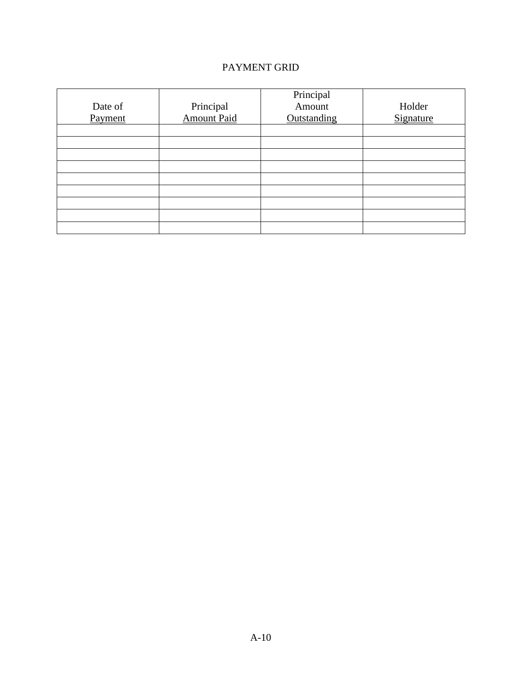# PAYMENT GRID

| Date of<br>Payment | Principal<br>Amount Paid | Principal<br>Amount<br>Outstanding | Holder<br>Signature |
|--------------------|--------------------------|------------------------------------|---------------------|
|                    |                          |                                    |                     |
|                    |                          |                                    |                     |
|                    |                          |                                    |                     |
|                    |                          |                                    |                     |
|                    |                          |                                    |                     |
|                    |                          |                                    |                     |
|                    |                          |                                    |                     |
|                    |                          |                                    |                     |
|                    |                          |                                    |                     |